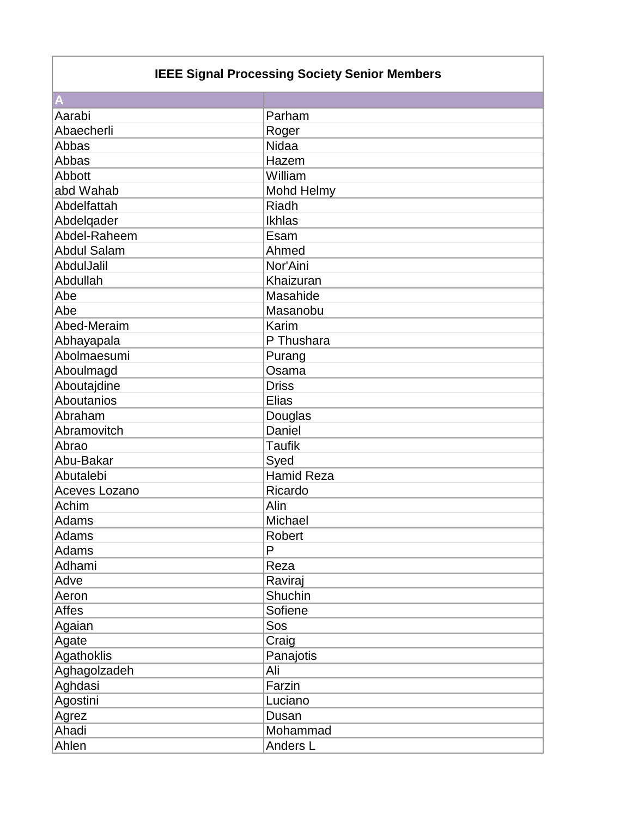## **IEEE Signal Processing Society Senior Members**

| A                  |                   |
|--------------------|-------------------|
| Aarabi             | Parham            |
| Abaecherli         | Roger             |
| Abbas              | Nidaa             |
| Abbas              | Hazem             |
| Abbott             | William           |
| abd Wahab          | Mohd Helmy        |
| Abdelfattah        | Riadh             |
| Abdelqader         | Ikhlas            |
| Abdel-Raheem       | Esam              |
| <b>Abdul Salam</b> | Ahmed             |
| AbdulJalil         | Nor'Aini          |
| Abdullah           | Khaizuran         |
| Abe                | Masahide          |
| Abe                | Masanobu          |
| Abed-Meraim        | Karim             |
| Abhayapala         | P Thushara        |
| Abolmaesumi        | Purang            |
| Aboulmagd          | Osama             |
| Aboutajdine        | <b>Driss</b>      |
| Aboutanios         | <b>Elias</b>      |
| Abraham            | Douglas           |
| Abramovitch        | Daniel            |
| Abrao              | <b>Taufik</b>     |
| Abu-Bakar          | Syed              |
| Abutalebi          | <b>Hamid Reza</b> |
| Aceves Lozano      | Ricardo           |
| Achim              | Alin              |
| Adams              | Michael           |
| Adams              | <b>Robert</b>     |
| Adams              | P                 |
| Adhami             | Reza              |
| Adve               | Raviraj           |
| Aeron              | Shuchin           |
| Affes              | Sofiene           |
| Agaian             | Sos               |
| Agate              | Craig             |
| Agathoklis         | Panajotis         |
| Aghagolzadeh       | Ali               |
| Aghdasi            | Farzin            |
| Agostini           | Luciano           |
| Agrez              | Dusan             |
| Ahadi              | Mohammad          |
| Ahlen              | Anders L          |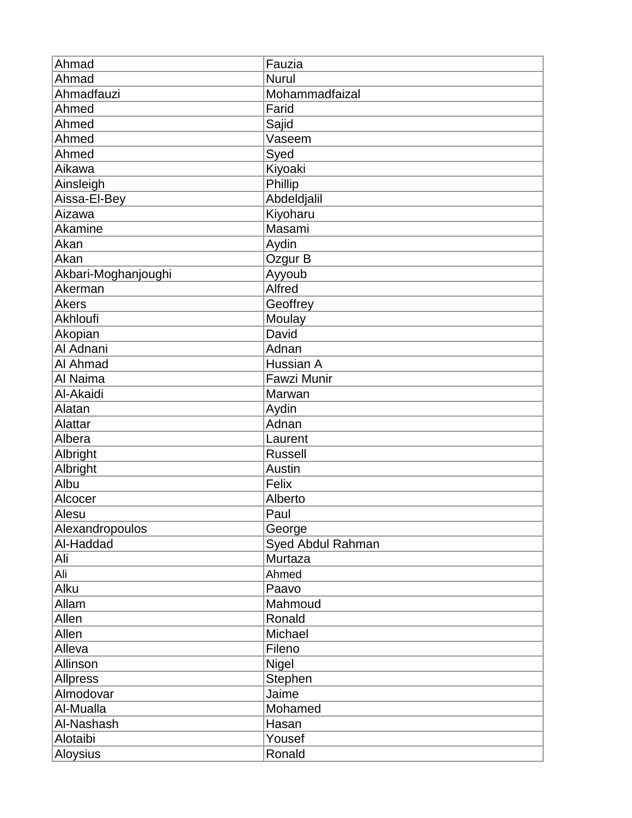| Ahmad               | Fauzia            |
|---------------------|-------------------|
| Ahmad               | <b>Nurul</b>      |
| Ahmadfauzi          | Mohammadfaizal    |
| Ahmed               | Farid             |
| Ahmed               | Sajid             |
| Ahmed               | Vaseem            |
| Ahmed               | Syed              |
| Aikawa              | Kiyoaki           |
| Ainsleigh           | Phillip           |
| Aissa-El-Bey        | Abdeldjalil       |
| Aizawa              | Kiyoharu          |
| Akamine             | Masami            |
| Akan                | Aydin             |
| Akan                | Ozgur B           |
| Akbari-Moghanjoughi | Ayyoub            |
| Akerman             | <b>Alfred</b>     |
| <b>Akers</b>        | Geoffrey          |
| Akhloufi            | Moulay            |
| Akopian             | David             |
| Al Adnani           | Adnan             |
| Al Ahmad            | Hussian A         |
| Al Naima            | Fawzi Munir       |
| Al-Akaidi           | Marwan            |
| Alatan              | Aydin             |
| Alattar             | Adnan             |
| Albera              | Laurent           |
| Albright            | <b>Russell</b>    |
| Albright            | Austin            |
| Albu                | Felix             |
| Alcocer             | Alberto           |
| Alesu               | Paul              |
| Alexandropoulos     | George            |
| Al-Haddad           | Syed Abdul Rahman |
| Ali                 | Murtaza           |
| Ali                 | Ahmed             |
| Alku                | Paavo             |
| Allam               | Mahmoud           |
| Allen               | Ronald            |
| Allen               | Michael           |
| Alleva              | Fileno            |
| Allinson            | <b>Nigel</b>      |
| <b>Allpress</b>     | Stephen           |
| Almodovar           | Jaime             |
| Al-Mualla           | Mohamed           |
| Al-Nashash          | Hasan             |
| Alotaibi            | Yousef            |
| Aloysius            | Ronald            |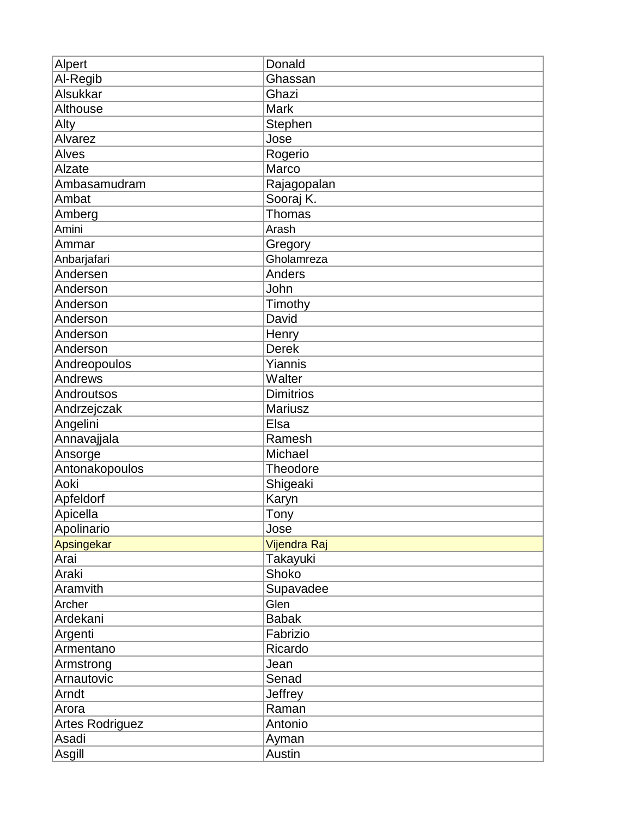| Alpert                 | Donald           |
|------------------------|------------------|
| Al-Regib               | Ghassan          |
| Alsukkar               | Ghazi            |
| Althouse               | <b>Mark</b>      |
| Alty                   | Stephen          |
| Alvarez                | Jose             |
| Alves                  | Rogerio          |
| Alzate                 | Marco            |
| Ambasamudram           | Rajagopalan      |
| Ambat                  | Sooraj K.        |
| Amberg                 | Thomas           |
| Amini                  | Arash            |
| Ammar                  | Gregory          |
| Anbarjafari            | Gholamreza       |
| Andersen               | Anders           |
| Anderson               | John             |
| Anderson               | Timothy          |
| Anderson               | David            |
| Anderson               | Henry            |
| Anderson               | <b>Derek</b>     |
| Andreopoulos           | Yiannis          |
| Andrews                | Walter           |
| Androutsos             | <b>Dimitrios</b> |
| Andrzejczak            | <b>Mariusz</b>   |
| Angelini               | Elsa             |
| Annavajjala            | Ramesh           |
| Ansorge                | Michael          |
| Antonakopoulos         | Theodore         |
| Aoki                   | Shigeaki         |
| Apfeldorf              | Karyn            |
| Apicella               | Tony             |
| Apolinario             | Jose             |
| Apsingekar             | Vijendra Raj     |
| Arai                   | Takayuki         |
| Araki                  | Shoko            |
| Aramvith               | Supavadee        |
| Archer                 | Glen             |
| Ardekani               | <b>Babak</b>     |
| Argenti                | Fabrizio         |
| Armentano              | Ricardo          |
| Armstrong              | Jean             |
| Arnautovic             | Senad            |
| Arndt                  | Jeffrey          |
| Arora                  | Raman            |
| <b>Artes Rodriguez</b> | Antonio          |
| Asadi                  | Ayman            |
| Asgill                 | Austin           |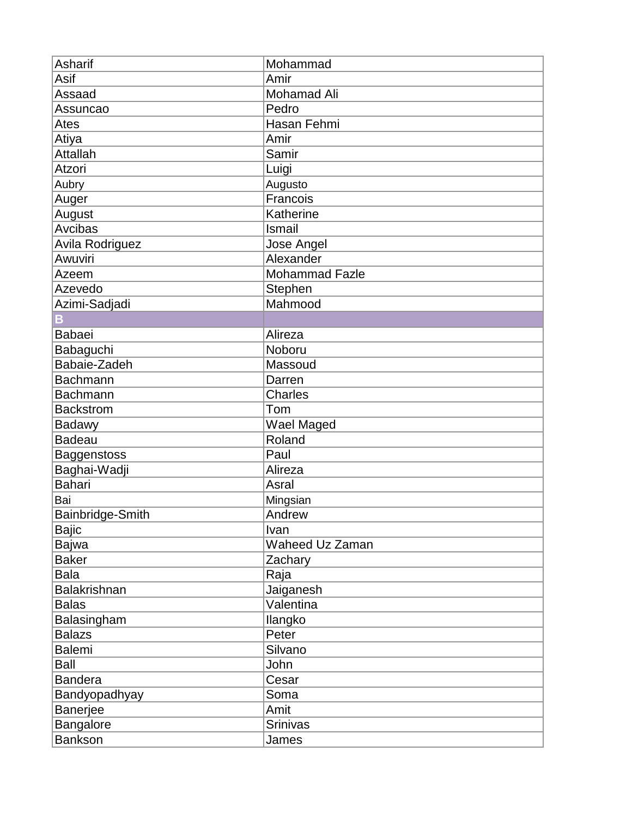| <b>Asharif</b>       | Mohammad              |
|----------------------|-----------------------|
| Asif                 | Amir                  |
| Assaad               | <b>Mohamad Ali</b>    |
| Assuncao             | Pedro                 |
| Ates                 | Hasan Fehmi           |
| Atiya                | Amir                  |
| <b>Attallah</b>      | Samir                 |
| Atzori               | Luigi                 |
| Aubry                | Augusto               |
| Auger                | Francois              |
| August               | Katherine             |
| Avcibas              | Ismail                |
| Avila Rodriguez      | Jose Angel            |
| Awuviri              | Alexander             |
| Azeem                | <b>Mohammad Fazle</b> |
| Azevedo              | Stephen               |
| Azimi-Sadjadi        | Mahmood               |
| B                    |                       |
| <b>Babaei</b>        | Alireza               |
| Babaguchi            | Noboru                |
| Babaie-Zadeh         | Massoud               |
| <b>Bachmann</b>      | Darren                |
| <b>Bachmann</b>      | Charles               |
| <b>Backstrom</b>     | Tom                   |
| <b>Badawy</b>        | Wael Maged            |
| <b>Badeau</b>        | Roland                |
| <b>Baggenstoss</b>   | Paul                  |
| Baghai-Wadji         | Alireza               |
| <b>Bahari</b>        | Asral                 |
| Bai                  | Mingsian              |
| Bainbridge-Smith     | Andrew                |
| <b>Bajic</b>         | Ivan                  |
| Bajwa                | Waheed Uz Zaman       |
| <b>Baker</b>         | Zachary               |
| <b>Bala</b>          | Raja                  |
| <b>Balakrishnan</b>  | Jaiganesh             |
| <b>Balas</b>         | Valentina             |
| Balasingham          | llangko               |
| <b>Balazs</b>        | Peter                 |
| Balemi               | Silvano               |
| Ball                 | John                  |
| <b>Bandera</b>       | Cesar                 |
| <b>Bandyopadhyay</b> | Soma                  |
| <b>Banerjee</b>      | Amit                  |
| <b>Bangalore</b>     | Srinivas              |
| Bankson              | James                 |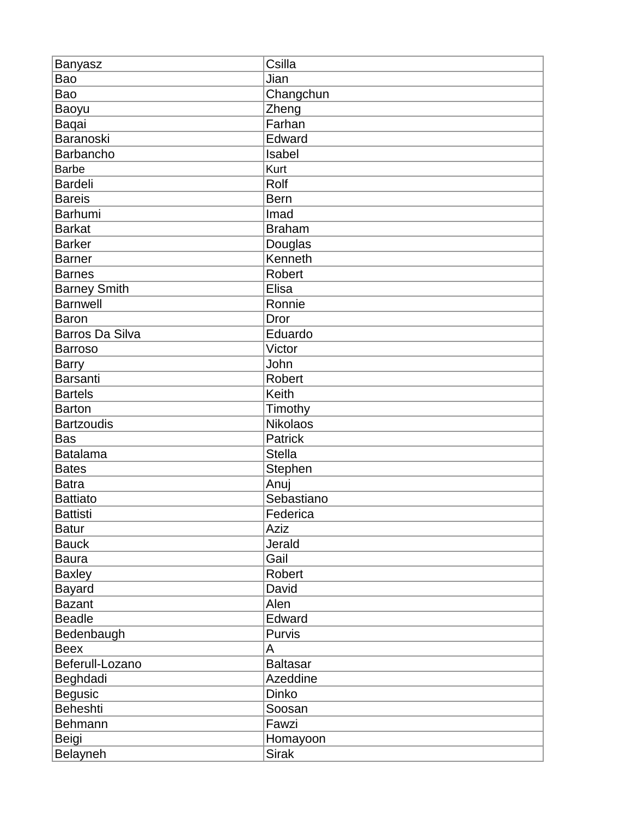| Banyasz                | Csilla          |
|------------------------|-----------------|
| Bao                    | Jian            |
| Bao                    | Changchun       |
| Baoyu                  | Zheng           |
| Baqai                  | Farhan          |
| Baranoski              | Edward          |
| Barbancho              | Isabel          |
| <b>Barbe</b>           | Kurt            |
| <b>Bardeli</b>         | Rolf            |
| <b>Bareis</b>          | <b>Bern</b>     |
| Barhumi                | Imad            |
| <b>Barkat</b>          | <b>Braham</b>   |
| <b>Barker</b>          | Douglas         |
| <b>Barner</b>          | Kenneth         |
| <b>Barnes</b>          | Robert          |
| <b>Barney Smith</b>    | Elisa           |
| <b>Barnwell</b>        | Ronnie          |
| <b>Baron</b>           | <b>Dror</b>     |
| <b>Barros Da Silva</b> | Eduardo         |
| <b>Barroso</b>         | Victor          |
| <b>Barry</b>           | John            |
| <b>Barsanti</b>        | <b>Robert</b>   |
| <b>Bartels</b>         | Keith           |
| <b>Barton</b>          | Timothy         |
| <b>Bartzoudis</b>      | <b>Nikolaos</b> |
| <b>Bas</b>             | <b>Patrick</b>  |
| <b>Batalama</b>        | Stella          |
| <b>Bates</b>           | Stephen         |
| <b>Batra</b>           | Anuj            |
| <b>Battiato</b>        | Sebastiano      |
| <b>Battisti</b>        | Federica        |
| <b>Batur</b>           | Aziz            |
| <b>Bauck</b>           | Jerald          |
| <b>Baura</b>           | Gail            |
| <b>Baxley</b>          | Robert          |
| <b>Bayard</b>          | David           |
| <b>Bazant</b>          | Alen            |
| <b>Beadle</b>          | Edward          |
| Bedenbaugh             | Purvis          |
| <b>Beex</b>            | A               |
| Beferull-Lozano        | <b>Baltasar</b> |
| Beghdadi               | Azeddine        |
| <b>Begusic</b>         | Dinko           |
| <b>Beheshti</b>        | Soosan          |
| Behmann                | Fawzi           |
| Beigi                  | Homayoon        |
| Belayneh               | <b>Sirak</b>    |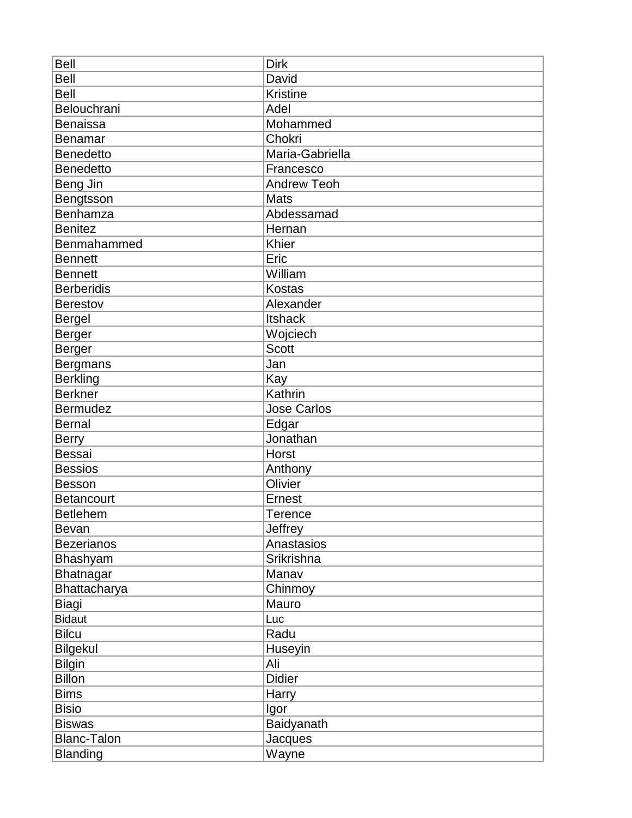| <b>Bell</b>        | <b>Dirk</b>        |
|--------------------|--------------------|
| <b>Bell</b>        | David              |
| <b>Bell</b>        | <b>Kristine</b>    |
| Belouchrani        | Adel               |
| <b>Benaissa</b>    | Mohammed           |
| <b>Benamar</b>     | Chokri             |
| <b>Benedetto</b>   | Maria-Gabriella    |
| <b>Benedetto</b>   | Francesco          |
| Beng Jin           | Andrew Teoh        |
| Bengtsson          | <b>Mats</b>        |
| Benhamza           | Abdessamad         |
| <b>Benitez</b>     | Hernan             |
| Benmahammed        | Khier              |
| <b>Bennett</b>     | Eric               |
| <b>Bennett</b>     | William            |
| <b>Berberidis</b>  | Kostas             |
| <b>Berestov</b>    | Alexander          |
| <b>Bergel</b>      | <b>Itshack</b>     |
| <b>Berger</b>      | Wojciech           |
| Berger             | <b>Scott</b>       |
| <b>Bergmans</b>    | Jan                |
| <b>Berkling</b>    | Kay                |
| <b>Berkner</b>     | Kathrin            |
| <b>Bermudez</b>    | <b>Jose Carlos</b> |
| <b>Bernal</b>      | Edgar              |
| <b>Berry</b>       | Jonathan           |
| <b>Bessai</b>      | Horst              |
| <b>Bessios</b>     | Anthony            |
| <b>Besson</b>      | Olivier            |
| <b>Betancourt</b>  | <b>Ernest</b>      |
| <b>Betlehem</b>    | Terence            |
| <b>Bevan</b>       | Jeffrey            |
| <b>Bezerianos</b>  | Anastasios         |
| Bhashyam           | Srikrishna         |
| <b>Bhatnagar</b>   | Manav              |
| Bhattacharya       | Chinmoy            |
| <b>Biagi</b>       | Mauro              |
| <b>Bidaut</b>      | Luc                |
| <b>Bilcu</b>       | Radu               |
| <b>Bilgekul</b>    | Huseyin            |
| <b>Bilgin</b>      | Ali                |
| <b>Billon</b>      | <b>Didier</b>      |
| <b>Bims</b>        | Harry              |
| <b>Bisio</b>       | Igor               |
| <b>Biswas</b>      | Baidyanath         |
| <b>Blanc-Talon</b> | Jacques            |
| <b>Blanding</b>    | Wayne              |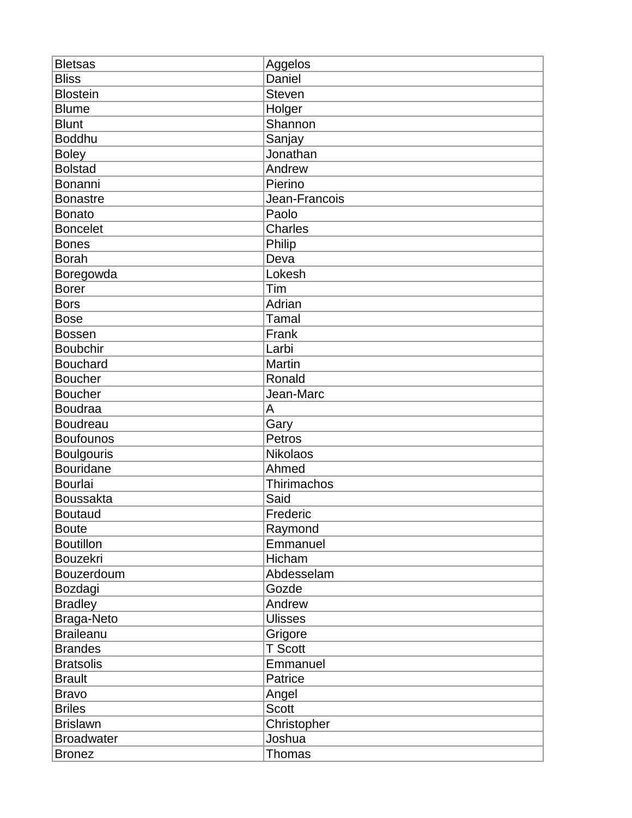| <b>Bletsas</b>    | Aggelos        |
|-------------------|----------------|
| <b>Bliss</b>      | Daniel         |
| <b>Blostein</b>   | <b>Steven</b>  |
| <b>Blume</b>      | Holger         |
| <b>Blunt</b>      | Shannon        |
| <b>Boddhu</b>     | Sanjay         |
| <b>Boley</b>      | Jonathan       |
| <b>Bolstad</b>    | Andrew         |
| Bonanni           | Pierino        |
| <b>Bonastre</b>   | Jean-Francois  |
| <b>Bonato</b>     | Paolo          |
| <b>Boncelet</b>   | <b>Charles</b> |
| <b>Bones</b>      | Philip         |
| <b>Borah</b>      | Deva           |
| Boregowda         | Lokesh         |
| <b>Borer</b>      | Tim            |
| <b>Bors</b>       | Adrian         |
| <b>Bose</b>       | <b>Tamal</b>   |
| <b>Bossen</b>     | Frank          |
| <b>Boubchir</b>   | Larbi          |
| <b>Bouchard</b>   | Martin         |
| <b>Boucher</b>    | Ronald         |
| <b>Boucher</b>    | Jean-Marc      |
| <b>Boudraa</b>    | A              |
| <b>Boudreau</b>   | Gary           |
| <b>Boufounos</b>  | Petros         |
| <b>Boulgouris</b> | Nikolaos       |
| <b>Bouridane</b>  | Ahmed          |
| <b>Bourlai</b>    | Thirimachos    |
| <b>Boussakta</b>  | Said           |
| <b>Boutaud</b>    | Frederic       |
| <b>Boute</b>      | Raymond        |
| <b>Boutillon</b>  | Emmanuel       |
| <b>Bouzekri</b>   | Hicham         |
| Bouzerdoum        | Abdesselam     |
| Bozdagi           | Gozde          |
| <b>Bradley</b>    | Andrew         |
| Braga-Neto        | <b>Ulisses</b> |
| <b>Braileanu</b>  | Grigore        |
| <b>Brandes</b>    | <b>T</b> Scott |
| <b>Bratsolis</b>  | Emmanuel       |
| <b>Brault</b>     | Patrice        |
| <b>Bravo</b>      | Angel          |
| <b>Briles</b>     | <b>Scott</b>   |
| <b>Brislawn</b>   | Christopher    |
| <b>Broadwater</b> | Joshua         |
| <b>Bronez</b>     | Thomas         |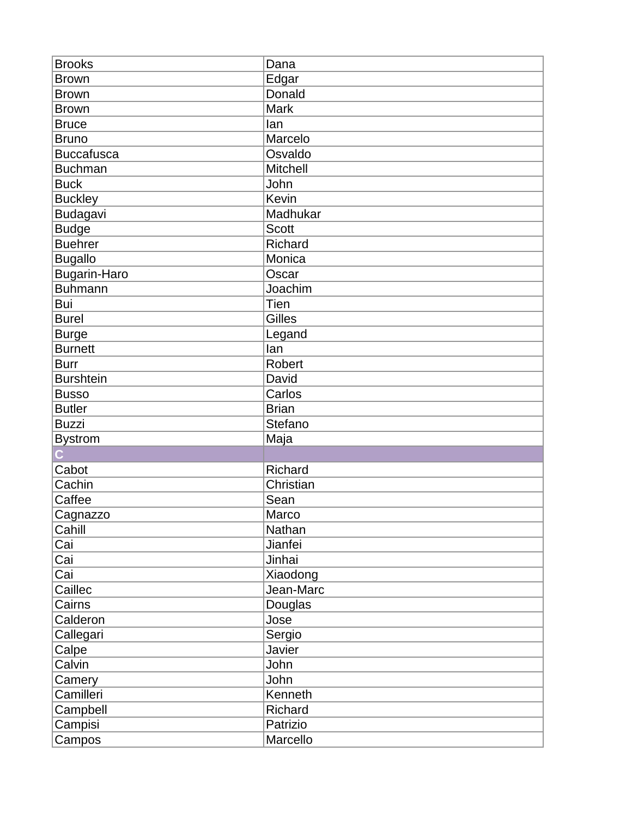| <b>Brooks</b>       | Dana          |
|---------------------|---------------|
| <b>Brown</b>        | Edgar         |
| <b>Brown</b>        | Donald        |
| <b>Brown</b>        | Mark          |
| <b>Bruce</b>        | lan           |
| <b>Bruno</b>        | Marcelo       |
| <b>Buccafusca</b>   | Osvaldo       |
| <b>Buchman</b>      | Mitchell      |
| <b>Buck</b>         | John          |
| <b>Buckley</b>      | Kevin         |
| Budagavi            | Madhukar      |
| <b>Budge</b>        | <b>Scott</b>  |
| <b>Buehrer</b>      | Richard       |
| <b>Bugallo</b>      | Monica        |
| <b>Bugarin-Haro</b> | Oscar         |
| <b>Buhmann</b>      | Joachim       |
| Bui                 | Tien          |
| <b>Burel</b>        | Gilles        |
| <b>Burge</b>        | Legand        |
| <b>Burnett</b>      | lan           |
| <b>Burr</b>         | <b>Robert</b> |
| <b>Burshtein</b>    | David         |
| <b>Busso</b>        | Carlos        |
| <b>Butler</b>       | <b>Brian</b>  |
| <b>Buzzi</b>        | Stefano       |
| <b>Bystrom</b>      | Maja          |
|                     |               |
| Cabot               | Richard       |
| Cachin              | Christian     |
| Caffee              | Sean          |
| Cagnazzo            | Marco         |
| Cahill              | Nathan        |
| Cai                 | Jianfei       |
| Cai                 | Jinhai        |
| Cai                 | Xiaodong      |
| Caillec             | Jean-Marc     |
| Cairns              | Douglas       |
| Calderon            | Jose          |
| Callegari           | Sergio        |
| Calpe               | Javier        |
| Calvin              | John          |
| Camery              | John          |
| Camilleri           | Kenneth       |
| Campbell            | Richard       |
| Campisi             | Patrizio      |
| Campos              | Marcello      |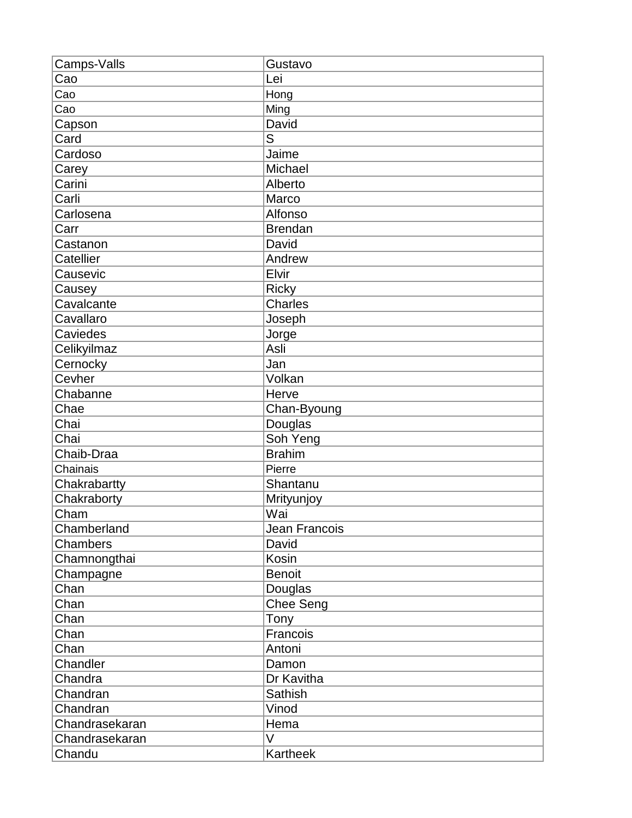| Camps-Valls    | Gustavo          |
|----------------|------------------|
| Cao            | Lei              |
| Cao            | Hong             |
| Cao            | Ming             |
| Capson         | David            |
| Card           | S                |
| Cardoso        | Jaime            |
| Carey          | Michael          |
| Carini         | Alberto          |
| Carli          | Marco            |
| Carlosena      | Alfonso          |
| Carr           | <b>Brendan</b>   |
| Castanon       | David            |
| Catellier      | Andrew           |
| Causevic       | Elvir            |
| Causey         | <b>Ricky</b>     |
| Cavalcante     | Charles          |
| Cavallaro      | Joseph           |
| Caviedes       | Jorge            |
| Celikyilmaz    | Asli             |
| Cernocky       | Jan              |
| Cevher         | Volkan           |
| Chabanne       | Herve            |
| Chae           | Chan-Byoung      |
| Chai           | Douglas          |
| Chai           | Soh Yeng         |
| Chaib-Draa     | <b>Brahim</b>    |
| Chainais       | Pierre           |
| Chakrabartty   | Shantanu         |
| Chakraborty    | Mrityunjoy       |
| Cham           | Wai              |
| Chamberland    | Jean Francois    |
| Chambers       | David            |
| Chamnongthai   | Kosin            |
| Champagne      | <b>Benoit</b>    |
| Chan           | Douglas          |
| Chan           | <b>Chee Seng</b> |
| Chan           | Tony             |
| Chan           | Francois         |
| Chan           | Antoni           |
| Chandler       | Damon            |
| Chandra        | Dr Kavitha       |
| Chandran       | Sathish          |
| Chandran       | Vinod            |
| Chandrasekaran | Hema             |
| Chandrasekaran | V                |
| Chandu         | Kartheek         |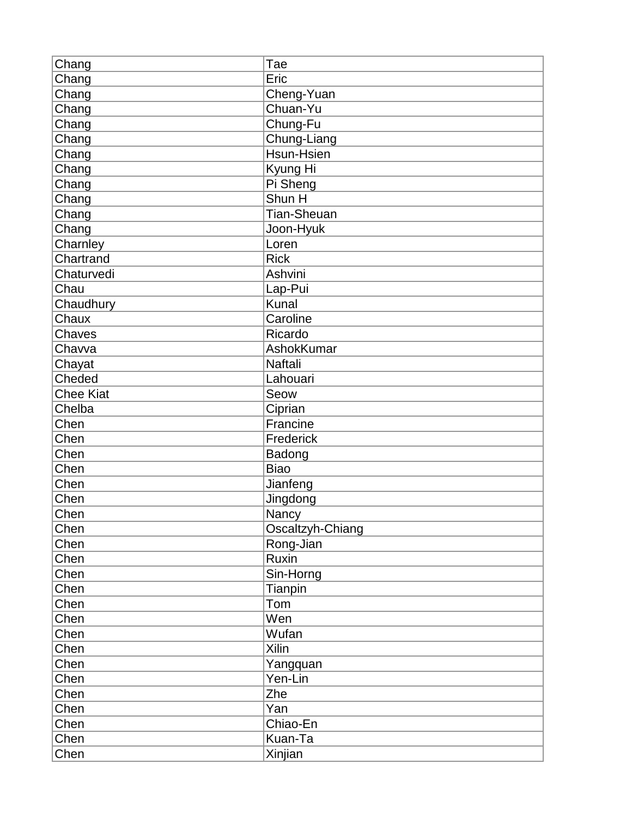| Chang<br>Eric<br>Cheng-Yuan<br>Chang<br>Chuan-Yu<br>Chang<br>Chang<br>Chung-Fu<br>Chung-Liang<br>Chang<br>Hsun-Hsien<br>Chang<br>Chang<br>Kyung Hi<br>Chang<br>Pi Sheng<br>Shun H<br>Chang<br><b>Tian-Sheuan</b><br>Chang<br>Chang<br>Joon-Hyuk<br>Charnley<br>Loren<br>Chartrand<br><b>Rick</b><br>Chaturvedi<br>Ashvini<br>Chau<br>Lap-Pui<br><b>Kunal</b><br>Chaudhury<br>Chaux<br>Caroline<br>Chaves<br>Ricardo<br>Chavva<br>AshokKumar<br>Chayat<br>Naftali<br>Cheded<br>Lahouari<br><b>Chee Kiat</b><br>Seow<br>Chelba<br>Ciprian<br>Chen<br>Francine<br>Chen<br>Frederick<br>Chen<br>Badong<br>Chen<br><b>Biao</b><br>Chen<br>Jianfeng<br>Chen<br>Jingdong<br>Nancy<br>Chen<br>Chen<br>Oscaltzyh-Chiang<br>Chen<br>Rong-Jian<br>Chen<br>Ruxin<br>Chen<br>Sin-Horng<br>Chen<br>Tianpin<br>Chen<br>Tom |
|-------------------------------------------------------------------------------------------------------------------------------------------------------------------------------------------------------------------------------------------------------------------------------------------------------------------------------------------------------------------------------------------------------------------------------------------------------------------------------------------------------------------------------------------------------------------------------------------------------------------------------------------------------------------------------------------------------------------------------------------------------------------------------------------------------------|
|                                                                                                                                                                                                                                                                                                                                                                                                                                                                                                                                                                                                                                                                                                                                                                                                             |
|                                                                                                                                                                                                                                                                                                                                                                                                                                                                                                                                                                                                                                                                                                                                                                                                             |
|                                                                                                                                                                                                                                                                                                                                                                                                                                                                                                                                                                                                                                                                                                                                                                                                             |
|                                                                                                                                                                                                                                                                                                                                                                                                                                                                                                                                                                                                                                                                                                                                                                                                             |
|                                                                                                                                                                                                                                                                                                                                                                                                                                                                                                                                                                                                                                                                                                                                                                                                             |
|                                                                                                                                                                                                                                                                                                                                                                                                                                                                                                                                                                                                                                                                                                                                                                                                             |
|                                                                                                                                                                                                                                                                                                                                                                                                                                                                                                                                                                                                                                                                                                                                                                                                             |
|                                                                                                                                                                                                                                                                                                                                                                                                                                                                                                                                                                                                                                                                                                                                                                                                             |
|                                                                                                                                                                                                                                                                                                                                                                                                                                                                                                                                                                                                                                                                                                                                                                                                             |
|                                                                                                                                                                                                                                                                                                                                                                                                                                                                                                                                                                                                                                                                                                                                                                                                             |
|                                                                                                                                                                                                                                                                                                                                                                                                                                                                                                                                                                                                                                                                                                                                                                                                             |
|                                                                                                                                                                                                                                                                                                                                                                                                                                                                                                                                                                                                                                                                                                                                                                                                             |
|                                                                                                                                                                                                                                                                                                                                                                                                                                                                                                                                                                                                                                                                                                                                                                                                             |
|                                                                                                                                                                                                                                                                                                                                                                                                                                                                                                                                                                                                                                                                                                                                                                                                             |
|                                                                                                                                                                                                                                                                                                                                                                                                                                                                                                                                                                                                                                                                                                                                                                                                             |
|                                                                                                                                                                                                                                                                                                                                                                                                                                                                                                                                                                                                                                                                                                                                                                                                             |
|                                                                                                                                                                                                                                                                                                                                                                                                                                                                                                                                                                                                                                                                                                                                                                                                             |
|                                                                                                                                                                                                                                                                                                                                                                                                                                                                                                                                                                                                                                                                                                                                                                                                             |
|                                                                                                                                                                                                                                                                                                                                                                                                                                                                                                                                                                                                                                                                                                                                                                                                             |
|                                                                                                                                                                                                                                                                                                                                                                                                                                                                                                                                                                                                                                                                                                                                                                                                             |
|                                                                                                                                                                                                                                                                                                                                                                                                                                                                                                                                                                                                                                                                                                                                                                                                             |
|                                                                                                                                                                                                                                                                                                                                                                                                                                                                                                                                                                                                                                                                                                                                                                                                             |
|                                                                                                                                                                                                                                                                                                                                                                                                                                                                                                                                                                                                                                                                                                                                                                                                             |
|                                                                                                                                                                                                                                                                                                                                                                                                                                                                                                                                                                                                                                                                                                                                                                                                             |
|                                                                                                                                                                                                                                                                                                                                                                                                                                                                                                                                                                                                                                                                                                                                                                                                             |
|                                                                                                                                                                                                                                                                                                                                                                                                                                                                                                                                                                                                                                                                                                                                                                                                             |
|                                                                                                                                                                                                                                                                                                                                                                                                                                                                                                                                                                                                                                                                                                                                                                                                             |
|                                                                                                                                                                                                                                                                                                                                                                                                                                                                                                                                                                                                                                                                                                                                                                                                             |
|                                                                                                                                                                                                                                                                                                                                                                                                                                                                                                                                                                                                                                                                                                                                                                                                             |
|                                                                                                                                                                                                                                                                                                                                                                                                                                                                                                                                                                                                                                                                                                                                                                                                             |
|                                                                                                                                                                                                                                                                                                                                                                                                                                                                                                                                                                                                                                                                                                                                                                                                             |
|                                                                                                                                                                                                                                                                                                                                                                                                                                                                                                                                                                                                                                                                                                                                                                                                             |
|                                                                                                                                                                                                                                                                                                                                                                                                                                                                                                                                                                                                                                                                                                                                                                                                             |
|                                                                                                                                                                                                                                                                                                                                                                                                                                                                                                                                                                                                                                                                                                                                                                                                             |
|                                                                                                                                                                                                                                                                                                                                                                                                                                                                                                                                                                                                                                                                                                                                                                                                             |
|                                                                                                                                                                                                                                                                                                                                                                                                                                                                                                                                                                                                                                                                                                                                                                                                             |
| Wen<br>Chen                                                                                                                                                                                                                                                                                                                                                                                                                                                                                                                                                                                                                                                                                                                                                                                                 |
| Chen<br>Wufan                                                                                                                                                                                                                                                                                                                                                                                                                                                                                                                                                                                                                                                                                                                                                                                               |
| Chen<br>Xilin                                                                                                                                                                                                                                                                                                                                                                                                                                                                                                                                                                                                                                                                                                                                                                                               |
| Chen<br>Yangquan                                                                                                                                                                                                                                                                                                                                                                                                                                                                                                                                                                                                                                                                                                                                                                                            |
| Yen-Lin<br>Chen                                                                                                                                                                                                                                                                                                                                                                                                                                                                                                                                                                                                                                                                                                                                                                                             |
| Chen<br>Zhe                                                                                                                                                                                                                                                                                                                                                                                                                                                                                                                                                                                                                                                                                                                                                                                                 |
| Yan<br>Chen                                                                                                                                                                                                                                                                                                                                                                                                                                                                                                                                                                                                                                                                                                                                                                                                 |
| Chen<br>Chiao-En                                                                                                                                                                                                                                                                                                                                                                                                                                                                                                                                                                                                                                                                                                                                                                                            |
| Chen<br>Kuan-Ta                                                                                                                                                                                                                                                                                                                                                                                                                                                                                                                                                                                                                                                                                                                                                                                             |
| Chen<br>Xinjian                                                                                                                                                                                                                                                                                                                                                                                                                                                                                                                                                                                                                                                                                                                                                                                             |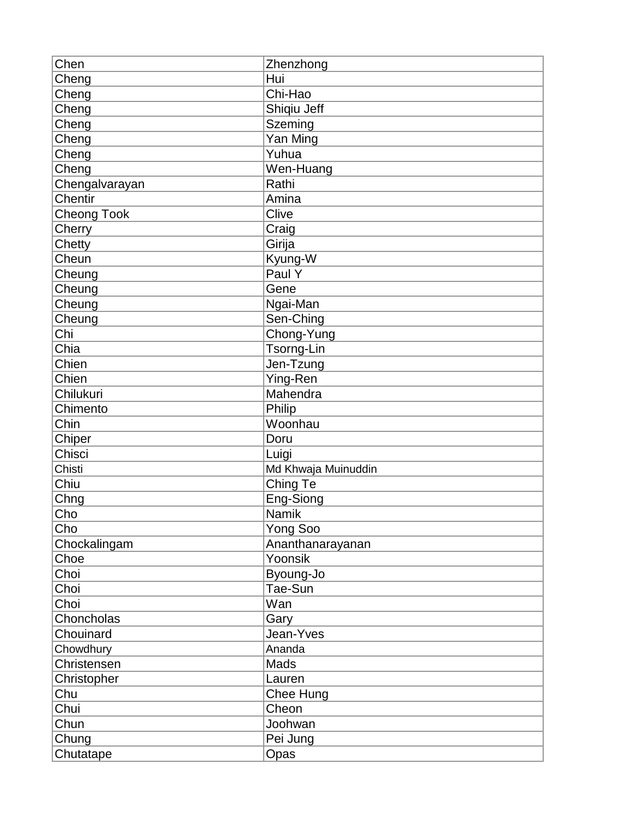| Chen               | Zhenzhong           |
|--------------------|---------------------|
| Cheng              | Hui                 |
| Cheng              | Chi-Hao             |
| Cheng              | Shiqiu Jeff         |
| Cheng              | Szeming             |
| Cheng              | Yan Ming            |
| Cheng              | Yuhua               |
| Cheng              | Wen-Huang           |
| Chengalvarayan     | Rathi               |
| Chentir            | Amina               |
| <b>Cheong Took</b> | Clive               |
| Cherry             | Craig               |
| Chetty             | Girija              |
| Cheun              | Kyung-W             |
| Cheung             | Paul Y              |
| Cheung             | Gene                |
| Cheung             | Ngai-Man            |
| Cheung             | Sen-Ching           |
| Chi                | Chong-Yung          |
| Chia               | Tsorng-Lin          |
| Chien              | Jen-Tzung           |
| Chien              | Ying-Ren            |
| Chilukuri          | Mahendra            |
| Chimento           | Philip              |
| Chin               | Woonhau             |
| Chiper             | Doru                |
| Chisci             | Luigi               |
| Chisti             | Md Khwaja Muinuddin |
| Chiu               | Ching Te            |
| Chng               | Eng-Siong           |
| Cho                | <b>Namik</b>        |
| Cho                | Yong Soo            |
| Chockalingam       | Ananthanarayanan    |
| Choe               | Yoonsik             |
| Choi               | Byoung-Jo           |
| Choi               | Tae-Sun             |
| Choi               | Wan                 |
| Choncholas         | Gary                |
| Chouinard          | Jean-Yves           |
| Chowdhury          | Ananda              |
| Christensen        | Mads                |
| Christopher        | Lauren              |
| Chu                | Chee Hung           |
| Chui               | Cheon               |
| Chun               | Joohwan             |
| Chung              | Pei Jung            |
| Chutatape          | Opas                |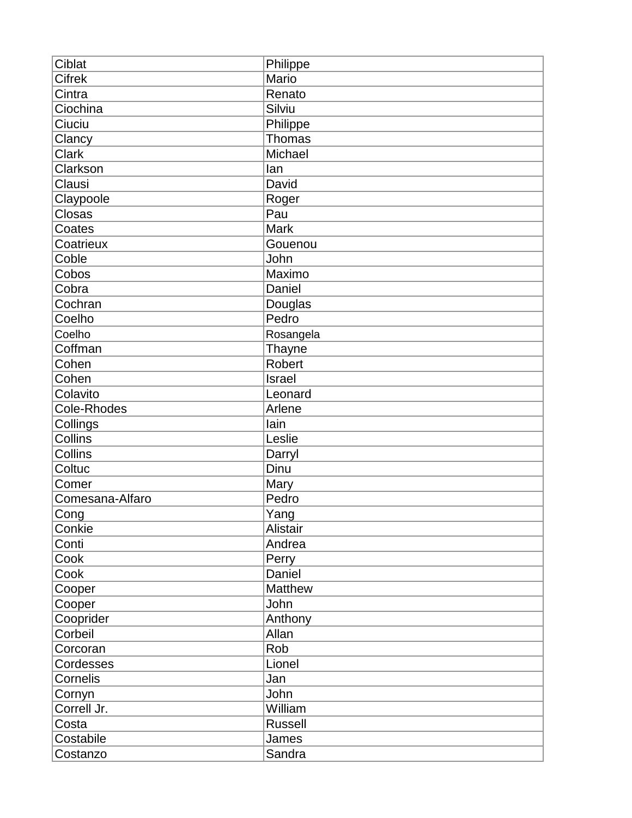| <b>Cifrek</b><br>Mario<br>Cintra<br>Renato |  |
|--------------------------------------------|--|
|                                            |  |
|                                            |  |
| Ciochina<br>Silviu                         |  |
| Ciuciu<br>Philippe                         |  |
| Clancy<br>Thomas                           |  |
| Michael<br><b>Clark</b>                    |  |
| Clarkson<br>lan                            |  |
| Clausi<br>David                            |  |
| Claypoole<br>Roger                         |  |
| Closas<br>Pau                              |  |
| <b>Mark</b><br>Coates                      |  |
| Coatrieux<br>Gouenou                       |  |
| Coble<br>John                              |  |
| Cobos<br>Maximo                            |  |
| Cobra<br>Daniel                            |  |
| Cochran<br>Douglas                         |  |
| Coelho<br>Pedro                            |  |
| Coelho<br>Rosangela                        |  |
| Coffman<br>Thayne                          |  |
| Cohen<br><b>Robert</b>                     |  |
| Cohen<br>Israel                            |  |
| Colavito<br>Leonard                        |  |
| Cole-Rhodes<br>Arlene                      |  |
| Collings<br>lain                           |  |
| Collins<br>Leslie                          |  |
| Collins<br>Darryl                          |  |
| Dinu<br>Coltuc                             |  |
| Comer<br>Mary                              |  |
| Comesana-Alfaro<br>Pedro                   |  |
| Cong<br>Yang                               |  |
| Conkie<br><b>Alistair</b>                  |  |
| Andrea<br>Conti                            |  |
| Cook<br>Perry                              |  |
| Daniel<br>Cook                             |  |
| Matthew<br>Cooper                          |  |
| John<br>Cooper                             |  |
| Cooprider<br>Anthony                       |  |
| Corbeil<br>Allan                           |  |
| Rob<br>Corcoran                            |  |
| Lionel<br>Cordesses                        |  |
| Cornelis<br>Jan                            |  |
| John<br>Cornyn                             |  |
| Correll Jr.<br>William                     |  |
| Costa<br><b>Russell</b>                    |  |
| Costabile<br>James                         |  |
| Sandra<br>Costanzo                         |  |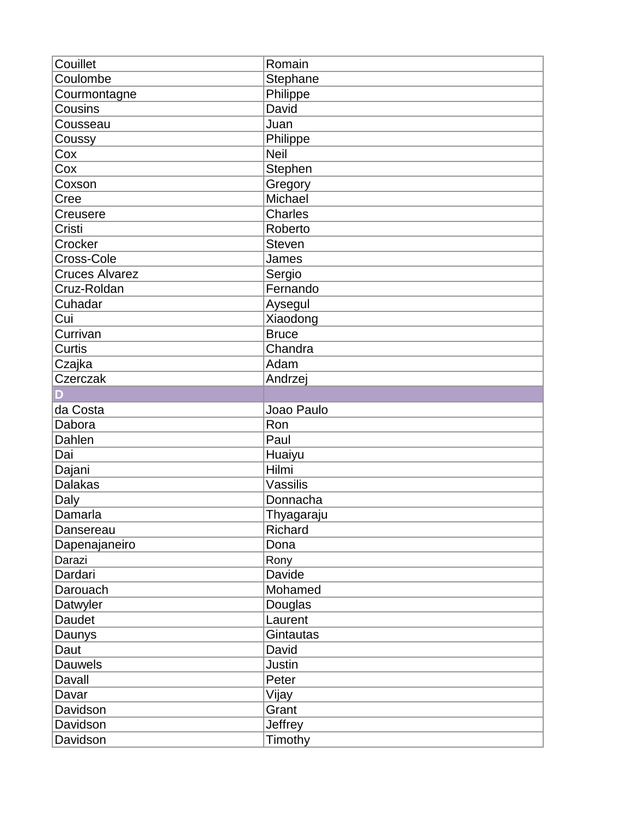| Couillet              | Romain           |
|-----------------------|------------------|
| Coulombe              | Stephane         |
| Courmontagne          | Philippe         |
| Cousins               | David            |
| Cousseau              | Juan             |
| Coussy                | Philippe         |
| Cox                   | <b>Neil</b>      |
| Cox                   | Stephen          |
| Coxson                | Gregory          |
| Cree                  | Michael          |
| Creusere              | <b>Charles</b>   |
| Cristi                | Roberto          |
| Crocker               | <b>Steven</b>    |
| Cross-Cole            | James            |
| <b>Cruces Alvarez</b> | Sergio           |
| Cruz-Roldan           | Fernando         |
| Cuhadar               | Aysegul          |
| Cui                   | Xiaodong         |
| Currivan              | <b>Bruce</b>     |
| Curtis                | Chandra          |
| Czajka                | Adam             |
| Czerczak              | Andrzej          |
| D                     |                  |
| da Costa              | Joao Paulo       |
| Dabora                | Ron              |
| Dahlen                | Paul             |
| Dai                   | Huaiyu           |
| Dajani                | Hilmi            |
| <b>Dalakas</b>        | Vassilis         |
| Daly                  | Donnacha         |
| Damarla               | Thyagaraju       |
| Dansereau             | Richard          |
| Dapenajaneiro         | Dona             |
| Darazi                | Rony             |
| Dardari               | Davide           |
| Darouach              | Mohamed          |
| Datwyler              | Douglas          |
| Daudet                | Laurent          |
| Daunys                | Gintautas        |
| Daut                  | David            |
| <b>Dauwels</b>        | Justin           |
| Davall                | Peter            |
| Davar                 | Vijay            |
|                       |                  |
|                       |                  |
| Davidson<br>Davidson  | Grant<br>Jeffrey |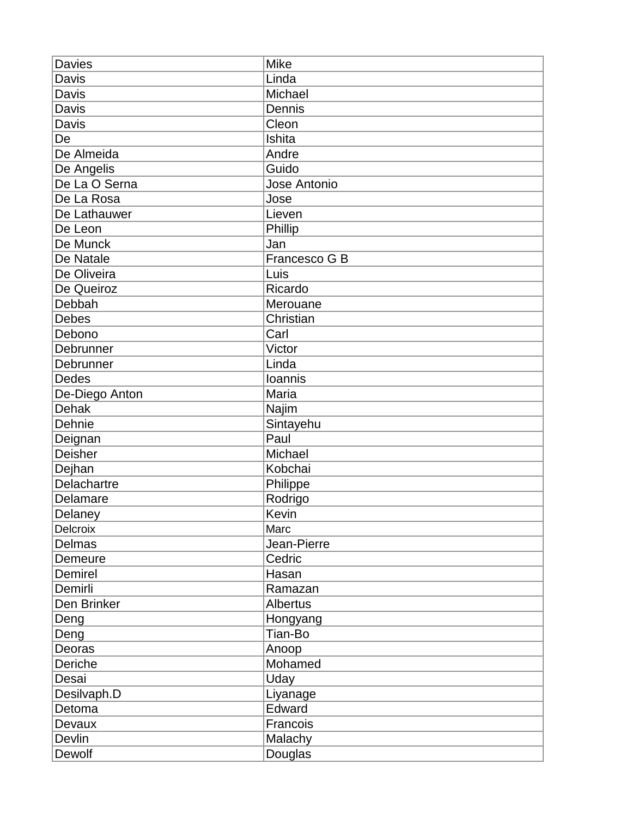| <b>Davies</b>      | <b>Mike</b>     |
|--------------------|-----------------|
| Davis              | Linda           |
| Davis              | Michael         |
| Davis              | Dennis          |
| Davis              | Cleon           |
| De                 | Ishita          |
| De Almeida         | Andre           |
| De Angelis         | Guido           |
| De La O Serna      | Jose Antonio    |
| De La Rosa         | Jose            |
| De Lathauwer       | Lieven          |
| De Leon            | Phillip         |
| De Munck           | Jan             |
| De Natale          | Francesco G B   |
| De Oliveira        | Luis            |
| De Queiroz         | Ricardo         |
| Debbah             | Merouane        |
| <b>Debes</b>       | Christian       |
| Debono             | Carl            |
| Debrunner          | Victor          |
| Debrunner          | Linda           |
| <b>Dedes</b>       | Ioannis         |
| De-Diego Anton     | Maria           |
| <b>Dehak</b>       | Najim           |
| Dehnie             | Sintayehu       |
| Deignan            | Paul            |
| <b>Deisher</b>     | Michael         |
| Dejhan             | Kobchai         |
| <b>Delachartre</b> | Philippe        |
| Delamare           | Rodrigo         |
| Delaney            | Kevin           |
| Delcroix           | Marc            |
| <b>Delmas</b>      | Jean-Pierre     |
| Demeure            | Cedric          |
| Demirel            | Hasan           |
| Demirli            | Ramazan         |
| Den Brinker        | <b>Albertus</b> |
| Deng               | Hongyang        |
| Deng               | Tian-Bo         |
| Deoras             | Anoop           |
| Deriche            | Mohamed         |
| Desai              | Uday            |
| Desilvaph.D        | Liyanage        |
| Detoma             | Edward          |
| Devaux             | Francois        |
| Devlin             | Malachy         |
| Dewolf             | Douglas         |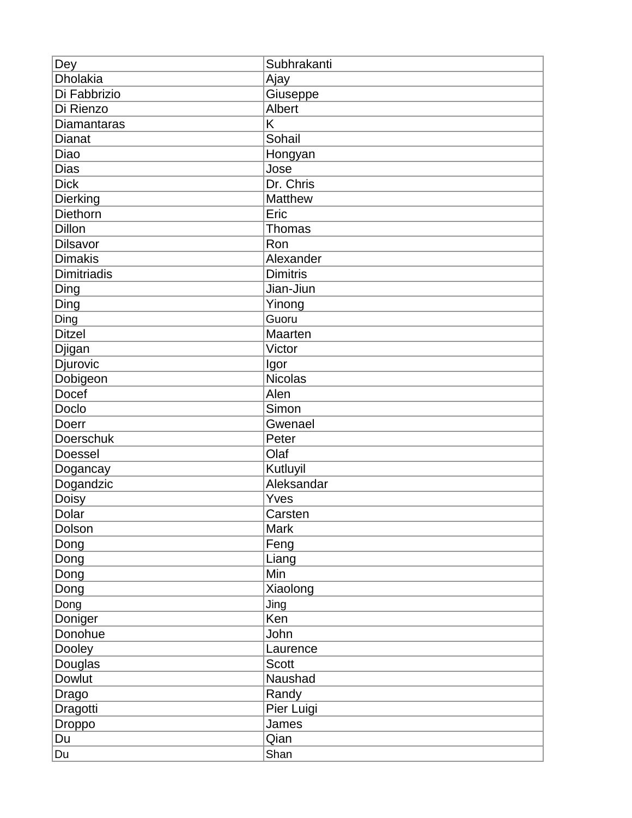| Dey                | Subhrakanti     |
|--------------------|-----------------|
| <b>Dholakia</b>    | Ajay            |
| Di Fabbrizio       | Giuseppe        |
| Di Rienzo          | <b>Albert</b>   |
| <b>Diamantaras</b> | K               |
| <b>Dianat</b>      | Sohail          |
| Diao               | Hongyan         |
| <b>Dias</b>        | Jose            |
| <b>Dick</b>        | Dr. Chris       |
| Dierking           | <b>Matthew</b>  |
| Diethorn           | Eric            |
| Dillon             | Thomas          |
| Dilsavor           | Ron             |
| <b>Dimakis</b>     | Alexander       |
| <b>Dimitriadis</b> | <b>Dimitris</b> |
| Ding               | Jian-Jiun       |
| Ding               | Yinong          |
| Ding               | Guoru           |
| <b>Ditzel</b>      | <b>Maarten</b>  |
| Djigan             | Victor          |
| Djurovic           | Igor            |
| Dobigeon           | <b>Nicolas</b>  |
| Docef              | Alen            |
| Doclo              | Simon           |
| Doerr              | Gwenael         |
| Doerschuk          | Peter           |
| Doessel            | Olaf            |
| Dogancay           | Kutluyil        |
| Dogandzic          | Aleksandar      |
| Doisy              | Yves            |
| Dolar              | Carsten         |
| Dolson             | Mark            |
| Dong               | Feng            |
| Dong               | Liang           |
| Dong               | Min             |
| Dong               | Xiaolong        |
| Dong               | Jing            |
| Doniger            | Ken             |
| Donohue            | John            |
| Dooley             | Laurence        |
| Douglas            | <b>Scott</b>    |
| <b>Dowlut</b>      | Naushad         |
| Drago              | Randy           |
| Dragotti           | Pier Luigi      |
| Droppo             | James           |
| Du                 | Qian            |
| Du                 | Shan            |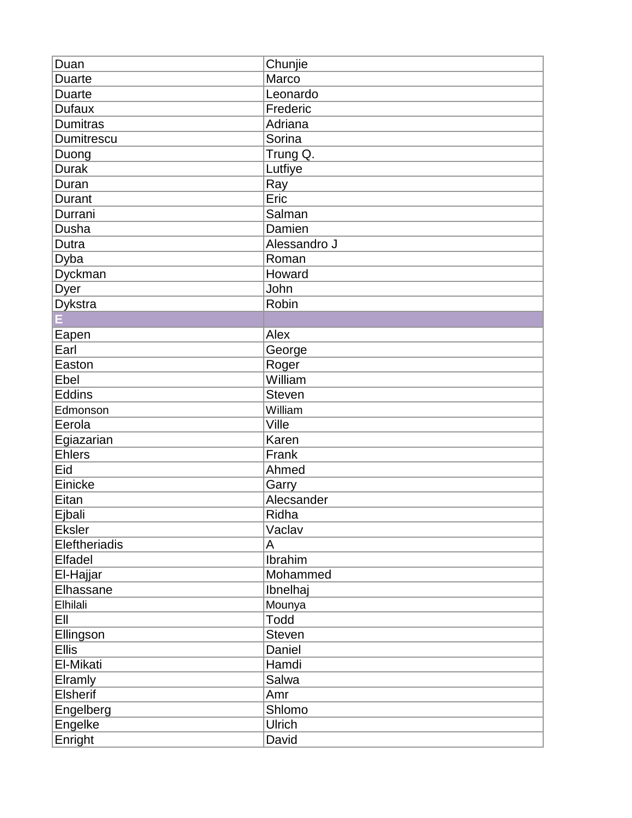| Duan                 | Chunjie        |
|----------------------|----------------|
| <b>Duarte</b>        | Marco          |
| <b>Duarte</b>        | Leonardo       |
| <b>Dufaux</b>        | Frederic       |
| <b>Dumitras</b>      | Adriana        |
| Dumitrescu           | Sorina         |
| Duong                | Trung Q.       |
| <b>Durak</b>         | Lutfiye        |
| Duran                | Ray            |
| Durant               | Eric           |
| Durrani              | Salman         |
| Dusha                | Damien         |
| Dutra                | Alessandro J   |
| Dyba                 | Roman          |
| Dyckman              | Howard         |
| Dyer                 | John           |
| <b>Dykstra</b>       | Robin          |
|                      |                |
| Eapen                | Alex           |
| Earl                 | George         |
| Easton               | Roger          |
| Ebel                 | William        |
| <b>Eddins</b>        | <b>Steven</b>  |
| Edmonson             | William        |
| Eerola               | Ville          |
| Egiazarian           | Karen          |
| <b>Ehlers</b>        | Frank          |
| Eid                  | Ahmed          |
| Einicke              | Garry          |
| Eitan                | Alecsander     |
| Ejbali               | Ridha          |
| <b>Eksler</b>        | Vaclav         |
| <b>Eleftheriadis</b> | A              |
| Elfadel              | <b>Ibrahim</b> |
| El-Hajjar            | Mohammed       |
| Elhassane            | Ibnelhaj       |
| Elhilali             | Mounya         |
| EII                  | Todd           |
| Ellingson            | <b>Steven</b>  |
| <b>Ellis</b>         | Daniel         |
| El-Mikati            | Hamdi          |
| Elramly              | Salwa          |
| Elsherif             | Amr            |
| Engelberg            | Shlomo         |
| Engelke              | <b>Ulrich</b>  |
| Enright              | David          |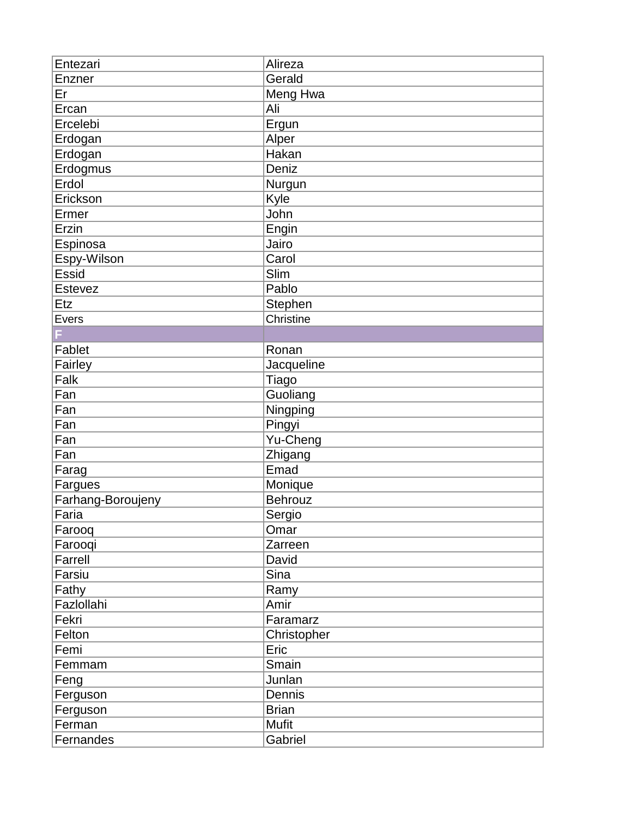| Entezari          | Alireza      |
|-------------------|--------------|
| Enzner            | Gerald       |
| Er                | Meng Hwa     |
| Ercan             | Ali          |
| Ercelebi          | Ergun        |
| Erdogan           | Alper        |
| Erdogan           | Hakan        |
| Erdogmus          | Deniz        |
| Erdol             | Nurgun       |
| Erickson          | Kyle         |
| Ermer             | John         |
| Erzin             | Engin        |
| Espinosa          | Jairo        |
| Espy-Wilson       | Carol        |
| <b>Essid</b>      | Slim         |
| Estevez           | Pablo        |
| Etz               | Stephen      |
| Evers             | Christine    |
|                   |              |
| Fablet            | Ronan        |
| Fairley           | Jacqueline   |
| Falk              | Tiago        |
| Fan               | Guoliang     |
| Fan               | Ningping     |
| Fan               | Pingyi       |
| Fan               | Yu-Cheng     |
| Fan               | Zhigang      |
| Farag             | Emad         |
| Fargues           | Monique      |
| Farhang-Boroujeny | Behrouz      |
| Faria             | Sergio       |
| Farooq            | Omar         |
| Farooqi           | Zarreen      |
| Farrell           | David        |
| Farsiu            | Sina         |
| Fathy             | Ramy         |
| Fazlollahi        | Amir         |
| Fekri             | Faramarz     |
| Felton            | Christopher  |
| Femi              | Eric         |
| Femmam            | Smain        |
| Feng              | Junlan       |
| Ferguson          | Dennis       |
| Ferguson          | <b>Brian</b> |
| Ferman            | Mufit        |
| Fernandes         | Gabriel      |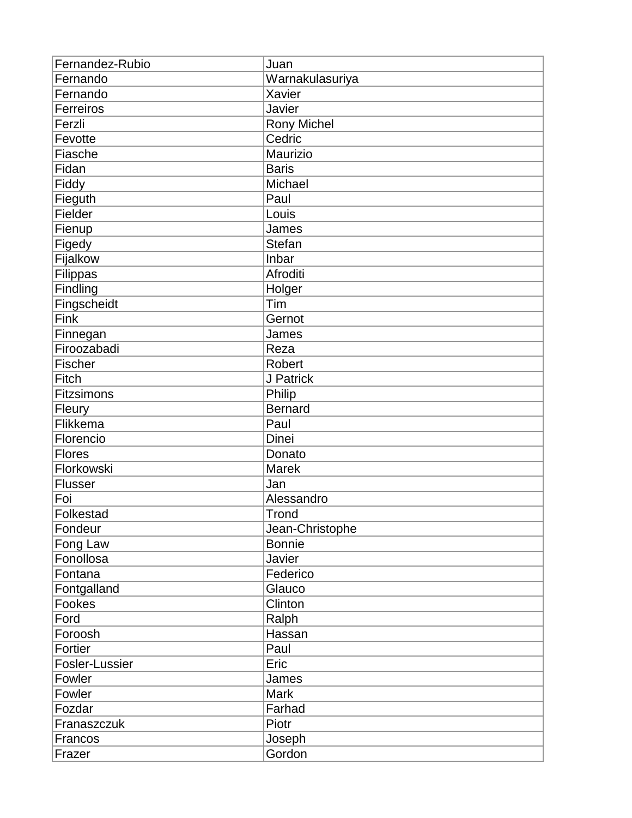| Fernandez-Rubio   | Juan               |
|-------------------|--------------------|
| Fernando          | Warnakulasuriya    |
| Fernando          | Xavier             |
| Ferreiros         | Javier             |
| Ferzli            | <b>Rony Michel</b> |
| Fevotte           | Cedric             |
| Fiasche           | Maurizio           |
| Fidan             | <b>Baris</b>       |
| Fiddy             | Michael            |
| Fieguth           | Paul               |
| Fielder           | Louis              |
| Fienup            | James              |
| Figedy            | Stefan             |
| Fijalkow          | Inbar              |
| Filippas          | Afroditi           |
| Findling          | Holger             |
| Fingscheidt       | Tim                |
| Fink              | Gernot             |
| Finnegan          | James              |
| Firoozabadi       | Reza               |
| Fischer           | Robert             |
| Fitch             | J Patrick          |
| <b>Fitzsimons</b> | Philip             |
| Fleury            | Bernard            |
| Flikkema          | Paul               |
| Florencio         | <b>Dinei</b>       |
| <b>Flores</b>     | Donato             |
| Florkowski        | <b>Marek</b>       |
| <b>Flusser</b>    | Jan                |
| Foi               | Alessandro         |
| Folkestad         | Trond              |
| Fondeur           | Jean-Christophe    |
| Fong Law          | <b>Bonnie</b>      |
| Fonollosa         | Javier             |
| Fontana           | Federico           |
| Fontgalland       | Glauco             |
| Fookes            | Clinton            |
| Ford              | Ralph              |
| Foroosh           | Hassan             |
| Fortier           | Paul               |
| Fosler-Lussier    | Eric               |
| Fowler            | James              |
| Fowler            | <b>Mark</b>        |
| Fozdar            | Farhad             |
| Franaszczuk       | Piotr              |
| Francos           | Joseph             |
| Frazer            | Gordon             |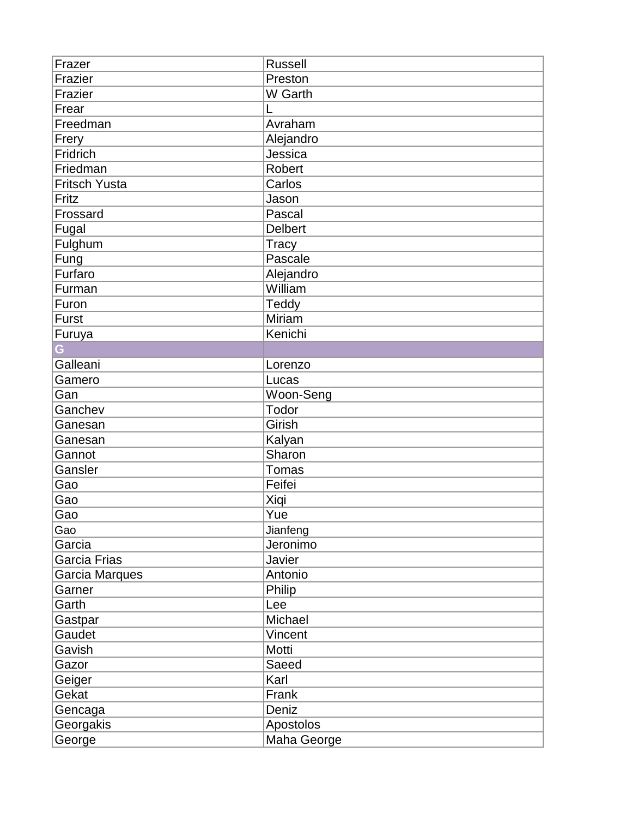| Frazer               | <b>Russell</b> |
|----------------------|----------------|
| Frazier              | Preston        |
| Frazier              | W Garth        |
| Frear                | L              |
| Freedman             | Avraham        |
| Frery                | Alejandro      |
| Fridrich             | Jessica        |
| Friedman             | <b>Robert</b>  |
| <b>Fritsch Yusta</b> | Carlos         |
| Fritz                | Jason          |
| Frossard             | Pascal         |
| Fugal                | <b>Delbert</b> |
| Fulghum              | Tracy          |
| Fung                 | Pascale        |
| Furfaro              | Alejandro      |
| Furman               | William        |
| Furon                | Teddy          |
| <b>Furst</b>         | Miriam         |
| Furuya               | Kenichi        |
|                      |                |
| Galleani             | Lorenzo        |
| Gamero               | Lucas          |
| Gan                  | Woon-Seng      |
| Ganchev              | Todor          |
| Ganesan              | Girish         |
| Ganesan              | Kalyan         |
| Gannot               | Sharon         |
| Gansler              | Tomas          |
| Gao                  | Feifei         |
| Gao                  | Xiqi           |
| Gao                  | Yue            |
| Gao                  | Jianfeng       |
| Garcia               | Jeronimo       |
| Garcia Frias         | Javier         |
| Garcia Marques       | Antonio        |
| Garner               | Philip         |
| Garth                | Lee            |
| Gastpar              | Michael        |
| Gaudet               | Vincent        |
| Gavish               | Motti          |
| Gazor                | Saeed          |
| Geiger               | Karl           |
| Gekat                | Frank          |
| Gencaga              | Deniz          |
| Georgakis            | Apostolos      |
| George               | Maha George    |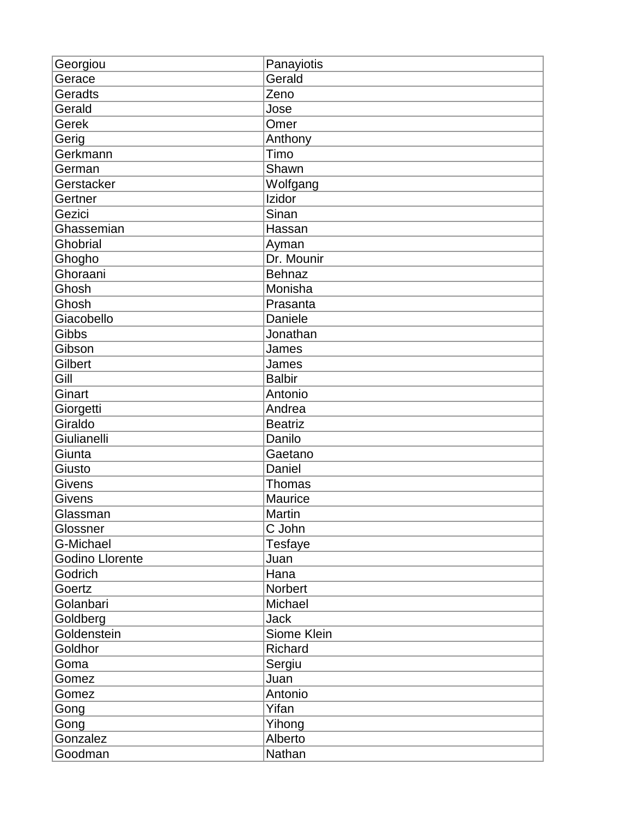| Georgiou               | Panayiotis     |
|------------------------|----------------|
| Gerace                 | Gerald         |
| Geradts                | Zeno           |
| Gerald                 | Jose           |
| Gerek                  | Omer           |
| Gerig                  | Anthony        |
| Gerkmann               | Timo           |
| German                 | Shawn          |
| Gerstacker             | Wolfgang       |
| Gertner                | Izidor         |
| Gezici                 | Sinan          |
| Ghassemian             | Hassan         |
| Ghobrial               | Ayman          |
| Ghogho                 | Dr. Mounir     |
| Ghoraani               | <b>Behnaz</b>  |
| Ghosh                  | Monisha        |
| Ghosh                  | Prasanta       |
| Giacobello             | Daniele        |
| Gibbs                  | Jonathan       |
| Gibson                 | James          |
| Gilbert                | James          |
| Gill                   | <b>Balbir</b>  |
| Ginart                 | Antonio        |
| Giorgetti              | Andrea         |
| Giraldo                | <b>Beatriz</b> |
| Giulianelli            | Danilo         |
| Giunta                 | Gaetano        |
| Giusto                 | Daniel         |
| Givens                 | Thomas         |
| <b>Givens</b>          | Maurice        |
| Glassman               | Martin         |
| Glossner               | C John         |
| G-Michael              | Tesfaye        |
| <b>Godino Llorente</b> | Juan           |
| Godrich                | Hana           |
| Goertz                 | Norbert        |
| Golanbari              | Michael        |
| Goldberg               | <b>Jack</b>    |
| Goldenstein            | Siome Klein    |
| Goldhor                | Richard        |
| Goma                   | Sergiu         |
| Gomez                  | Juan           |
| Gomez                  | Antonio        |
| Gong                   | Yifan          |
| Gong                   | Yihong         |
| Gonzalez               | Alberto        |
| Goodman                | Nathan         |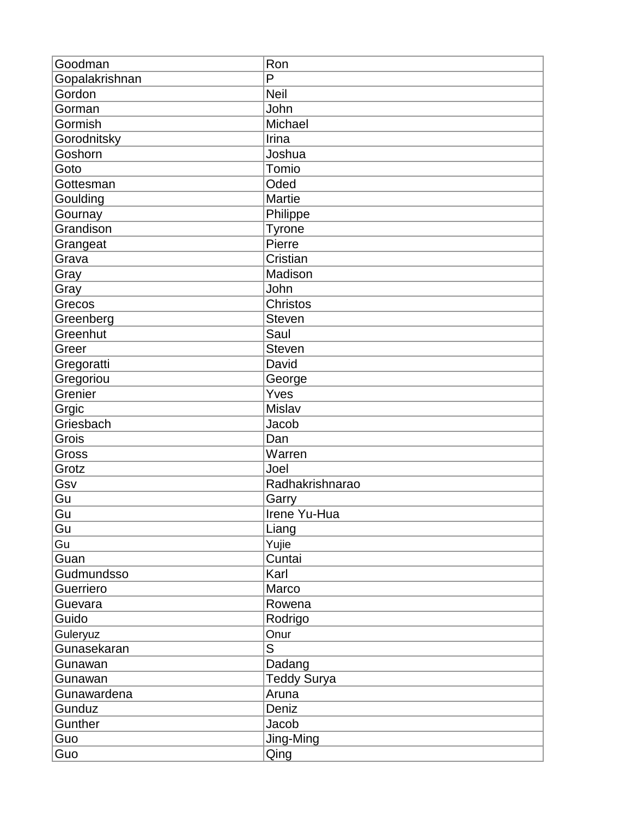| Goodman        | Ron                |
|----------------|--------------------|
| Gopalakrishnan | P                  |
| Gordon         | <b>Neil</b>        |
| Gorman         | John               |
| Gormish        | Michael            |
| Gorodnitsky    | Irina              |
| Goshorn        | Joshua             |
| Goto           | Tomio              |
| Gottesman      | Oded               |
| Goulding       | <b>Martie</b>      |
| Gournay        | Philippe           |
| Grandison      | <b>Tyrone</b>      |
| Grangeat       | Pierre             |
| Grava          | Cristian           |
| Gray           | Madison            |
| Gray           | John               |
| Grecos         | Christos           |
| Greenberg      | <b>Steven</b>      |
| Greenhut       | Saul               |
| Greer          | <b>Steven</b>      |
| Gregoratti     | David              |
| Gregoriou      | George             |
| Grenier        | Yves               |
| Grgic          | Mislav             |
| Griesbach      | Jacob              |
| Grois          | Dan                |
| Gross          | Warren             |
| Grotz          | Joel               |
| Gsv            | Radhakrishnarao    |
| Gu             | Garry              |
| Gu             | Irene Yu-Hua       |
| Gu             | Liang              |
| Gu             | Yujie              |
| Guan           | Cuntai             |
| Gudmundsso     | Karl               |
| Guerriero      | Marco              |
| Guevara        | Rowena             |
| Guido          | Rodrigo            |
| Guleryuz       | Onur               |
| Gunasekaran    | S                  |
| Gunawan        | Dadang             |
| Gunawan        | <b>Teddy Surya</b> |
| Gunawardena    | Aruna              |
| Gunduz         | Deniz              |
| Gunther        | Jacob              |
| Guo            | Jing-Ming          |
| Guo            | Qing               |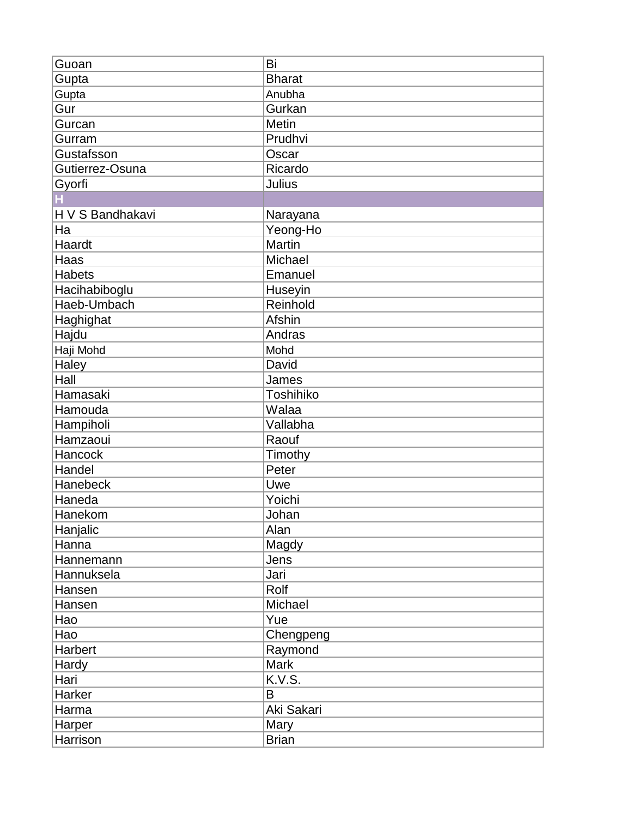| Guoan            | Bi            |
|------------------|---------------|
| Gupta            | <b>Bharat</b> |
| Gupta            | Anubha        |
| Gur              | Gurkan        |
| Gurcan           | Metin         |
| Gurram           | Prudhvi       |
| Gustafsson       | Oscar         |
| Gutierrez-Osuna  | Ricardo       |
| Gyorfi           | <b>Julius</b> |
|                  |               |
| H V S Bandhakavi | Narayana      |
| Ha               | Yeong-Ho      |
| Haardt           | <b>Martin</b> |
| Haas             | Michael       |
| Habets           | Emanuel       |
| Hacihabiboglu    | Huseyin       |
| Haeb-Umbach      | Reinhold      |
| <b>Haghighat</b> | Afshin        |
| Hajdu            | Andras        |
| Haji Mohd        | Mohd          |
| Haley            | David         |
| Hall             | James         |
| Hamasaki         | Toshihiko     |
| Hamouda          | Walaa         |
| Hampiholi        | Vallabha      |
| Hamzaoui         | Raouf         |
| Hancock          | Timothy       |
| Handel           | Peter         |
| Hanebeck         | Uwe           |
| Haneda           | Yoichi        |
| Hanekom          | Johan         |
| Hanjalic         | Alan          |
| Hanna            | Magdy         |
| Hannemann        | Jens          |
| Hannuksela       | Jari          |
| Hansen           | Rolf          |
| Hansen           | Michael       |
| Hao              | Yue           |
| Hao              | Chengpeng     |
| Harbert          | Raymond       |
| Hardy            | Mark          |
| Hari             | K.V.S.        |
| Harker           | $\sf B$       |
| Harma            | Aki Sakari    |
| Harper           | Mary          |
| Harrison         | <b>Brian</b>  |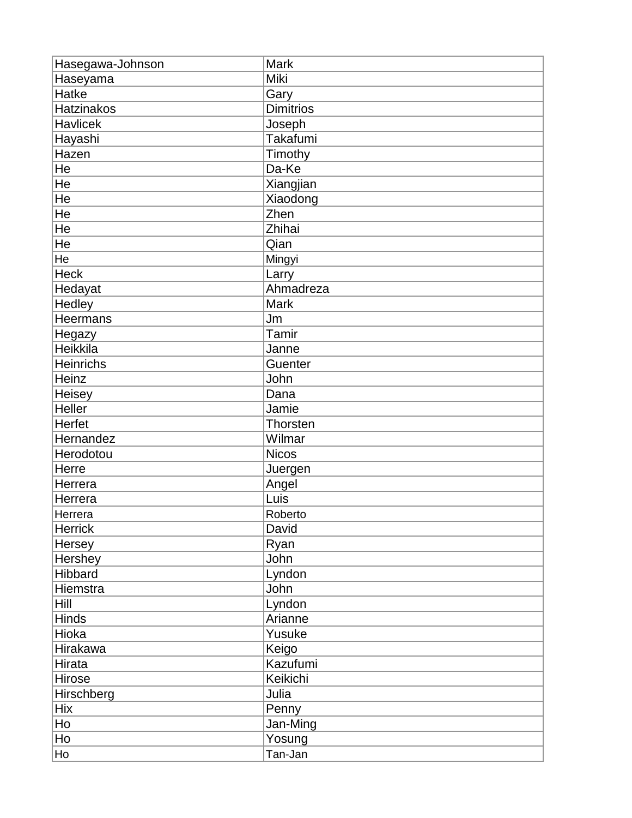| Hasegawa-Johnson  | <b>Mark</b>      |
|-------------------|------------------|
| Haseyama          | Miki             |
| Hatke             | Gary             |
| <b>Hatzinakos</b> | <b>Dimitrios</b> |
| <b>Havlicek</b>   | Joseph           |
| Hayashi           | Takafumi         |
| Hazen             | Timothy          |
| He                | Da-Ke            |
| He                | Xiangjian        |
| He                | Xiaodong         |
| He                | Zhen             |
| He                | Zhihai           |
| He                | Qian             |
| He                | Mingyi           |
| <b>Heck</b>       | Larry            |
| Hedayat           | Ahmadreza        |
| Hedley            | <b>Mark</b>      |
| Heermans          | Jm               |
| Hegazy            | Tamir            |
| Heikkila          | Janne            |
| Heinrichs         | Guenter          |
| Heinz             | John             |
| Heisey            | Dana             |
| Heller            | Jamie            |
| Herfet            | Thorsten         |
| Hernandez         | Wilmar           |
| Herodotou         | <b>Nicos</b>     |
| Herre             | Juergen          |
| Herrera           | Angel            |
| Herrera           | Luis             |
| Herrera           | Roberto          |
| Herrick           | David            |
| Hersey            | Ryan             |
| Hershey           | John             |
| Hibbard           | Lyndon           |
| Hiemstra          | John             |
| Hill              | Lyndon           |
| <b>Hinds</b>      | Arianne          |
| Hioka             | Yusuke           |
| Hirakawa          | Keigo            |
| Hirata            | Kazufumi         |
| Hirose            | Keikichi         |
| Hirschberg        | Julia            |
| <b>Hix</b>        | Penny            |
| Ho                | Jan-Ming         |
| Ho                | Yosung           |
| Ho                | Tan-Jan          |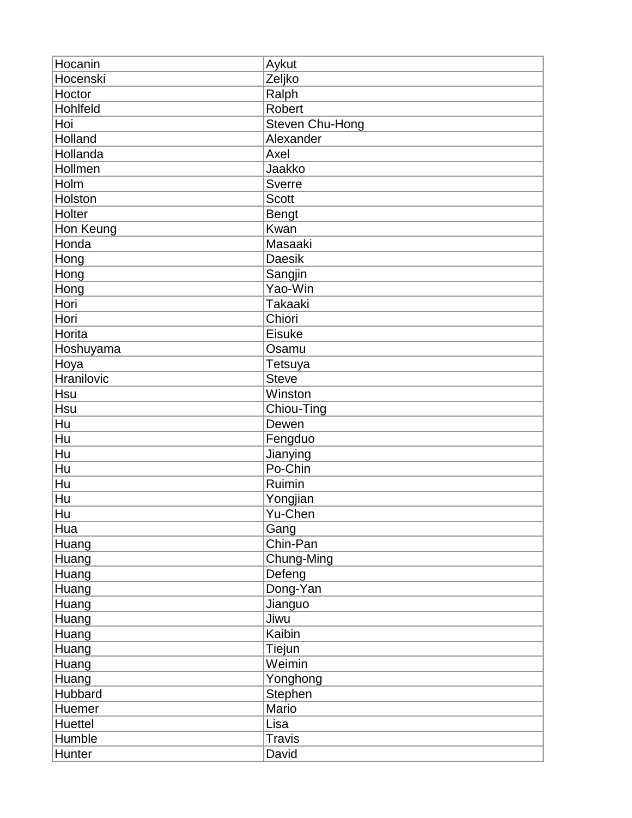| Hocanin    | Aykut           |
|------------|-----------------|
| Hocenski   | Zeljko          |
| Hoctor     | Ralph           |
| Hohlfeld   | Robert          |
| Hoi        | Steven Chu-Hong |
| Holland    | Alexander       |
| Hollanda   | Axel            |
| Hollmen    | Jaakko          |
| Holm       | Sverre          |
| Holston    | <b>Scott</b>    |
| Holter     | <b>Bengt</b>    |
| Hon Keung  | Kwan            |
| Honda      | Masaaki         |
| Hong       | <b>Daesik</b>   |
| Hong       | Sangjin         |
| Hong       | Yao-Win         |
| Hori       | <b>Takaaki</b>  |
| Hori       | Chiori          |
| Horita     | Eisuke          |
| Hoshuyama  | Osamu           |
| Hoya       | Tetsuya         |
| Hranilovic | <b>Steve</b>    |
| Hsu        | Winston         |
| Hsu        | Chiou-Ting      |
| Hu         | Dewen           |
| Hu         | Fengduo         |
| Hu         | Jianying        |
| Hu         | Po-Chin         |
| Hu         | Ruimin          |
| Hu         | Yongjian        |
| Hu         | Yu-Chen         |
| Hua        | Gang            |
| Huang      | Chin-Pan        |
| Huang      | Chung-Ming      |
| Huang      | Defeng          |
| Huang      | Dong-Yan        |
| Huang      | Jianguo         |
| Huang      | Jiwu            |
| Huang      | Kaibin          |
| Huang      | Tiejun          |
| Huang      | Weimin          |
| Huang      | Yonghong        |
| Hubbard    | <b>Stephen</b>  |
| Huemer     | Mario           |
| Huettel    | Lisa            |
| Humble     | <b>Travis</b>   |
| Hunter     | David           |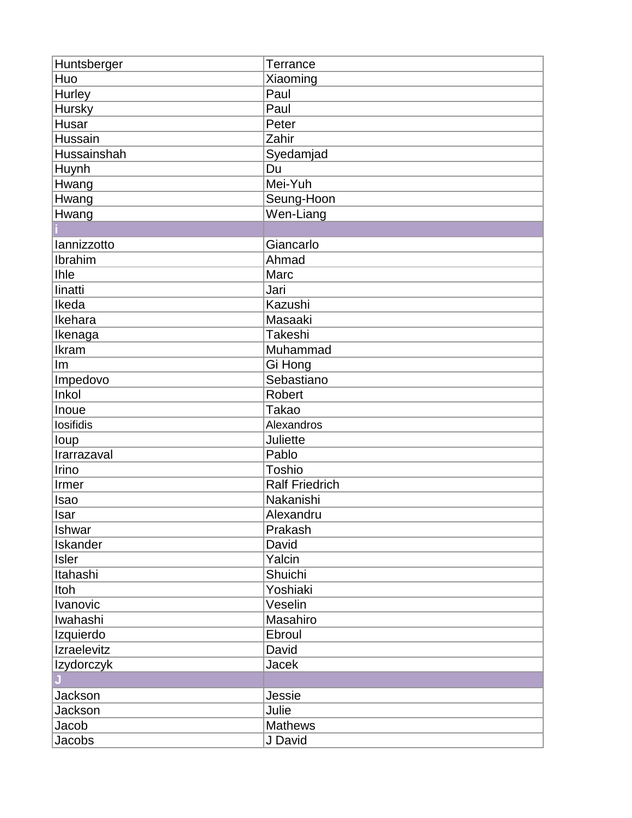| Huntsberger       | Terrance              |
|-------------------|-----------------------|
| Huo               | Xiaoming              |
| Hurley            | Paul                  |
| <b>Hursky</b>     | Paul                  |
| Husar             | Peter                 |
| Hussain           | Zahir                 |
| Hussainshah       | Syedamjad             |
| Huynh             | Du                    |
| Hwang             | Mei-Yuh               |
| Hwang             | Seung-Hoon            |
| Hwang             | Wen-Liang             |
|                   |                       |
| lannizzotto       | Giancarlo             |
| Ibrahim           | Ahmad                 |
| <b>Ihle</b>       | Marc                  |
| linatti           | Jari                  |
| Ikeda             | Kazushi               |
| Ikehara           | Masaaki               |
| Ikenaga           | Takeshi               |
| Ikram             | Muhammad              |
| Im                | Gi Hong               |
| Impedovo          | Sebastiano            |
| Inkol             | Robert                |
| Inoue             | <b>Takao</b>          |
| losifidis         | Alexandros            |
| loup              | Juliette              |
| Irarrazaval       | Pablo                 |
| Irino             | Toshio                |
| Irmer             | <b>Ralf Friedrich</b> |
| Isao              | Nakanishi             |
| Isar              | Alexandru             |
| Ishwar            | Prakash               |
| Iskander          | David                 |
| <b>Isler</b>      | Yalcin                |
| Itahashi          | Shuichi               |
| Itoh              | Yoshiaki              |
| Ivanovic          | Veselin               |
| Iwahashi          | Masahiro              |
| Izquierdo         | Ebroul                |
| Izraelevitz       | David                 |
| <b>Izydorczyk</b> | Jacek                 |
|                   |                       |
| Jackson           | Jessie                |
| Jackson           | Julie                 |
| Jacob             | <b>Mathews</b>        |
|                   |                       |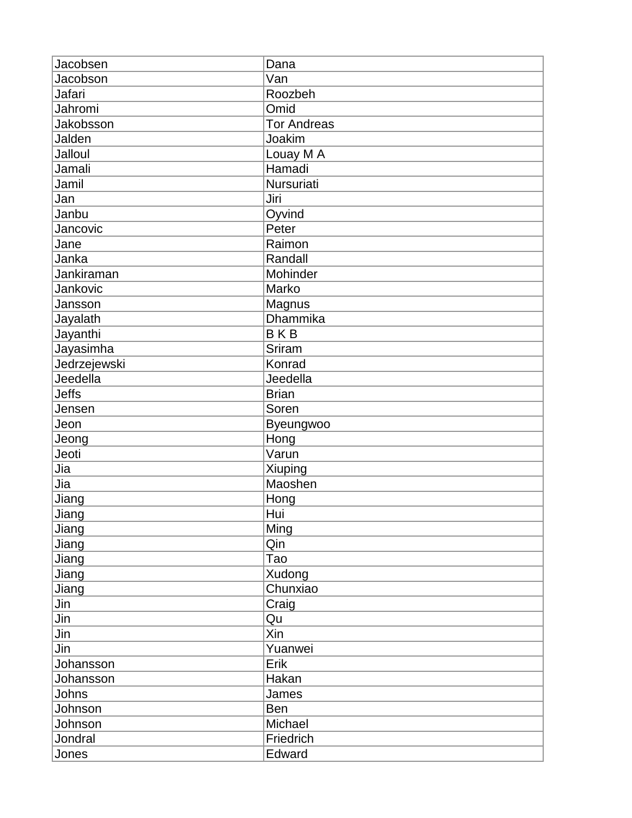| Jacobsen     | Dana               |
|--------------|--------------------|
| Jacobson     | Van                |
| Jafari       | Roozbeh            |
| Jahromi      | Omid               |
| Jakobsson    | <b>Tor Andreas</b> |
| Jalden       | Joakim             |
| Jalloul      | Louay M A          |
| Jamali       | Hamadi             |
| Jamil        | Nursuriati         |
| Jan          | Jiri               |
| Janbu        | Oyvind             |
| Jancovic     | Peter              |
| Jane         | Raimon             |
| Janka        | Randall            |
| Jankiraman   | Mohinder           |
| Jankovic     | Marko              |
| Jansson      | Magnus             |
| Jayalath     | <b>Dhammika</b>    |
| Jayanthi     | <b>BKB</b>         |
| Jayasimha    | Sriram             |
| Jedrzejewski | Konrad             |
| Jeedella     | Jeedella           |
| <b>Jeffs</b> | <b>Brian</b>       |
| Jensen       | Soren              |
| Jeon         | Byeungwoo          |
| Jeong        | Hong               |
| Jeoti        | Varun              |
| Jia          | Xiuping            |
| Jia          | Maoshen            |
| Jiang        | Hong               |
| Jiang        | Hui                |
| Jiang        | Ming               |
| Jiang        | Qin                |
| Jiang        | Tao                |
| Jiang        | Xudong             |
| Jiang        | Chunxiao           |
| Jin          | Craig              |
| Jin          | Qu                 |
| Jin          | Xin                |
| Jin          | Yuanwei            |
| Johansson    | Erik               |
| Johansson    | Hakan              |
| Johns        | James              |
| Johnson      | Ben                |
| Johnson      | Michael            |
| Jondral      | Friedrich          |
| Jones        | Edward             |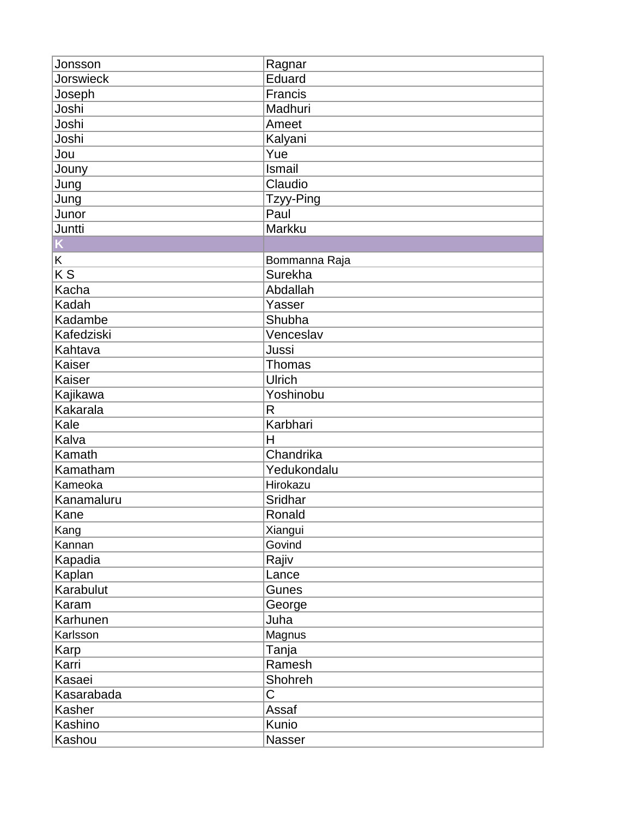| Jonsson          | Ragnar        |
|------------------|---------------|
| <b>Jorswieck</b> | Eduard        |
| Joseph           | Francis       |
| Joshi            | Madhuri       |
| Joshi            | Ameet         |
| Joshi            | Kalyani       |
| Jou              | Yue           |
| Jouny            | <b>Ismail</b> |
| Jung             | Claudio       |
| Jung             | Tzyy-Ping     |
| Junor            | Paul          |
| Juntti           | Markku        |
|                  |               |
| Κ                | Bommanna Raja |
| $\overline{K}$   | Surekha       |
| Kacha            | Abdallah      |
| Kadah            | Yasser        |
| Kadambe          | Shubha        |
| Kafedziski       | Venceslav     |
| Kahtava          | Jussi         |
| Kaiser           | Thomas        |
| Kaiser           | Ulrich        |
| Kajikawa         | Yoshinobu     |
| Kakarala         | $\mathsf{R}$  |
| Kale             | Karbhari      |
| Kalva            | H             |
| Kamath           | Chandrika     |
| Kamatham         | Yedukondalu   |
| Kameoka          | Hirokazu      |
| Kanamaluru       | Sridhar       |
| Kane             | Ronald        |
| Kang             | Xiangui       |
| Kannan           | Govind        |
| Kapadia          | Rajiv         |
| Kaplan           | Lance         |
| Karabulut        | Gunes         |
| Karam            | George        |
| Karhunen         | Juha          |
| Karlsson         | Magnus        |
| Karp             | Tanja         |
| Karri            | Ramesh        |
| Kasaei           | Shohreh       |
| Kasarabada       | $\mathsf C$   |
| Kasher           | Assaf         |
| Kashino          | Kunio         |
| Kashou           | Nasser        |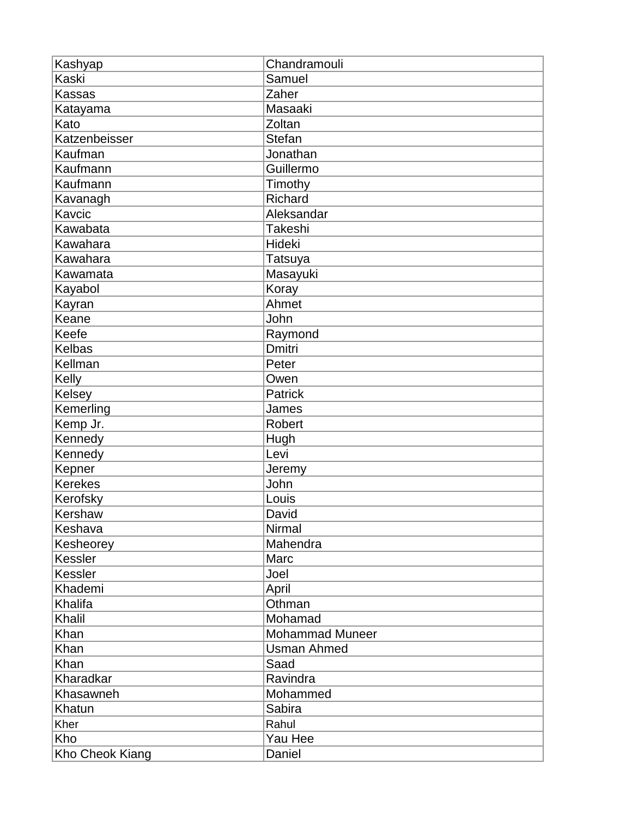| Kashyap         | Chandramouli           |
|-----------------|------------------------|
| <b>Kaski</b>    | Samuel                 |
| <b>Kassas</b>   | Zaher                  |
| Katayama        | Masaaki                |
| Kato            | Zoltan                 |
| Katzenbeisser   | <b>Stefan</b>          |
| Kaufman         | Jonathan               |
| Kaufmann        | Guillermo              |
| Kaufmann        | Timothy                |
| Kavanagh        | Richard                |
| Kavcic          | Aleksandar             |
| Kawabata        | Takeshi                |
| Kawahara        | Hideki                 |
| Kawahara        | <b>Tatsuya</b>         |
| Kawamata        | Masayuki               |
| Kayabol         | Koray                  |
| Kayran          | Ahmet                  |
| Keane           | John                   |
| Keefe           | Raymond                |
| Kelbas          | <b>Dmitri</b>          |
| Kellman         | Peter                  |
| Kelly           | Owen                   |
| Kelsey          | Patrick                |
| Kemerling       | James                  |
| Kemp Jr.        | Robert                 |
| Kennedy         | Hugh                   |
| Kennedy         | Levi                   |
| Kepner          | Jeremy                 |
| <b>Kerekes</b>  | John                   |
| Kerofsky        | Louis                  |
| Kershaw         | David                  |
| Keshava         | Nirmal                 |
| Kesheorey       | Mahendra               |
| Kessler         | Marc                   |
| Kessler         | Joel                   |
| Khademi         | April                  |
| Khalifa         | Othman                 |
| Khalil          | Mohamad                |
| Khan            | <b>Mohammad Muneer</b> |
| Khan            | <b>Usman Ahmed</b>     |
| Khan            | Saad                   |
| Kharadkar       | Ravindra               |
| Khasawneh       | Mohammed               |
| Khatun          | Sabira                 |
| Kher            | Rahul                  |
| Kho             | Yau Hee                |
| Kho Cheok Kiang | Daniel                 |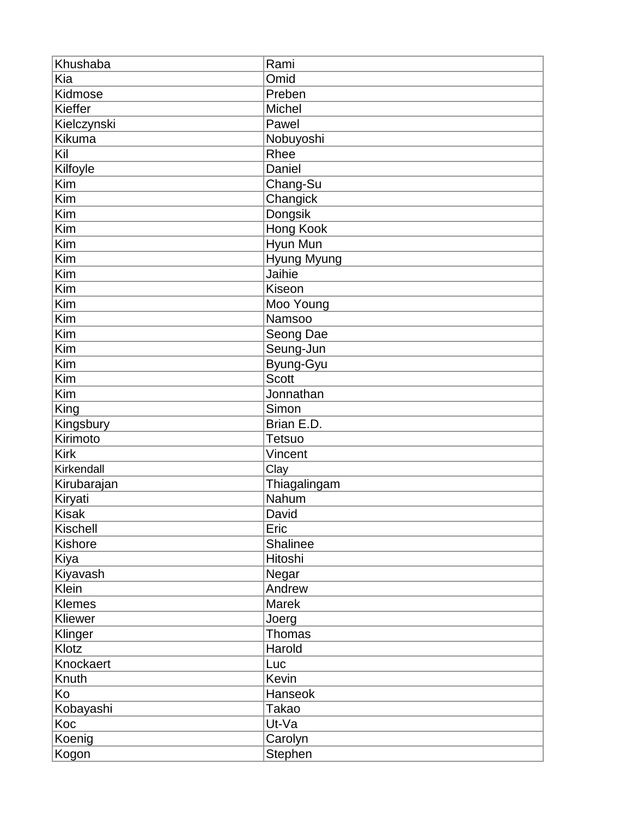| Khushaba      | Rami          |
|---------------|---------------|
| Kia           | Omid          |
| Kidmose       | Preben        |
| Kieffer       | Michel        |
| Kielczynski   | Pawel         |
| Kikuma        | Nobuyoshi     |
| Kil           | Rhee          |
| Kilfoyle      | Daniel        |
| Kim           | Chang-Su      |
| Kim           | Changick      |
| Kim           | Dongsik       |
| Kim           | Hong Kook     |
| Kim           | Hyun Mun      |
| Kim           | Hyung Myung   |
| Kim           | Jaihie        |
| Kim           | Kiseon        |
| Kim           | Moo Young     |
| Kim           | Namsoo        |
| Kim           | Seong Dae     |
| Kim           | Seung-Jun     |
| Kim           | Byung-Gyu     |
| Kim           | <b>Scott</b>  |
| Kim           | Jonnathan     |
| King          | Simon         |
| Kingsbury     | Brian E.D.    |
| Kirimoto      | Tetsuo        |
| <b>Kirk</b>   | Vincent       |
| Kirkendall    | Clay          |
| Kirubarajan   | Thiagalingam  |
| Kiryati       | Nahum         |
| <b>Kisak</b>  | David         |
| Kischell      | Eric          |
| Kishore       | Shalinee      |
| Kiya          | Hitoshi       |
| Kiyavash      | Negar         |
| Klein         | Andrew        |
| <b>Klemes</b> | Marek         |
| Kliewer       | Joerg         |
| Klinger       | <b>Thomas</b> |
| Klotz         | Harold        |
| Knockaert     | Luc           |
| Knuth         | Kevin         |
| Ko            | Hanseok       |
| Kobayashi     | <b>Takao</b>  |
| Koc           | Ut-Va         |
| Koenig        | Carolyn       |
| Kogon         | Stephen       |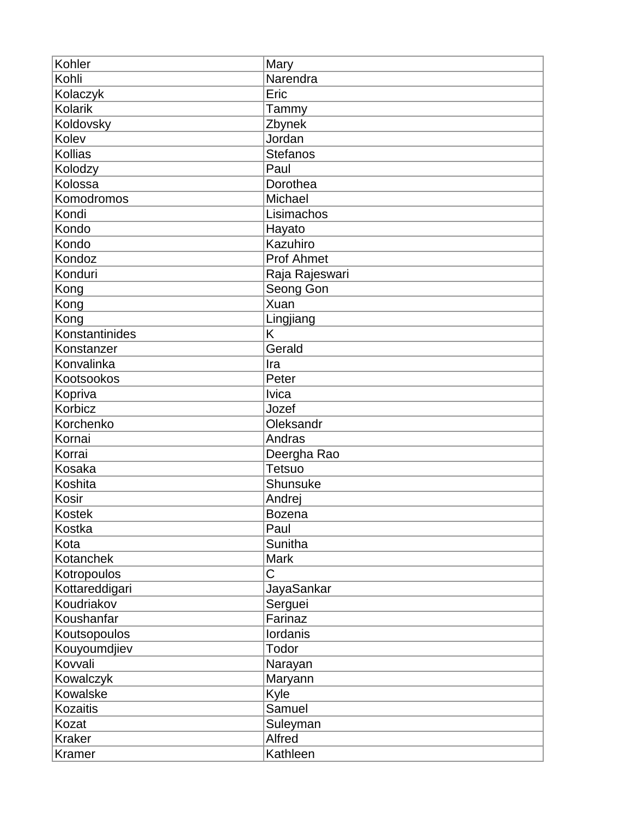| Kohler           | Mary              |
|------------------|-------------------|
| Kohli            | Narendra          |
| Kolaczyk         | Eric              |
| <b>Kolarik</b>   | Tammy             |
| <b>Koldovsky</b> | Zbynek            |
| Kolev            | Jordan            |
| Kollias          | <b>Stefanos</b>   |
| Kolodzy          | Paul              |
| Kolossa          | Dorothea          |
| Komodromos       | Michael           |
| Kondi            | Lisimachos        |
| Kondo            | Hayato            |
| Kondo            | Kazuhiro          |
| Kondoz           | <b>Prof Ahmet</b> |
| Konduri          | Raja Rajeswari    |
| Kong             | Seong Gon         |
| Kong             | Xuan              |
| Kong             | Lingjiang         |
| Konstantinides   | K                 |
| Konstanzer       | Gerald            |
| Konvalinka       | Ira               |
| Kootsookos       | Peter             |
| Kopriva          | <b>lvica</b>      |
| Korbicz          | Jozef             |
| Korchenko        | Oleksandr         |
| Kornai           | Andras            |
| Korrai           | Deergha Rao       |
| Kosaka           | Tetsuo            |
| Koshita          | Shunsuke          |
| Kosir            | Andrej            |
| <b>Kostek</b>    | <b>Bozena</b>     |
| Kostka           | Paul              |
| Kota             | <b>Sunitha</b>    |
| Kotanchek        | <b>Mark</b>       |
| Kotropoulos      | C                 |
| Kottareddigari   | JayaSankar        |
| Koudriakov       | Serguei           |
| Koushanfar       | Farinaz           |
| Koutsopoulos     | <b>lordanis</b>   |
| Kouyoumdjiev     | Todor             |
| Kovvali          | Narayan           |
| Kowalczyk        | Maryann           |
| Kowalske         | Kyle              |
| <b>Kozaitis</b>  | Samuel            |
| Kozat            | Suleyman          |
| <b>Kraker</b>    | Alfred            |
| Kramer           | Kathleen          |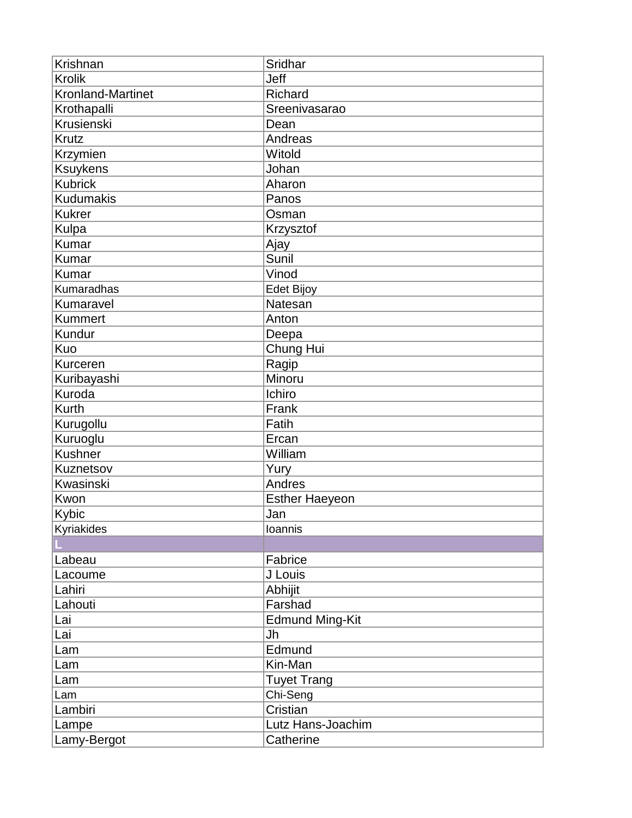| Krishnan          | Sridhar                |
|-------------------|------------------------|
| <b>Krolik</b>     | Jeff                   |
| Kronland-Martinet | Richard                |
| Krothapalli       | Sreenivasarao          |
| Krusienski        | Dean                   |
| <b>Krutz</b>      | Andreas                |
| Krzymien          | Witold                 |
| <b>Ksuykens</b>   | Johan                  |
| <b>Kubrick</b>    | Aharon                 |
| <b>Kudumakis</b>  | Panos                  |
| <b>Kukrer</b>     | Osman                  |
| Kulpa             | Krzysztof              |
| Kumar             | Ajay                   |
| Kumar             | Sunil                  |
| <b>Kumar</b>      | Vinod                  |
| Kumaradhas        | Edet Bijoy             |
| Kumaravel         | Natesan                |
| <b>Kummert</b>    | Anton                  |
| Kundur            | Deepa                  |
| Kuo               | Chung Hui              |
| Kurceren          | Ragip                  |
| Kuribayashi       | Minoru                 |
| Kuroda            | Ichiro                 |
| <b>Kurth</b>      | Frank                  |
| Kurugollu         | Fatih                  |
| Kuruoglu          | Ercan                  |
| Kushner           | William                |
| Kuznetsov         | Yury                   |
| Kwasinski         | Andres                 |
| Kwon              | <b>Esther Haeyeon</b>  |
| Kybic             | Jan                    |
| Kyriakides        | Ioannis                |
|                   |                        |
| Labeau            | Fabrice                |
| Lacoume           | J Louis                |
| Lahiri            | Abhijit                |
| Lahouti           | Farshad                |
| Lai               | <b>Edmund Ming-Kit</b> |
| Lai               | Jh                     |
| Lam               | Edmund                 |
| Lam               | Kin-Man                |
| Lam               | <b>Tuyet Trang</b>     |
| Lam               | Chi-Seng               |
| Lambiri           | Cristian               |
| Lampe             | Lutz Hans-Joachim      |
| Lamy-Bergot       | Catherine              |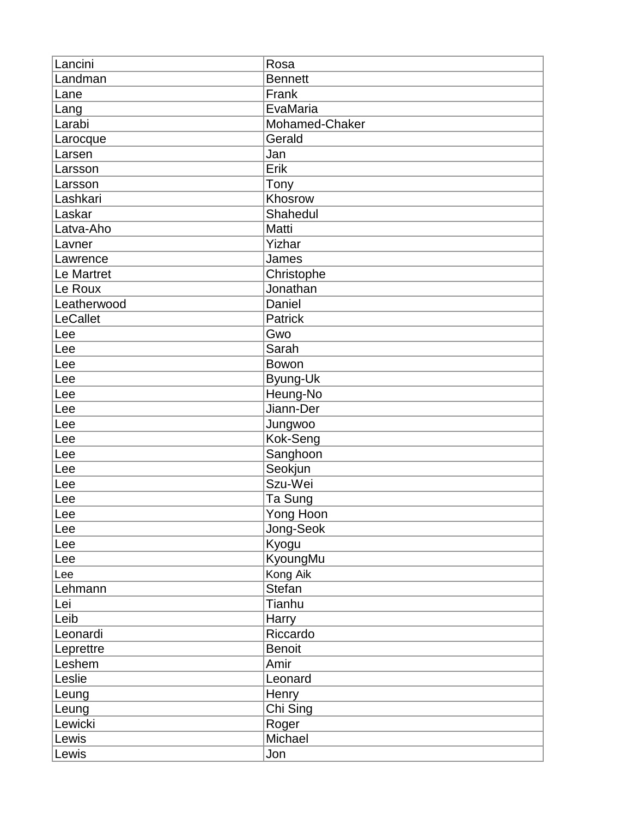| Lancini     | Rosa           |
|-------------|----------------|
| Landman     | <b>Bennett</b> |
| Lane        | Frank          |
| Lang        | EvaMaria       |
| Larabi      | Mohamed-Chaker |
| Larocque    | Gerald         |
| Larsen      | Jan            |
| Larsson     | Erik           |
| Larsson     | Tony           |
| Lashkari    | Khosrow        |
| Laskar      | Shahedul       |
| Latva-Aho   | Matti          |
| Lavner      | Yizhar         |
| Lawrence    | James          |
| Le Martret  | Christophe     |
| Le Roux     | Jonathan       |
| Leatherwood | Daniel         |
| LeCallet    | Patrick        |
| Lee         | Gwo            |
| Lee         | Sarah          |
| Lee         | Bowon          |
| Lee         | Byung-Uk       |
| Lee         | Heung-No       |
| Lee         | Jiann-Der      |
| Lee         | Jungwoo        |
| Lee         | Kok-Seng       |
| Lee         | Sanghoon       |
| Lee         | Seokjun        |
| Lee         | Szu-Wei        |
| Lee         | Ta Sung        |
| Lee         | Yong Hoon      |
| Lee         | Jong-Seok      |
| Lee         | Kyogu          |
| Lee         | KyoungMu       |
| Lee         | Kong Aik       |
| Lehmann     | Stefan         |
| Lei         | Tianhu         |
| Leib        | Harry          |
| Leonardi    | Riccardo       |
| Leprettre   | <b>Benoit</b>  |
| Leshem      | Amir           |
| Leslie      | Leonard        |
| Leung       | Henry          |
| Leung       | Chi Sing       |
| Lewicki     | Roger          |
| Lewis       | Michael        |
| Lewis       | Jon            |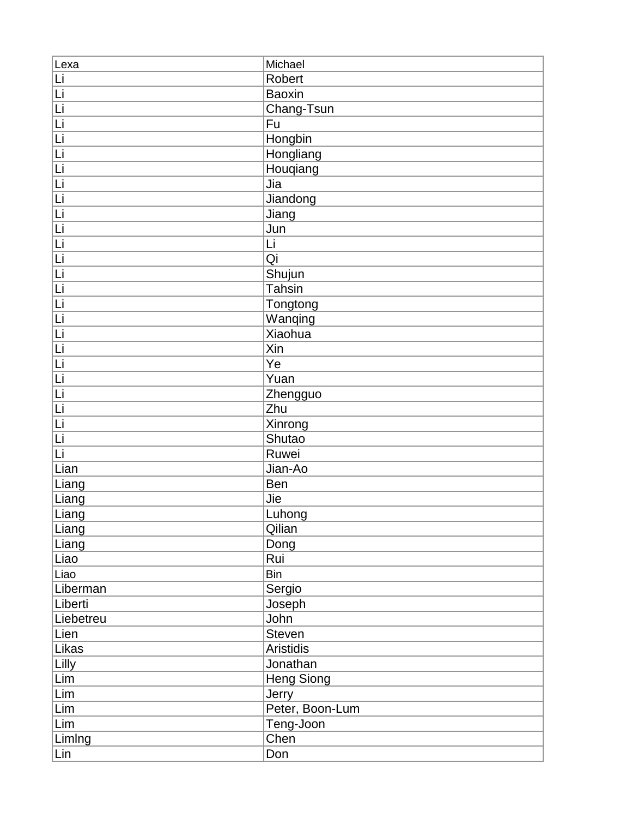| Lexa      | Michael           |
|-----------|-------------------|
| Li        | Robert            |
| Li        | Baoxin            |
| Ιū        | Chang-Tsun        |
| Li        | Fu                |
| Ιū        | Hongbin           |
| <u>Li</u> | Hongliang         |
| Ιū        | Houqiang          |
| Li        | Jia               |
| Li        | Jiandong          |
| Li        | Jiang             |
| Li        | Jun               |
| Ιū        | Li                |
| <u>Li</u> | Qi                |
| Ιū        | Shujun            |
| Li        | <b>Tahsin</b>     |
| <u>Li</u> | Tongtong          |
| Ιū        | Wanqing           |
| Li        | <b>Xiaohua</b>    |
| Ιū        | Xin               |
| Li        | Ye                |
| Li        | Yuan              |
| Ιū        | Zhengguo          |
| Li        | Zhu               |
| Li        | Xinrong           |
| Li        | Shutao            |
| Li        | Ruwei             |
| Lian      | Jian-Ao           |
| Liang     | Ben               |
| Liang     | Jie               |
| Liang     | Luhong            |
| Liang     | Qilian            |
| Liang     | Dong              |
| Liao      | Rui               |
| Liao      | <b>Bin</b>        |
| Liberman  | Sergio            |
| Liberti   | Joseph            |
| Liebetreu | John              |
| Lien      | Steven            |
| Likas     | Aristidis         |
| Lilly     | Jonathan          |
| Lim       | <b>Heng Siong</b> |
| Lim       | Jerry             |
| Lim       | Peter, Boon-Lum   |
| Lim       | Teng-Joon         |
| Limlng    | Chen              |
| Lin       | Don               |
|           |                   |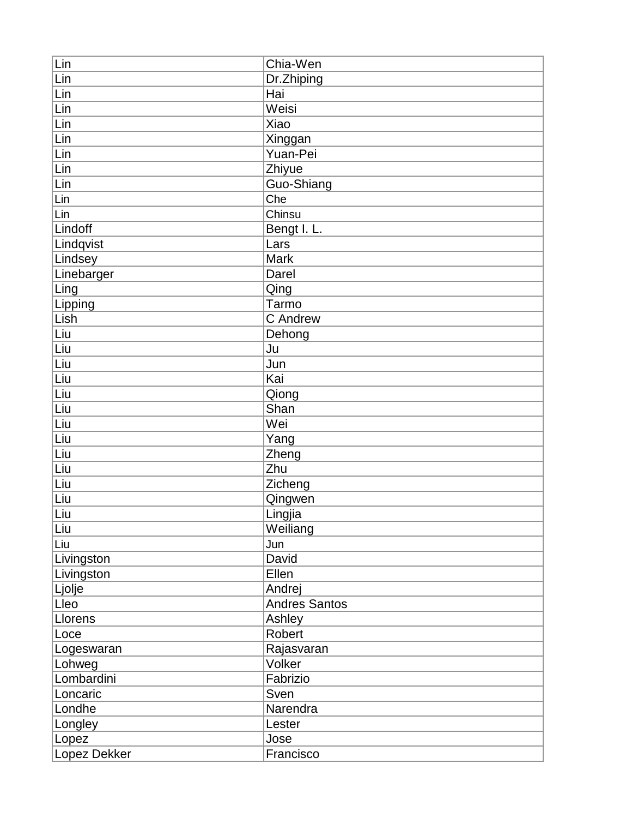| Lin          | Chia-Wen             |
|--------------|----------------------|
| Lin          | Dr.Zhiping           |
| Lin          | Hai                  |
| Lin          | Weisi                |
| Lin          | Xiao                 |
| Lin          | Xinggan              |
| Lin          | Yuan-Pei             |
| Lin          | Zhiyue               |
| Lin          | Guo-Shiang           |
| Lin          | Che                  |
| Lin          | Chinsu               |
| Lindoff      | Bengt I. L.          |
| Lindqvist    | Lars                 |
| Lindsey      | <b>Mark</b>          |
| Linebarger   | Darel                |
| Ling         | Qing                 |
| Lipping      | Tarmo                |
| Lish         | C Andrew             |
| Liu          | Dehong               |
| Liu          | Ju                   |
| Liu          | Jun                  |
| Liu          | Kai                  |
| Liu          | Qiong                |
| Liu          | Shan                 |
| Liu          | Wei                  |
| Liu          | Yang                 |
| Liu          | Zheng                |
| Liu          | Zhu                  |
| Liu          | Zicheng              |
| ∫Liu         | Qingwen              |
| Liu          | Lingjia              |
| Liu          | Weiliang             |
| Liu          | Jun                  |
| Livingston   | David                |
| Livingston   | Ellen                |
| Ljolje       | Andrej               |
| Lleo         | <b>Andres Santos</b> |
| Llorens      | Ashley               |
| Loce         | Robert               |
| Logeswaran   | Rajasvaran           |
| Lohweg       | Volker               |
| Lombardini   | Fabrizio             |
| Loncaric     | Sven                 |
| Londhe       | Narendra             |
| Longley      | Lester               |
| Lopez        | Jose                 |
| Lopez Dekker | Francisco            |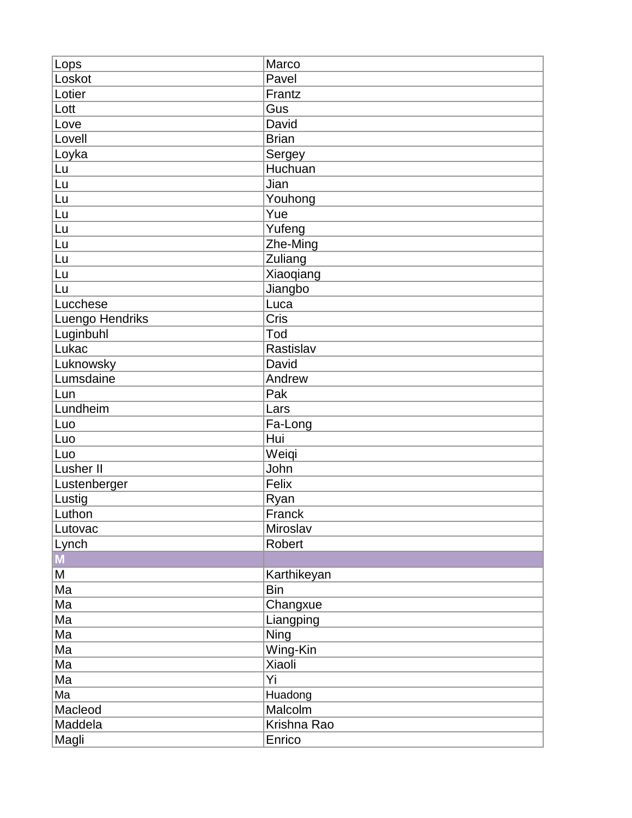| Lops            | Marco        |
|-----------------|--------------|
| Loskot          | Pavel        |
| Lotier          | Frantz       |
| Lott            | Gus          |
| Love            | David        |
| Lovell          | <b>Brian</b> |
| Loyka           | Sergey       |
| Lu              | Huchuan      |
| Lu              | Jian         |
| Lu              | Youhong      |
| Lu              | Yue          |
| Lu              | Yufeng       |
| Lu              | Zhe-Ming     |
| Lu              | Zuliang      |
| Lu              | Xiaoqiang    |
| Lu              | Jiangbo      |
| Lucchese        | Luca         |
| Luengo Hendriks | Cris         |
| Luginbuhl       | Tod          |
| Lukac           | Rastislav    |
| Luknowsky       | David        |
| Lumsdaine       | Andrew       |
| Lun             | Pak          |
| Lundheim        | Lars         |
| Luo             | Fa-Long      |
| Luo             | Hui          |
| Luo             | Weiqi        |
| Lusher II       | John         |
| Lustenberger    | Felix        |
| Lustig          | Ryan         |
| Luthon          | Franck       |
| Lutovac         | Miroslav     |
| Lynch           | Robert       |
| $\mathbf{M}$    |              |
| M               | Karthikeyan  |
| Ma              | <b>Bin</b>   |
| Ma              | Changxue     |
| Ma              | Liangping    |
| Ma              | <b>Ning</b>  |
| Ma              | Wing-Kin     |
| Ma              | Xiaoli       |
| Ma              | Yi           |
| Ma              | Huadong      |
| Macleod         | Malcolm      |
| Maddela         |              |
|                 | Krishna Rao  |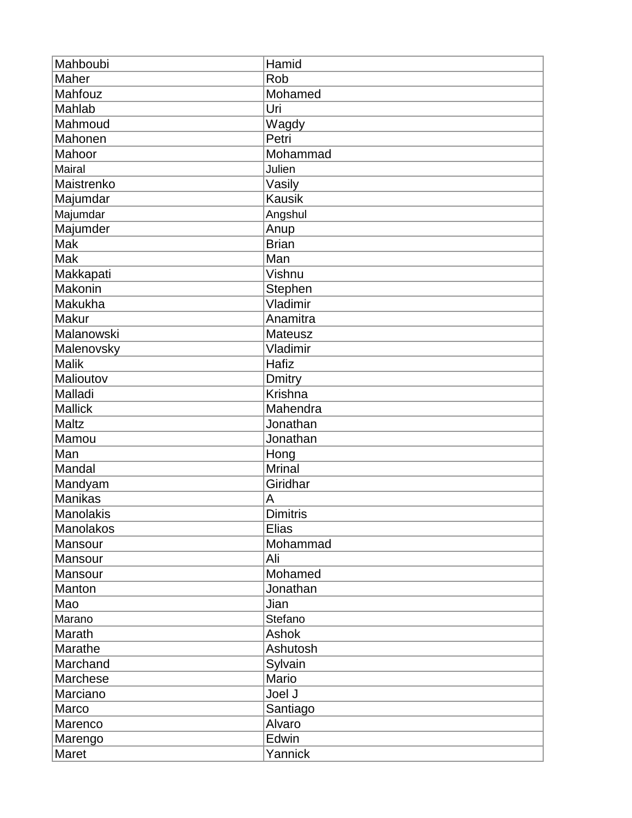| Mahboubi         | Hamid           |
|------------------|-----------------|
| Maher            | Rob             |
| Mahfouz          | Mohamed         |
| Mahlab           | Uri             |
| Mahmoud          | Wagdy           |
| Mahonen          | Petri           |
| Mahoor           | Mohammad        |
| Mairal           | Julien          |
| Maistrenko       | Vasily          |
| Majumdar         | <b>Kausik</b>   |
| Majumdar         | Angshul         |
| Majumder         | Anup            |
| Mak              | <b>Brian</b>    |
| Mak              | Man             |
| Makkapati        | Vishnu          |
| Makonin          | Stephen         |
| Makukha          | Vladimir        |
| Makur            | Anamitra        |
| Malanowski       | Mateusz         |
| Malenovsky       | Vladimir        |
| <b>Malik</b>     | Hafiz           |
| Malioutov        | <b>Dmitry</b>   |
| Malladi          | Krishna         |
| <b>Mallick</b>   | Mahendra        |
| Maltz            | Jonathan        |
| Mamou            | Jonathan        |
| Man              | Hong            |
| Mandal           | <b>Mrinal</b>   |
| Mandyam          | Giridhar        |
| <b>Manikas</b>   | Α               |
| <b>Manolakis</b> | <b>Dimitris</b> |
| Manolakos        | <b>Elias</b>    |
| Mansour          | Mohammad        |
| Mansour          | Ali             |
| Mansour          | Mohamed         |
| Manton           | Jonathan        |
| Mao              | Jian            |
| Marano           | Stefano         |
| Marath           | Ashok           |
| Marathe          | Ashutosh        |
| Marchand         | Sylvain         |
| Marchese         | Mario           |
| Marciano         | Joel J          |
| Marco            | Santiago        |
| Marenco          | Alvaro          |
| Marengo          | Edwin           |
| Maret            | Yannick         |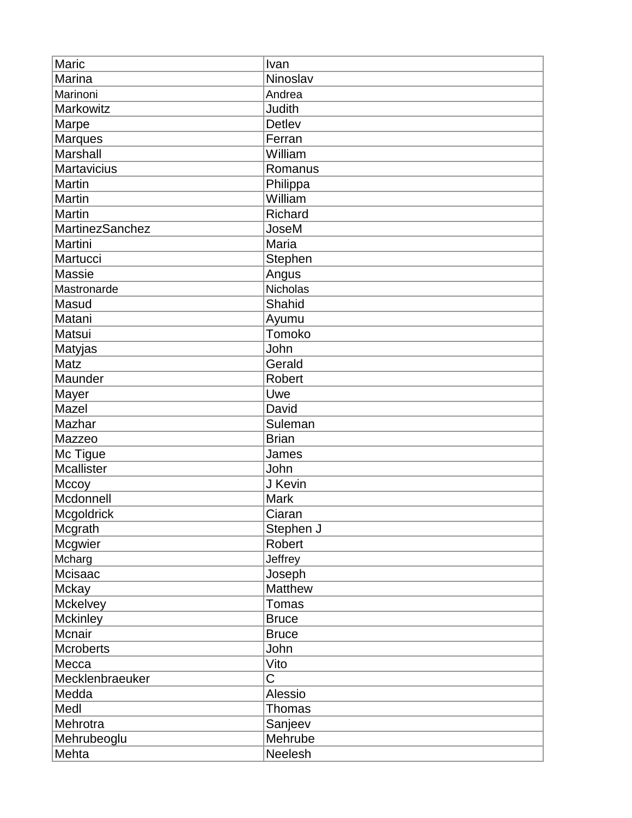| Maric           | Ivan           |
|-----------------|----------------|
| Marina          | Ninoslav       |
| Marinoni        | Andrea         |
| Markowitz       | Judith         |
| Marpe           | <b>Detlev</b>  |
| <b>Marques</b>  | Ferran         |
| Marshall        | William        |
| Martavicius     | Romanus        |
| Martin          | Philippa       |
| Martin          | William        |
| Martin          | Richard        |
| MartinezSanchez | JoseM          |
| Martini         | Maria          |
| Martucci        | Stephen        |
| Massie          | Angus          |
| Mastronarde     | Nicholas       |
| Masud           | Shahid         |
| Matani          | Ayumu          |
| Matsui          | Tomoko         |
| Matyjas         | John           |
| Matz            | Gerald         |
| Maunder         | <b>Robert</b>  |
| Mayer           | Uwe            |
| Mazel           | David          |
| Mazhar          | Suleman        |
| Mazzeo          | <b>Brian</b>   |
| Mc Tigue        | James          |
| Mcallister      | John           |
| Mccoy           | J Kevin        |
| Mcdonnell       | Mark           |
| Mcgoldrick      | Ciaran         |
| Mcgrath         | Stephen J      |
| Mcgwier         | Robert         |
| Mcharg          | Jeffrey        |
| Mcisaac         | Joseph         |
| <b>Mckay</b>    | <b>Matthew</b> |
| Mckelvey        | Tomas          |
| <b>Mckinley</b> | <b>Bruce</b>   |
| Mcnair          | <b>Bruce</b>   |
| Mcroberts       | John           |
| Mecca           | Vito           |
| Mecklenbraeuker | С              |
| Medda           | Alessio        |
| Medl            | <b>Thomas</b>  |
| Mehrotra        | Sanjeev        |
| Mehrubeoglu     | Mehrube        |
| Mehta           | Neelesh        |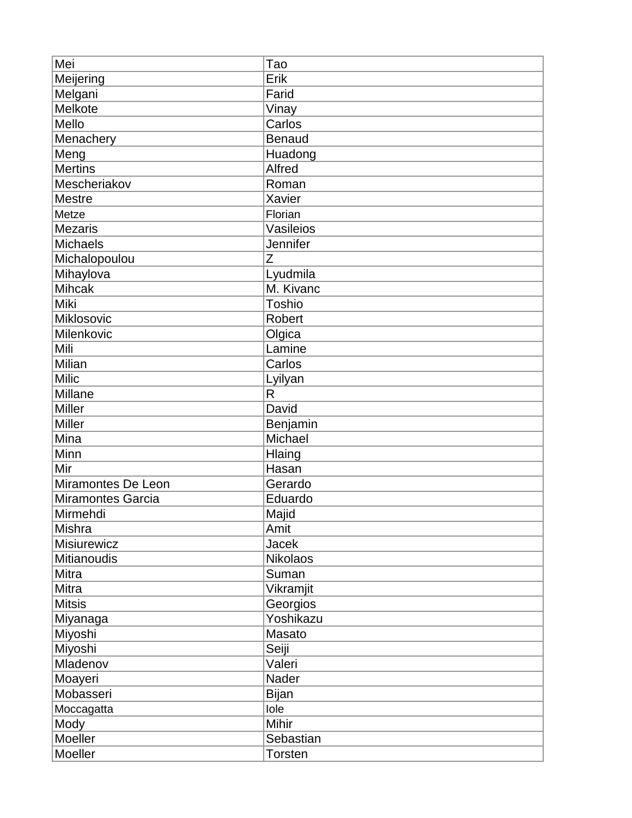| Mei                | Tao             |
|--------------------|-----------------|
| Meijering          | Erik            |
| Melgani            | Farid           |
| Melkote            | Vinay           |
| Mello              | Carlos          |
| Menachery          | <b>Benaud</b>   |
| Meng               | Huadong         |
| <b>Mertins</b>     | Alfred          |
| Mescheriakov       | Roman           |
| <b>Mestre</b>      | Xavier          |
| Metze              | Florian         |
| <b>Mezaris</b>     | Vasileios       |
| <b>Michaels</b>    | Jennifer        |
| Michalopoulou      | Z               |
| Mihaylova          | Lyudmila        |
| <b>Mihcak</b>      | M. Kivanc       |
| Miki               | <b>Toshio</b>   |
| Miklosovic         | Robert          |
| Milenkovic         | Olgica          |
| Mili               | Lamine          |
| Milian             | Carlos          |
| <b>Milic</b>       | Lyilyan         |
| Millane            | R               |
| <b>Miller</b>      | David           |
| <b>Miller</b>      | Benjamin        |
| Mina               | Michael         |
| Minn               | Hlaing          |
| Mir                | Hasan           |
| Miramontes De Leon | Gerardo         |
| Miramontes Garcia  | Eduardo         |
| Mirmehdi           | Majid           |
| Mishra             | Amit            |
| Misiurewicz        | Jacek           |
| Mitianoudis        | <b>Nikolaos</b> |
| Mitra              | Suman           |
| Mitra              | Vikramjit       |
| <b>Mitsis</b>      | Georgios        |
| Miyanaga           | Yoshikazu       |
| Miyoshi            | Masato          |
| Miyoshi            | Seiji           |
| Mladenov           | Valeri          |
| Moayeri            | Nader           |
| Mobasseri          | <b>Bijan</b>    |
| Moccagatta         | lole            |
| Mody               | Mihir           |
| Moeller            | Sebastian       |
| Moeller            | <b>Torsten</b>  |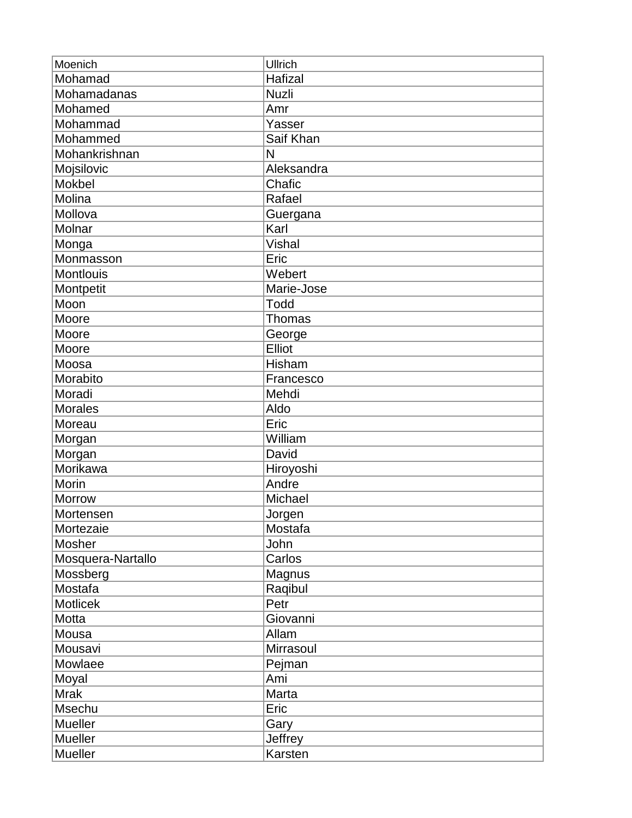| Moenich           | Ullrich       |
|-------------------|---------------|
| Mohamad           | Hafizal       |
| Mohamadanas       | <b>Nuzli</b>  |
| Mohamed           | Amr           |
| Mohammad          | Yasser        |
| Mohammed          | Saif Khan     |
| Mohankrishnan     | N             |
| Mojsilovic        | Aleksandra    |
| Mokbel            | Chafic        |
| Molina            | Rafael        |
| Mollova           | Guergana      |
| Molnar            | Karl          |
| Monga             | Vishal        |
| Monmasson         | Eric          |
| <b>Montlouis</b>  | Webert        |
| Montpetit         | Marie-Jose    |
| Moon              | Todd          |
| Moore             | Thomas        |
| Moore             | George        |
| Moore             | Elliot        |
| Moosa             | <b>Hisham</b> |
| Morabito          | Francesco     |
| Moradi            | Mehdi         |
| <b>Morales</b>    | Aldo          |
| Moreau            | Eric          |
| Morgan            | William       |
| Morgan            | David         |
| Morikawa          | Hiroyoshi     |
| Morin             | Andre         |
| <b>Morrow</b>     | Michael       |
| Mortensen         | Jorgen        |
| Mortezaie         | Mostafa       |
| Mosher            | John          |
| Mosquera-Nartallo | Carlos        |
| Mossberg          | Magnus        |
| Mostafa           | Raqibul       |
| Motlicek          | Petr          |
| Motta             | Giovanni      |
| Mousa             | Allam         |
| Mousavi           | Mirrasoul     |
| Mowlaee           | Pejman        |
| Moyal             | Ami           |
| <b>Mrak</b>       | Marta         |
| Msechu            | Eric          |
| <b>Mueller</b>    | Gary          |
| <b>Mueller</b>    | Jeffrey       |
| Mueller           | Karsten       |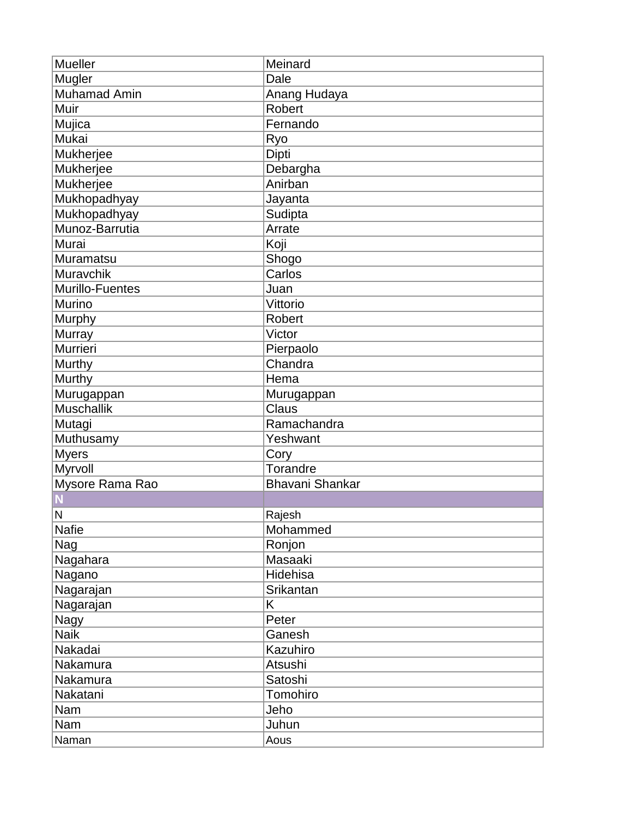| <b>Mueller</b>      | Meinard                |
|---------------------|------------------------|
| Mugler              | Dale                   |
| <b>Muhamad Amin</b> | Anang Hudaya           |
| Muir                | <b>Robert</b>          |
| Mujica              | Fernando               |
| Mukai               | Ryo                    |
| Mukherjee           | Dipti                  |
| Mukherjee           | Debargha               |
| Mukherjee           | Anirban                |
| Mukhopadhyay        | Jayanta                |
| Mukhopadhyay        | Sudipta                |
| Munoz-Barrutia      | Arrate                 |
| Murai               | Koji                   |
| <b>Muramatsu</b>    | Shogo                  |
| Muravchik           | Carlos                 |
| Murillo-Fuentes     | Juan                   |
| Murino              | Vittorio               |
| Murphy              | <b>Robert</b>          |
| Murray              | Victor                 |
| Murrieri            | Pierpaolo              |
| Murthy              | Chandra                |
| Murthy              | Hema                   |
| Murugappan          | Murugappan             |
| <b>Muschallik</b>   | Claus                  |
| Mutagi              | Ramachandra            |
| Muthusamy           | Yeshwant               |
| <b>Myers</b>        | Cory                   |
| Myrvoll             | Torandre               |
| Mysore Rama Rao     | <b>Bhavani Shankar</b> |
|                     |                        |
| N                   | Rajesh                 |
| <b>Nafie</b>        | Mohammed               |
| Nag                 | Ronjon                 |
| Nagahara            | Masaaki                |
| Nagano              | Hidehisa               |
| Nagarajan           | Srikantan              |
| Nagarajan           | Κ                      |
| Nagy                | Peter                  |
| <b>Naik</b>         | Ganesh                 |
| Nakadai             | Kazuhiro               |
| Nakamura            | Atsushi                |
| Nakamura            | Satoshi                |
| Nakatani            | Tomohiro               |
| Nam                 | Jeho                   |
| Nam                 | Juhun                  |
| Naman               | Aous                   |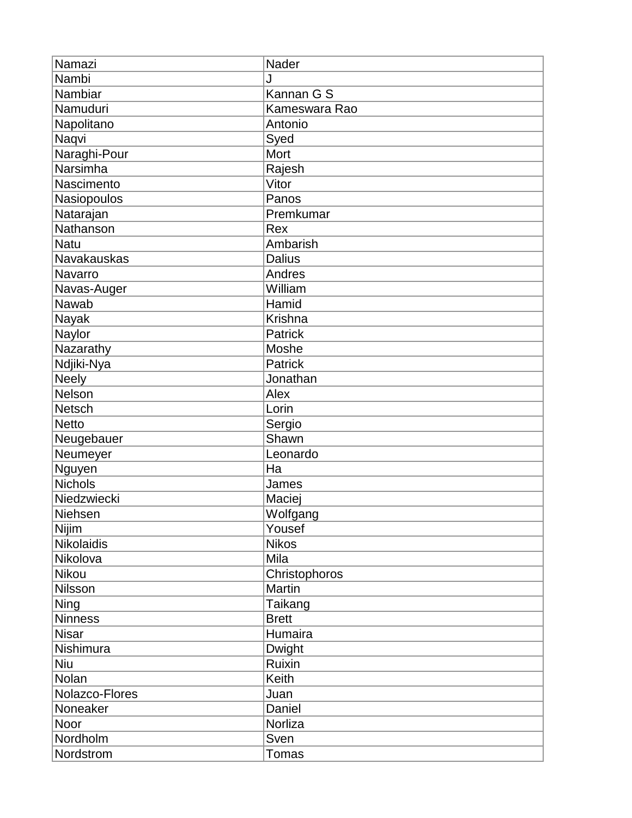| Namazi             | Nader          |
|--------------------|----------------|
| Nambi              | J              |
| Nambiar            | Kannan G S     |
| Namuduri           | Kameswara Rao  |
| Napolitano         | Antonio        |
| Naqvi              | Syed           |
| Naraghi-Pour       | Mort           |
| Narsimha           | Rajesh         |
| Nascimento         | Vitor          |
| Nasiopoulos        | Panos          |
| Natarajan          | Premkumar      |
| Nathanson          | Rex            |
| <b>Natu</b>        | Ambarish       |
| <b>Navakauskas</b> | <b>Dalius</b>  |
| Navarro            | Andres         |
| Navas-Auger        | William        |
| Nawab              | Hamid          |
| Nayak              | <b>Krishna</b> |
| Naylor             | Patrick        |
| Nazarathy          | Moshe          |
| Ndjiki-Nya         | Patrick        |
| <b>Neely</b>       | Jonathan       |
| <b>Nelson</b>      | Alex           |
| <b>Netsch</b>      | Lorin          |
| <b>Netto</b>       | Sergio         |
| Neugebauer         | Shawn          |
| Neumeyer           | Leonardo       |
| Nguyen             | Ha             |
| <b>Nichols</b>     | James          |
| Niedzwiecki        | Maciej         |
| Niehsen            | Wolfgang       |
| Nijim              | Yousef         |
| <b>Nikolaidis</b>  | <b>Nikos</b>   |
| Nikolova           | Mila           |
| Nikou              | Christophoros  |
| Nilsson            | Martin         |
| Ning               | Taikang        |
| <b>Ninness</b>     | <b>Brett</b>   |
| <b>Nisar</b>       | Humaira        |
| Nishimura          | Dwight         |
| <b>Niu</b>         | Ruixin         |
| Nolan              | Keith          |
| Nolazco-Flores     | Juan           |
| Noneaker           | Daniel         |
| Noor               | Norliza        |
| Nordholm           | Sven           |
| Nordstrom          | Tomas          |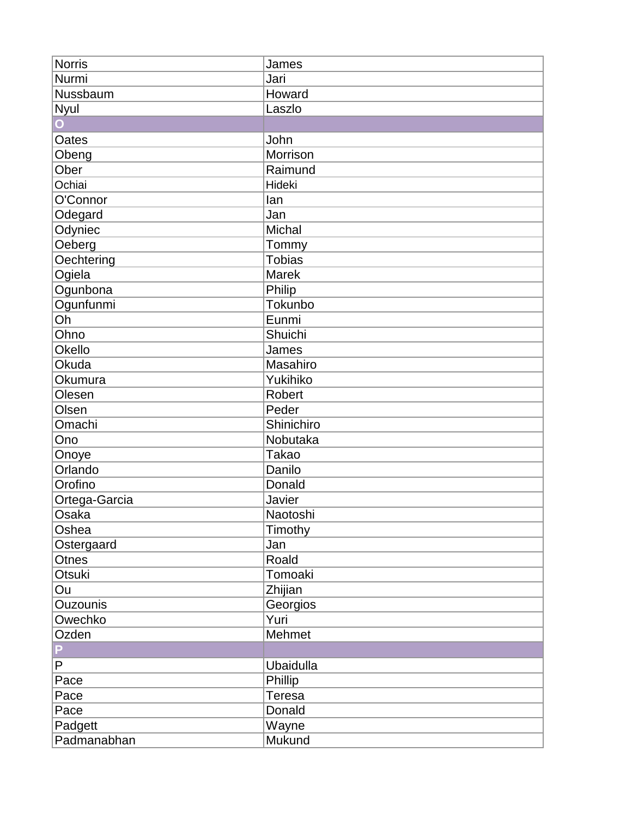| <b>Norris</b>   | James            |
|-----------------|------------------|
| Nurmi           | Jari             |
| Nussbaum        | Howard           |
| Nyul            | Laszlo           |
| Ō               |                  |
| Oates           | John             |
| Obeng           | Morrison         |
| Ober            | Raimund          |
| Ochiai          | Hideki           |
| O'Connor        | lan              |
| Odegard         | Jan              |
| Odyniec         | Michal           |
| Oeberg          | Tommy            |
| Oechtering      | <b>Tobias</b>    |
| Ogiela          | <b>Marek</b>     |
| Ogunbona        | Philip           |
| Ogunfunmi       | Tokunbo          |
| Oh              | Eunmi            |
| Ohno            | Shuichi          |
| <b>Okello</b>   | James            |
| Okuda           | Masahiro         |
| Okumura         | Yukihiko         |
| Olesen          | <b>Robert</b>    |
| Olsen           | Peder            |
| Omachi          | Shinichiro       |
| Ono             | Nobutaka         |
| Onoye           | <b>Takao</b>     |
| Orlando         | Danilo           |
| Orofino         | Donald           |
| Ortega-Garcia   | Javier           |
| Osaka           | Naotoshi         |
| Oshea           | Timothy          |
| Ostergaard      | Jan              |
| <b>Otnes</b>    | Roald            |
| <b>Otsuki</b>   | Tomoaki          |
| Ou              | Zhijian          |
| <b>Ouzounis</b> | Georgios         |
| Owechko         | Yuri             |
| Ozden           | Mehmet           |
| P               |                  |
| P               | <b>Ubaidulla</b> |
| Pace            | Phillip          |
| Pace            | Teresa           |
| Pace            | Donald           |
| Padgett         | Wayne            |
| Padmanabhan     | Mukund           |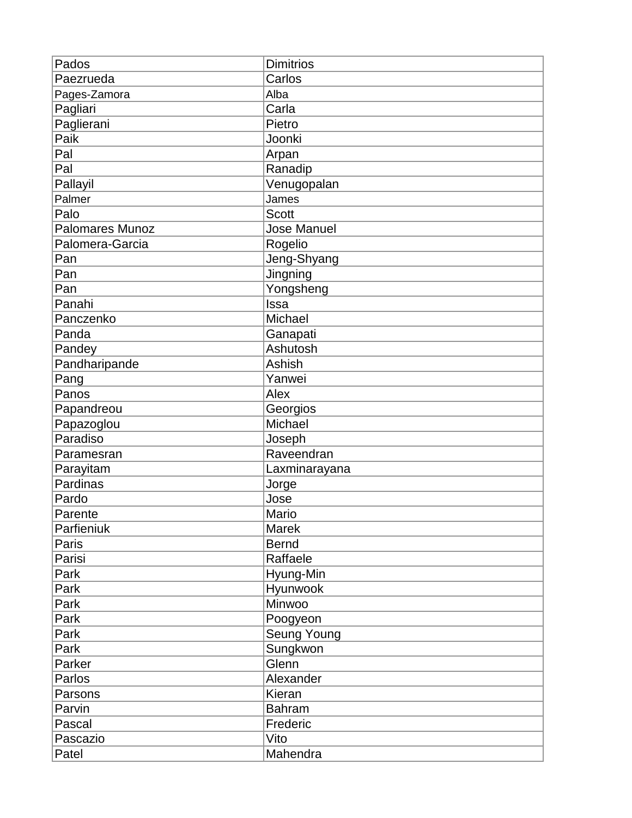| Pados                  | <b>Dimitrios</b>   |
|------------------------|--------------------|
| Paezrueda              | Carlos             |
| Pages-Zamora           | Alba               |
| Pagliari               | Carla              |
| Paglierani             | Pietro             |
| Paik                   | Joonki             |
| Pal                    | Arpan              |
| Pal                    | Ranadip            |
| Pallayil               | Venugopalan        |
| Palmer                 | James              |
| Palo                   | <b>Scott</b>       |
| <b>Palomares Munoz</b> | <b>Jose Manuel</b> |
| Palomera-Garcia        | Rogelio            |
| Pan                    | Jeng-Shyang        |
| Pan                    | Jingning           |
| Pan                    | Yongsheng          |
| Panahi                 | Issa               |
| Panczenko              | Michael            |
| Panda                  | Ganapati           |
| Pandey                 | Ashutosh           |
| Pandharipande          | <b>Ashish</b>      |
| Pang                   | Yanwei             |
| Panos                  | Alex               |
| Papandreou             | Georgios           |
| Papazoglou             | Michael            |
| Paradiso               | Joseph             |
| Paramesran             | Raveendran         |
| Parayitam              | Laxminarayana      |
| Pardinas               | Jorge              |
| Pardo                  | Jose               |
| Parente                | Mario              |
| Parfieniuk             | Marek              |
| Paris                  | <b>Bernd</b>       |
| Parisi                 | Raffaele           |
| Park                   | Hyung-Min          |
| Park                   | Hyunwook           |
| Park                   | Minwoo             |
| Park                   | Poogyeon           |
| Park                   | Seung Young        |
| Park                   | Sungkwon           |
| Parker                 | Glenn              |
| Parlos                 | Alexander          |
| Parsons                | Kieran             |
| Parvin                 | <b>Bahram</b>      |
| Pascal                 | Frederic           |
| Pascazio               | Vito               |
| Patel                  | Mahendra           |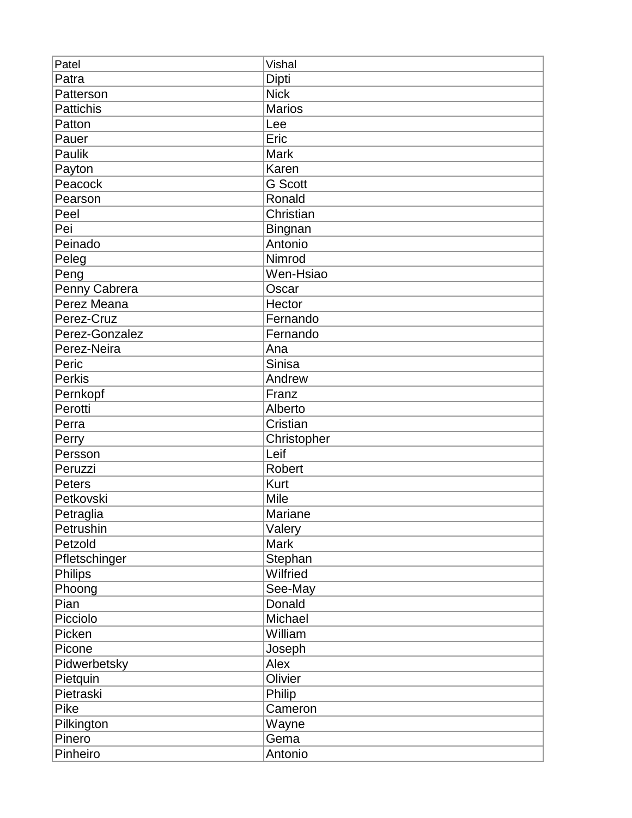| Patel          | Vishal         |
|----------------|----------------|
| Patra          | Dipti          |
| Patterson      | <b>Nick</b>    |
| Pattichis      | <b>Marios</b>  |
| Patton         | Lee            |
| Pauer          | Eric           |
| Paulik         | <b>Mark</b>    |
| Payton         | Karen          |
| Peacock        | <b>G</b> Scott |
| Pearson        | Ronald         |
| Peel           | Christian      |
| Pei            | Bingnan        |
| Peinado        | Antonio        |
| Peleg          | Nimrod         |
| Peng           | Wen-Hsiao      |
| Penny Cabrera  | Oscar          |
| Perez Meana    | Hector         |
| Perez-Cruz     | Fernando       |
| Perez-Gonzalez | Fernando       |
| Perez-Neira    | Ana            |
| Peric          | Sinisa         |
| <b>Perkis</b>  | Andrew         |
| Pernkopf       | Franz          |
| Perotti        | Alberto        |
| Perra          | Cristian       |
| Perry          | Christopher    |
| Persson        | Leif           |
| Peruzzi        | Robert         |
| Peters         | Kurt           |
| Petkovski      | Mile           |
| Petraglia      | <b>Mariane</b> |
| Petrushin      | Valery         |
| Petzold        | <b>Mark</b>    |
| Pfletschinger  | Stephan        |
| <b>Philips</b> | Wilfried       |
| Phoong         | See-May        |
| Pian           | Donald         |
| Picciolo       | Michael        |
| Picken         | William        |
| Picone         | Joseph         |
| Pidwerbetsky   | Alex           |
| Pietquin       | Olivier        |
| Pietraski      | Philip         |
| Pike           | Cameron        |
| Pilkington     | Wayne          |
| Pinero         | Gema           |
| Pinheiro       | Antonio        |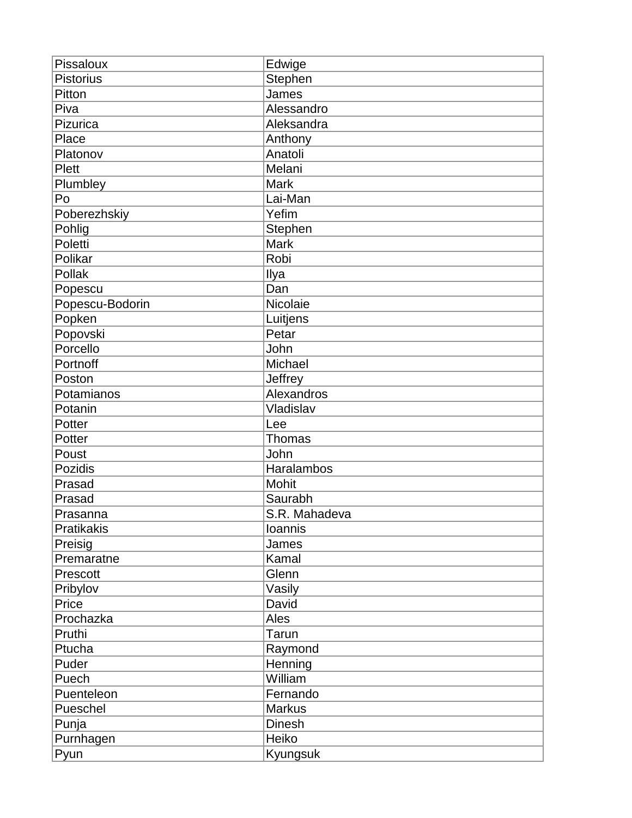| Pissaloux         | Edwige         |
|-------------------|----------------|
| <b>Pistorius</b>  | Stephen        |
| Pitton            | James          |
| Piva              | Alessandro     |
| Pizurica          | Aleksandra     |
| Place             | Anthony        |
| Platonov          | Anatoli        |
| <b>Plett</b>      | Melani         |
| Plumbley          | <b>Mark</b>    |
| Po                | Lai-Man        |
| Poberezhskiy      | Yefim          |
| Pohlig            | <b>Stephen</b> |
| Poletti           | <b>Mark</b>    |
| Polikar           | Robi           |
| Pollak            | Ilya           |
| Popescu           | Dan            |
| Popescu-Bodorin   | Nicolaie       |
| Popken            | Luitjens       |
| Popovski          | Petar          |
| Porcello          | John           |
| Portnoff          | Michael        |
| Poston            | Jeffrey        |
| Potamianos        | Alexandros     |
| Potanin           | Vladislav      |
| Potter            | Lee            |
| Potter            | <b>Thomas</b>  |
| Poust             | John           |
| Pozidis           | Haralambos     |
| Prasad            | Mohit          |
| Prasad            | Saurabh        |
| Prasanna          | S.R. Mahadeva  |
| <b>Pratikakis</b> | Ioannis        |
| Preisig           | James          |
| Premaratne        | Kamal          |
| Prescott          | Glenn          |
| Pribylov          | Vasily         |
| Price             | David          |
| Prochazka         | Ales           |
| Pruthi            | Tarun          |
| Ptucha            | Raymond        |
| Puder             | Henning        |
| Puech             | William        |
| Puenteleon        | Fernando       |
| Pueschel          | <b>Markus</b>  |
| Punja             | <b>Dinesh</b>  |
| Purnhagen         | Heiko          |
| Pyun              | Kyungsuk       |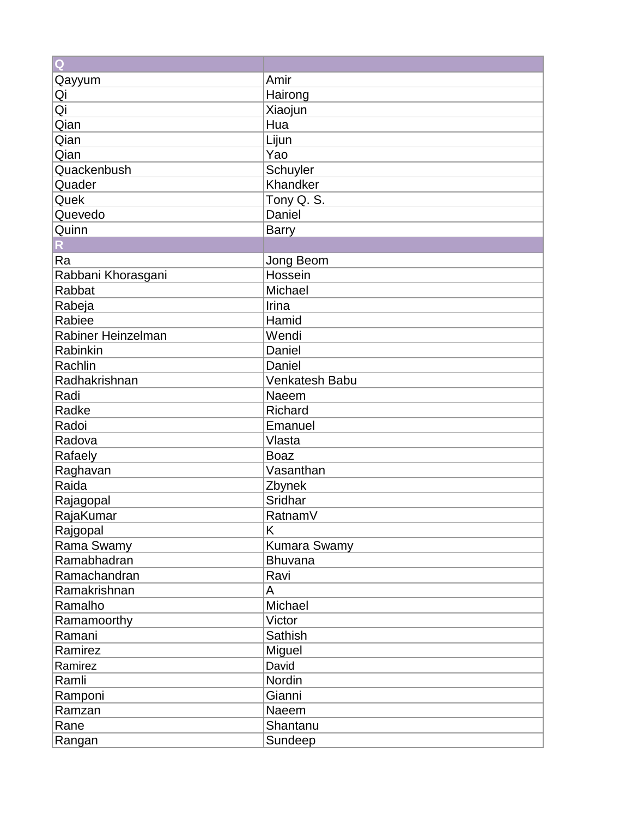| Q                  |                     |
|--------------------|---------------------|
| Qayyum             | Amir                |
| Qi                 | Hairong             |
| $\overline{Qi}$    | Xiaojun             |
| Qian               | Hua                 |
| Qian               | Lijun               |
| Qian               | Yao                 |
| Quackenbush        | Schuyler            |
| Quader             | Khandker            |
| Quek               | Tony Q. S.          |
| Quevedo            | Daniel              |
| Quinn              | <b>Barry</b>        |
| R                  |                     |
| Ra                 | Jong Beom           |
| Rabbani Khorasgani | Hossein             |
| Rabbat             | Michael             |
| Rabeja             | Irina               |
| Rabiee             | Hamid               |
| Rabiner Heinzelman | Wendi               |
| Rabinkin           | Daniel              |
| Rachlin            | Daniel              |
| Radhakrishnan      | Venkatesh Babu      |
| Radi               | Naeem               |
| Radke              | Richard             |
| Radoi              | Emanuel             |
| Radova             | Vlasta              |
| Rafaely            | <b>Boaz</b>         |
| Raghavan           | Vasanthan           |
| Raida              | Zbynek              |
| Rajagopal          | Sridhar             |
| RajaKumar          | Ratnam <sub>V</sub> |
| Rajgopal           | Κ                   |
| Rama Swamy         | Kumara Swamy        |
| Ramabhadran        | Bhuvana             |
| Ramachandran       | Ravi                |
| Ramakrishnan       | A                   |
| Ramalho            | Michael             |
| Ramamoorthy        | Victor              |
| Ramani             | Sathish             |
| Ramirez            | Miguel              |
| Ramirez            | David               |
| Ramli              | Nordin              |
| Ramponi            | Gianni              |
| Ramzan             | Naeem               |
| Rane               | Shantanu            |
| Rangan             | Sundeep             |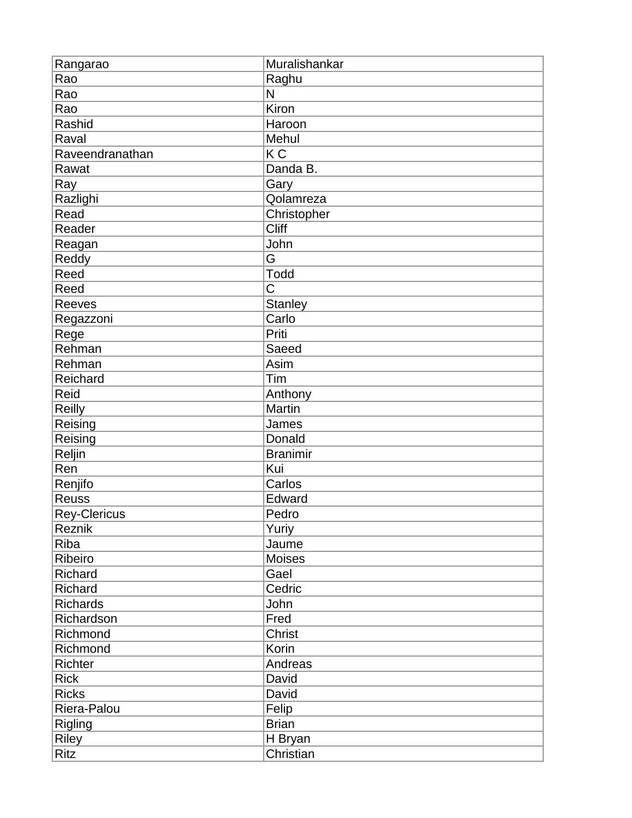| Rangarao        | Muralishankar   |
|-----------------|-----------------|
| Rao             | Raghu           |
| Rao             | N               |
| Rao             | Kiron           |
| Rashid          | Haroon          |
| Raval           | Mehul           |
| Raveendranathan | K <sub>C</sub>  |
| Rawat           | Danda B.        |
| Ray             | Gary            |
| Razlighi        | Qolamreza       |
| Read            | Christopher     |
| Reader          | <b>Cliff</b>    |
| Reagan          | John            |
| Reddy           | G               |
| Reed            | <b>Todd</b>     |
| Reed            | C               |
| <b>Reeves</b>   | <b>Stanley</b>  |
| Regazzoni       | Carlo           |
| Rege            | Priti           |
| Rehman          | Saeed           |
| Rehman          | Asim            |
| Reichard        | Tim             |
| Reid            | Anthony         |
| Reilly          | Martin          |
| Reising         | James           |
| Reising         | Donald          |
| Reljin          | <b>Branimir</b> |
| Ren             | Kui             |
| Renjifo         | Carlos          |
| <b>Reuss</b>    | Edward          |
| Rey-Clericus    | Pedro           |
| Reznik          | Yuriy           |
| Riba            | Jaume           |
| Ribeiro         | Moises          |
| Richard         | Gael            |
| Richard         | Cedric          |
| <b>Richards</b> | John            |
| Richardson      | Fred            |
| Richmond        | <b>Christ</b>   |
| Richmond        | Korin           |
| Richter         | Andreas         |
| <b>Rick</b>     | David           |
| <b>Ricks</b>    | David           |
| Riera-Palou     | Felip           |
| Rigling         | <b>Brian</b>    |
| <b>Riley</b>    | H Bryan         |
| Ritz            | Christian       |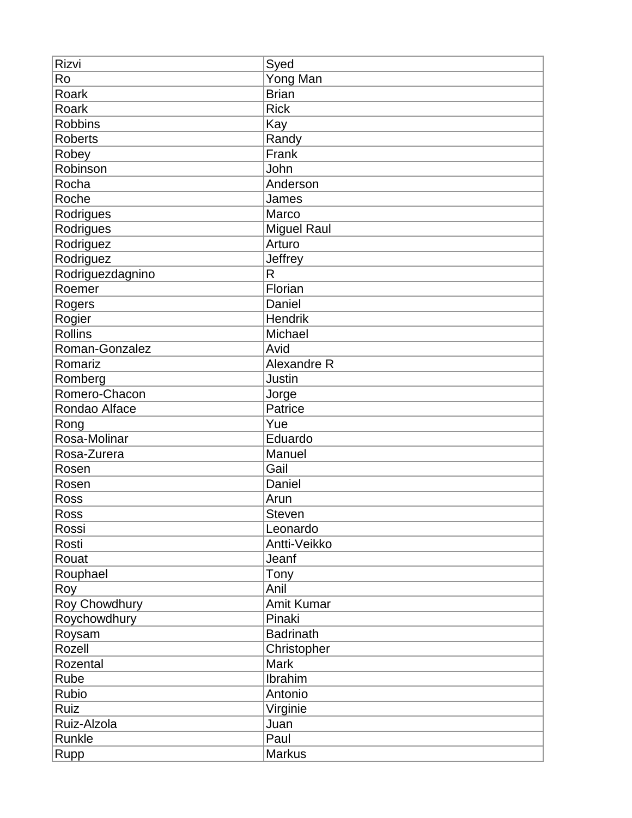| Rizvi            | Syed               |
|------------------|--------------------|
| Ro               | Yong Man           |
| Roark            | <b>Brian</b>       |
| Roark            | <b>Rick</b>        |
| <b>Robbins</b>   | Kay                |
| <b>Roberts</b>   | Randy              |
| Robey            | Frank              |
| Robinson         | John               |
| Rocha            | Anderson           |
| Roche            | James              |
| Rodrigues        | Marco              |
| Rodrigues        | <b>Miguel Raul</b> |
| Rodriguez        | Arturo             |
| Rodriguez        | Jeffrey            |
| Rodriguezdagnino | R                  |
| Roemer           | Florian            |
| Rogers           | Daniel             |
| Rogier           | Hendrik            |
| <b>Rollins</b>   | Michael            |
| Roman-Gonzalez   | Avid               |
| Romariz          | Alexandre R        |
| Romberg          | Justin             |
| Romero-Chacon    | Jorge              |
| Rondao Alface    | Patrice            |
| Rong             | Yue                |
| Rosa-Molinar     | Eduardo            |
| Rosa-Zurera      | Manuel             |
| Rosen            | Gail               |
| Rosen            | Daniel             |
| Ross             | Arun               |
| <b>Ross</b>      | <b>Steven</b>      |
| Rossi            | Leonardo           |
| Rosti            | Antti-Veikko       |
| Rouat            | Jeanf              |
| Rouphael         | Tony               |
| Roy              | Anil               |
| Roy Chowdhury    | <b>Amit Kumar</b>  |
| Roychowdhury     | Pinaki             |
| Roysam           | <b>Badrinath</b>   |
| Rozell           | Christopher        |
| Rozental         | <b>Mark</b>        |
| Rube             | Ibrahim            |
| Rubio            | Antonio            |
| Ruiz             | Virginie           |
| Ruiz-Alzola      | Juan               |
| Runkle           | Paul               |
| Rupp             | <b>Markus</b>      |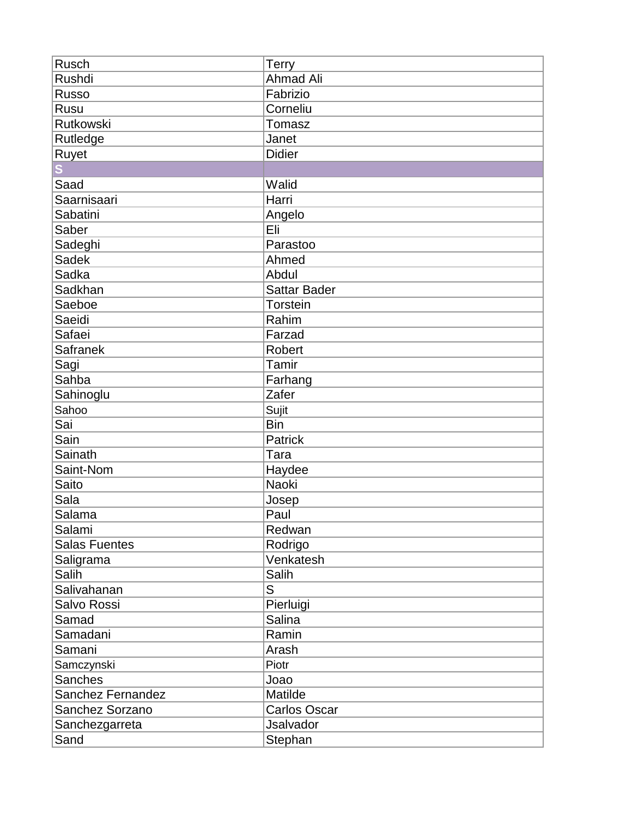| Rusch                | <b>Terry</b>        |
|----------------------|---------------------|
| Rushdi               | <b>Ahmad Ali</b>    |
| <b>Russo</b>         | Fabrizio            |
| Rusu                 | Corneliu            |
| Rutkowski            | Tomasz              |
| Rutledge             | Janet               |
| Ruyet                | <b>Didier</b>       |
|                      |                     |
| Saad                 | Walid               |
| Saarnisaari          | Harri               |
| Sabatini             | Angelo              |
| Saber                | Eli                 |
| Sadeghi              | Parastoo            |
| Sadek                | Ahmed               |
| Sadka                | Abdul               |
| Sadkhan              | <b>Sattar Bader</b> |
| Saeboe               | Torstein            |
| Saeidi               | Rahim               |
| Safaei               | Farzad              |
| <b>Safranek</b>      | <b>Robert</b>       |
| Sagi                 | Tamir               |
| Sahba                | Farhang             |
| Sahinoglu            | Zafer               |
| Sahoo                | Sujit               |
| Sai                  | <b>Bin</b>          |
| Sain                 | <b>Patrick</b>      |
| Sainath              | Tara                |
| Saint-Nom            | Haydee              |
| Saito                | <b>Naoki</b>        |
| Sala                 | Josep               |
| Salama               | Paul                |
| Salami               | Redwan              |
| <b>Salas Fuentes</b> | Rodrigo             |
| Saligrama            | Venkatesh           |
| Salih                | Salih               |
| Salivahanan          | S                   |
| Salvo Rossi          | Pierluigi           |
| Samad                | <b>Salina</b>       |
| Samadani             | Ramin               |
| Samani               | Arash               |
| Samczynski           | Piotr               |
| Sanches              | Joao                |
| Sanchez Fernandez    | Matilde             |
| Sanchez Sorzano      | <b>Carlos Oscar</b> |
| Sanchezgarreta       | <b>Jsalvador</b>    |
| Sand                 | Stephan             |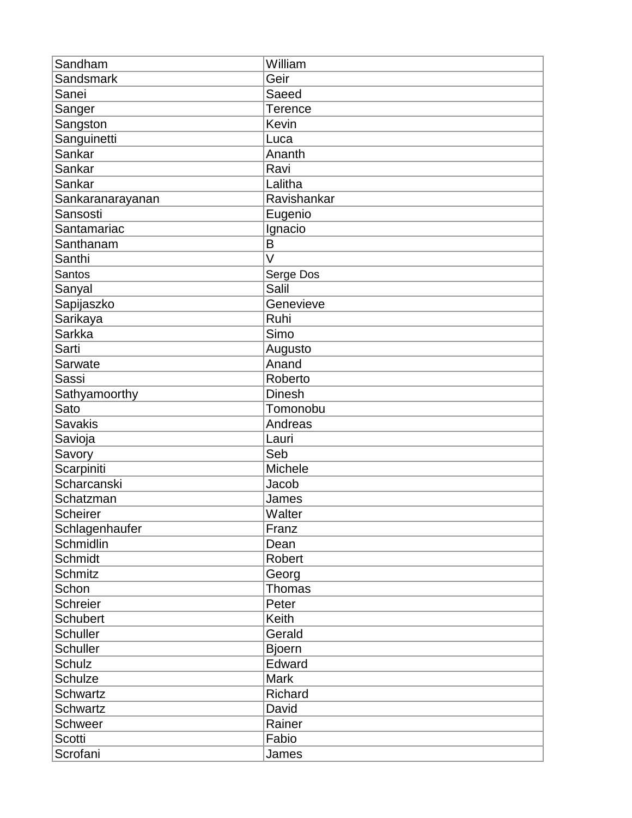| Sandham          | William       |
|------------------|---------------|
| Sandsmark        | Geir          |
| Sanei            | Saeed         |
| Sanger           | Terence       |
| Sangston         | Kevin         |
| Sanguinetti      | Luca          |
| Sankar           | Ananth        |
| Sankar           | Ravi          |
| Sankar           | Lalitha       |
| Sankaranarayanan | Ravishankar   |
| Sansosti         | Eugenio       |
| Santamariac      | Ignacio       |
| Santhanam        | B             |
| Santhi           | V             |
| Santos           | Serge Dos     |
| Sanyal           | Salil         |
| Sapijaszko       | Genevieve     |
| Sarikaya         | Ruhi          |
| <b>Sarkka</b>    | Simo          |
| Sarti            | Augusto       |
| Sarwate          | Anand         |
| <b>Sassi</b>     | Roberto       |
| Sathyamoorthy    | <b>Dinesh</b> |
| Sato             | Tomonobu      |
| <b>Savakis</b>   | Andreas       |
| Savioja          | Lauri         |
| Savory           | Seb           |
| Scarpiniti       | Michele       |
| Scharcanski      | Jacob         |
| Schatzman        | James         |
| <b>Scheirer</b>  | Walter        |
| Schlagenhaufer   | Franz         |
| Schmidlin        | Dean          |
| Schmidt          | Robert        |
| <b>Schmitz</b>   | Georg         |
| Schon            | Thomas        |
| <b>Schreier</b>  | Peter         |
| <b>Schubert</b>  | Keith         |
| <b>Schuller</b>  | Gerald        |
| <b>Schuller</b>  | <b>Bjoern</b> |
| Schulz           | Edward        |
| <b>Schulze</b>   | <b>Mark</b>   |
| <b>Schwartz</b>  | Richard       |
| <b>Schwartz</b>  | David         |
| Schweer          | Rainer        |
| Scotti           | Fabio         |
| Scrofani         | James         |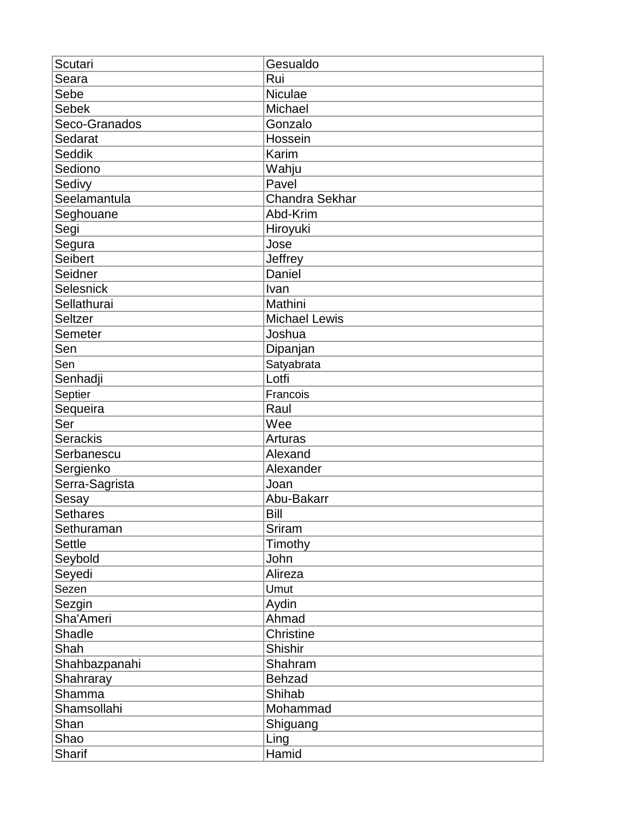| Scutari         | Gesualdo              |
|-----------------|-----------------------|
| Seara           | Rui                   |
| Sebe            | Niculae               |
| <b>Sebek</b>    | Michael               |
| Seco-Granados   | Gonzalo               |
| Sedarat         | Hossein               |
| <b>Seddik</b>   | Karim                 |
| Sediono         | Wahju                 |
| Sedivy          | Pavel                 |
| Seelamantula    | <b>Chandra Sekhar</b> |
| Seghouane       | Abd-Krim              |
| Segi            | Hiroyuki              |
| Segura          | Jose                  |
| <b>Seibert</b>  | Jeffrey               |
| Seidner         | Daniel                |
| Selesnick       | Ivan                  |
| Sellathurai     | Mathini               |
| <b>Seltzer</b>  | <b>Michael Lewis</b>  |
| Semeter         | Joshua                |
| Sen             | Dipanjan              |
| Sen             | Satyabrata            |
| Senhadji        | Lotfi                 |
| Septier         | Francois              |
| Sequeira        | Raul                  |
| Ser             | Wee                   |
| <b>Serackis</b> | Arturas               |
| Serbanescu      | Alexand               |
| Sergienko       | Alexander             |
| Serra-Sagrista  | Joan                  |
| Sesay           | Abu-Bakarr            |
| Sethares        | Bill                  |
| Sethuraman      | Sriram                |
| <b>Settle</b>   | Timothy               |
| Seybold         | John                  |
| Seyedi          | Alireza               |
| Sezen           | Umut                  |
| Sezgin          | Aydin                 |
| Sha'Ameri       | Ahmad                 |
| <b>Shadle</b>   | Christine             |
| Shah            | Shishir               |
| Shahbazpanahi   | Shahram               |
| Shahraray       | <b>Behzad</b>         |
| Shamma          | Shihab                |
| Shamsollahi     | Mohammad              |
| Shan            | Shiguang              |
| Shao            | Ling                  |
| Sharif          | Hamid                 |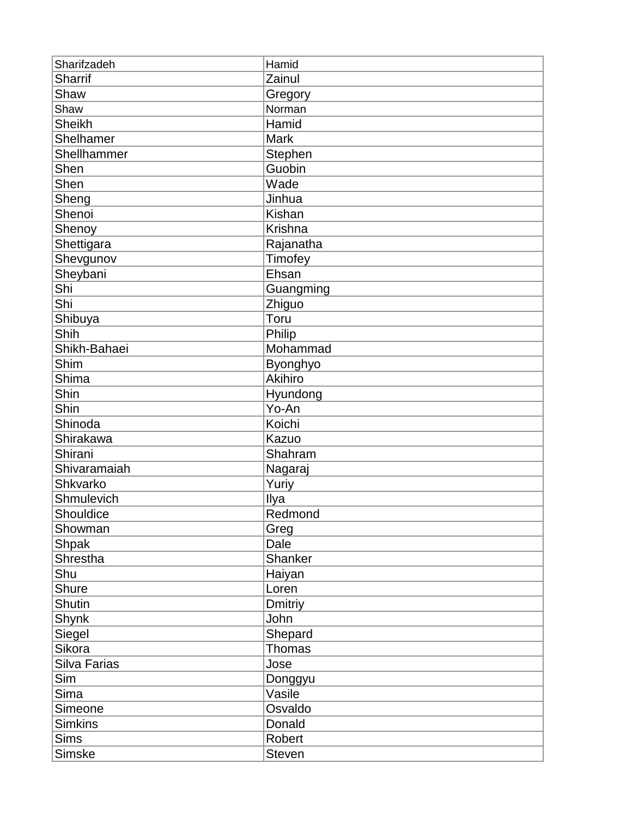| Sharifzadeh    | Hamid          |
|----------------|----------------|
| <b>Sharrif</b> | Zainul         |
| Shaw           | Gregory        |
| Shaw           | Norman         |
| <b>Sheikh</b>  | Hamid          |
| Shelhamer      | <b>Mark</b>    |
| Shellhammer    | Stephen        |
| Shen           | Guobin         |
| Shen           | Wade           |
| Sheng          | Jinhua         |
| Shenoi         | Kishan         |
| Shenoy         | Krishna        |
| Shettigara     | Rajanatha      |
| Shevgunov      | Timofey        |
| Sheybani       | Ehsan          |
| Shi            | Guangming      |
| Shi            | Zhiguo         |
| Shibuya        | Toru           |
| Shih           | Philip         |
| Shikh-Bahaei   | Mohammad       |
| Shim           | Byonghyo       |
| Shima          | <b>Akihiro</b> |
| Shin           | Hyundong       |
| Shin           | Yo-An          |
| Shinoda        | Koichi         |
| Shirakawa      | Kazuo          |
| Shirani        | Shahram        |
| Shivaramaiah   | Nagaraj        |
| Shkvarko       | Yuriy          |
| Shmulevich     | Ilya           |
| Shouldice      | Redmond        |
| Showman        | Greg           |
| <b>Shpak</b>   | Dale           |
| Shrestha       | Shanker        |
| Shu            | Haiyan         |
| <b>Shure</b>   | Loren          |
| <b>Shutin</b>  | <b>Dmitriy</b> |
| Shynk          | John           |
| Siegel         | Shepard        |
| Sikora         | Thomas         |
| Silva Farias   | Jose           |
| Sim            | Donggyu        |
| Sima           | Vasile         |
| Simeone        | Osvaldo        |
| <b>Simkins</b> | Donald         |
| <b>Sims</b>    | Robert         |
| Simske         | <b>Steven</b>  |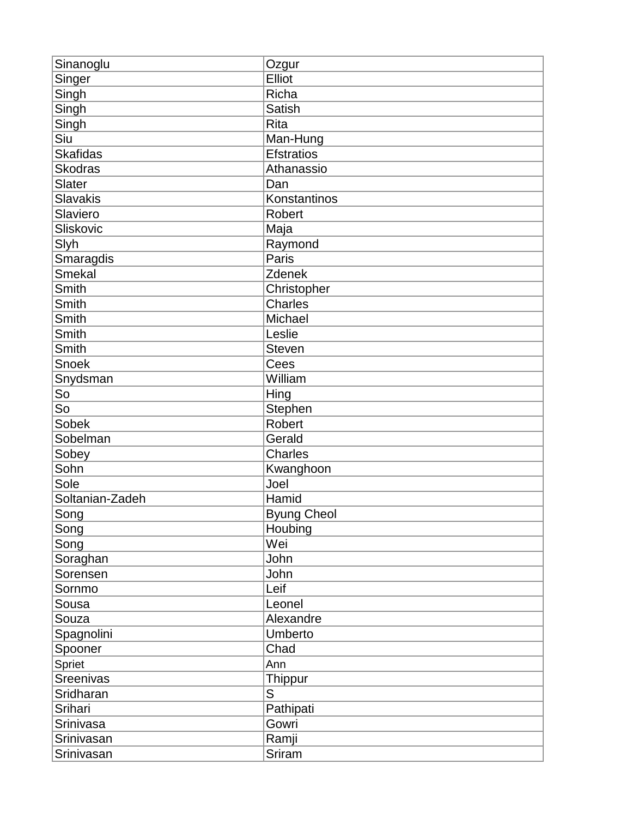| Sinanoglu       | Ozgur              |
|-----------------|--------------------|
| Singer          | Elliot             |
| Singh           | Richa              |
| Singh           | Satish             |
| Singh           | <b>Rita</b>        |
| Siu             | Man-Hung           |
| <b>Skafidas</b> | <b>Efstratios</b>  |
| <b>Skodras</b>  | Athanassio         |
| Slater          | Dan                |
| <b>Slavakis</b> | Konstantinos       |
| Slaviero        | <b>Robert</b>      |
| Sliskovic       | Maja               |
| Slyh            | Raymond            |
| Smaragdis       | Paris              |
| <b>Smekal</b>   | Zdenek             |
| Smith           | Christopher        |
| Smith           | <b>Charles</b>     |
| Smith           | Michael            |
| Smith           | Leslie             |
| Smith           | <b>Steven</b>      |
| Snoek           | Cees               |
| Snydsman        | William            |
| So              | Hing               |
| So              | Stephen            |
| Sobek           | <b>Robert</b>      |
| Sobelman        | Gerald             |
| Sobey           | Charles            |
| Sohn            | Kwanghoon          |
| Sole            | Joel               |
| Soltanian-Zadeh | Hamid              |
| Song            | <b>Byung Cheol</b> |
| Song            | Houbing            |
| Song            | Wei                |
| Soraghan        | John               |
| Sorensen        | John               |
| Sornmo          | Leif               |
| Sousa           | Leonel             |
| Souza           | Alexandre          |
| Spagnolini      | Umberto            |
| Spooner         | Chad               |
| Spriet          | Ann                |
| Sreenivas       | <b>Thippur</b>     |
| Sridharan       | S                  |
| Srihari         | Pathipati          |
| Srinivasa       | Gowri              |
| Srinivasan      | Ramji              |
| Srinivasan      | Sriram             |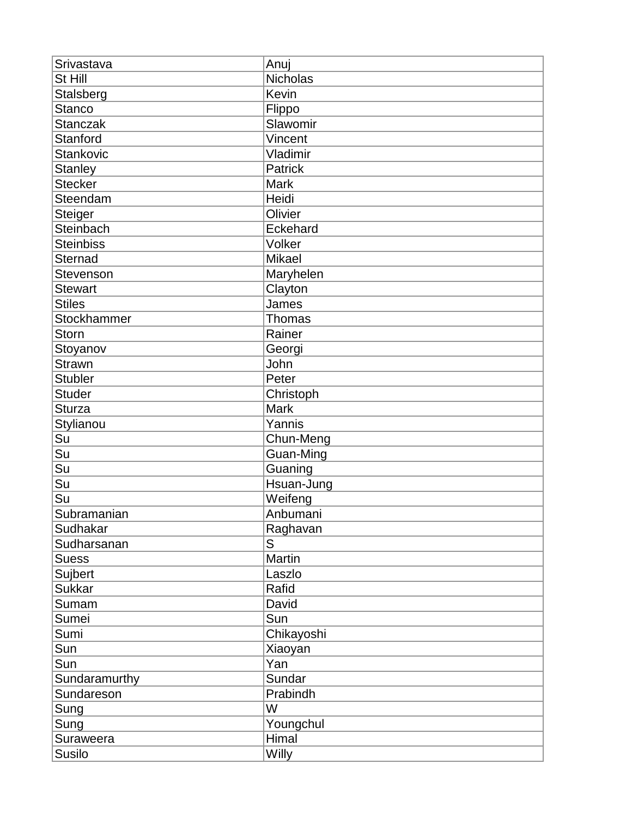| Srivastava         | Anuj          |
|--------------------|---------------|
| St Hill            | Nicholas      |
| Stalsberg          | Kevin         |
| <b>Stanco</b>      | Flippo        |
| <b>Stanczak</b>    | Slawomir      |
| Stanford           | Vincent       |
| <b>Stankovic</b>   | Vladimir      |
| <b>Stanley</b>     | Patrick       |
| Stecker            | <b>Mark</b>   |
| Steendam           | Heidi         |
| Steiger            | Olivier       |
| Steinbach          | Eckehard      |
| <b>Steinbiss</b>   | Volker        |
| <b>Sternad</b>     | Mikael        |
| Stevenson          | Maryhelen     |
| <b>Stewart</b>     | Clayton       |
| <b>Stiles</b>      | James         |
| <b>Stockhammer</b> | <b>Thomas</b> |
| <b>Storn</b>       | Rainer        |
| Stoyanov           | Georgi        |
| <b>Strawn</b>      | John          |
| <b>Stubler</b>     | Peter         |
| Studer             | Christoph     |
| <b>Sturza</b>      | <b>Mark</b>   |
| Stylianou          | Yannis        |
| Su                 | Chun-Meng     |
| Su                 | Guan-Ming     |
| Su                 | Guaning       |
| Su                 | Hsuan-Jung    |
| Su                 | Weifeng       |
| Subramanian        | Anbumani      |
| Sudhakar           | Raghavan      |
| Sudharsanan        | S             |
| <b>Suess</b>       | Martin        |
| Sujbert            | Laszlo        |
| <b>Sukkar</b>      | Rafid         |
| Sumam              | David         |
| Sumei              | Sun           |
| Sumi               | Chikayoshi    |
| Sun                | Xiaoyan       |
| Sun                | Yan           |
| Sundaramurthy      | Sundar        |
| Sundareson         | Prabindh      |
| Sung               | W             |
| Sung               | Youngchul     |
| Suraweera          | Himal         |
| Susilo             | Willy         |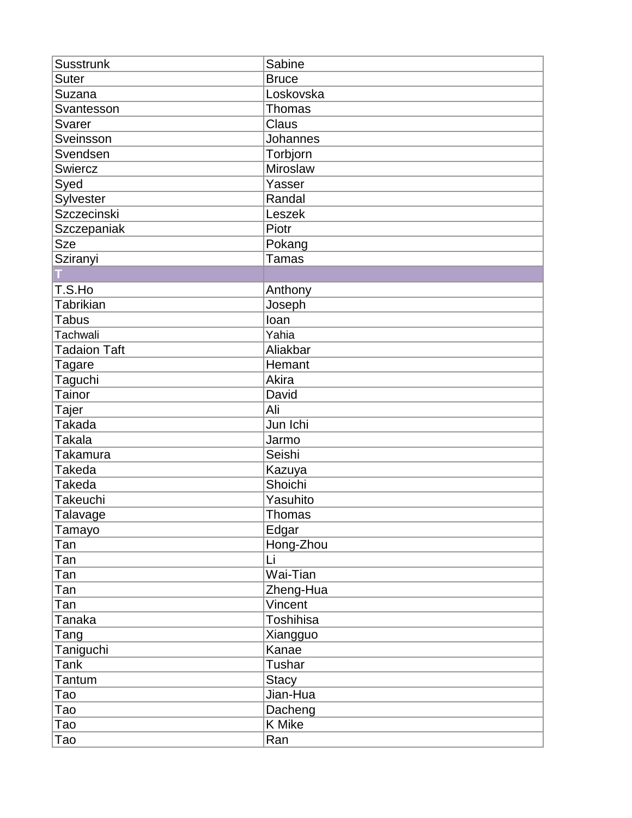| <b>Susstrunk</b>    | Sabine           |
|---------------------|------------------|
| <b>Suter</b>        | <b>Bruce</b>     |
| Suzana              | Loskovska        |
| Svantesson          | Thomas           |
| <b>Svarer</b>       | Claus            |
| Sveinsson           | <b>Johannes</b>  |
| Svendsen            | Torbjorn         |
| <b>Swiercz</b>      | Miroslaw         |
| Syed                | Yasser           |
| Sylvester           | Randal           |
| <b>Szczecinski</b>  | Leszek           |
| Szczepaniak         | Piotr            |
| <b>Sze</b>          | Pokang           |
| Sziranyi            | <b>Tamas</b>     |
|                     |                  |
| T.S.Ho              | Anthony          |
| Tabrikian           | Joseph           |
| <b>Tabus</b>        | loan             |
| Tachwali            | Yahia            |
| <b>Tadaion Taft</b> | Aliakbar         |
| <b>Tagare</b>       | Hemant           |
| Taguchi             | Akira            |
| Tainor              | David            |
| Tajer               | Ali              |
| <b>Takada</b>       | Jun Ichi         |
| Takala              | Jarmo            |
| <b>Takamura</b>     | Seishi           |
| <b>Takeda</b>       | Kazuya           |
| <b>Takeda</b>       | Shoichi          |
| Takeuchi            | Yasuhito         |
| Talavage            | Thomas           |
| Tamayo              | Edgar            |
| Tan                 | Hong-Zhou        |
| Tan                 | Li               |
| Tan                 | Wai-Tian         |
| Tan                 | Zheng-Hua        |
| Tan                 | Vincent          |
| <b>Tanaka</b>       | <b>Toshihisa</b> |
| Tang                | Xiangguo         |
| Taniguchi           | Kanae            |
| <b>Tank</b>         | Tushar           |
| Tantum              | <b>Stacy</b>     |
| Tao                 | Jian-Hua         |
| Tao                 | Dacheng          |
| Tao                 | K Mike           |
| Tao                 | Ran              |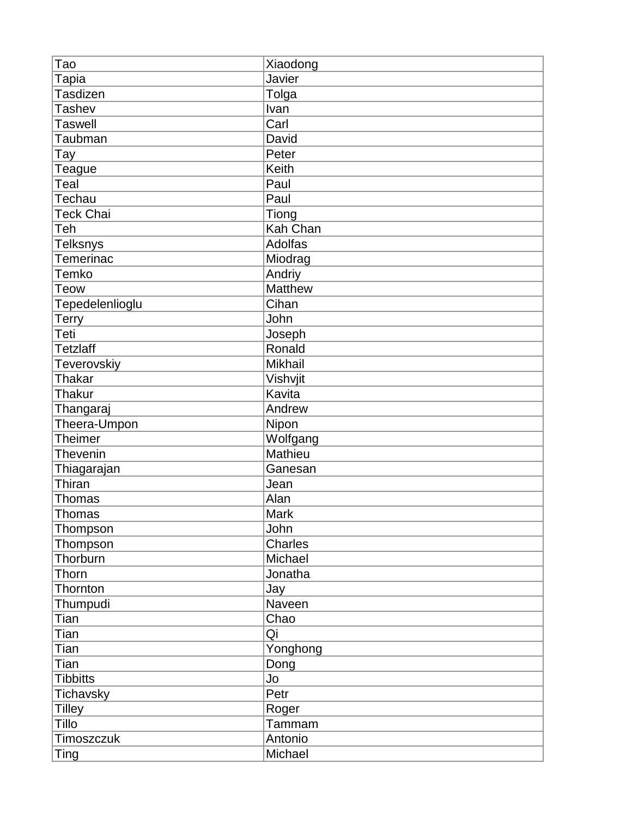| Тао              | Xiaodong       |
|------------------|----------------|
| Tapia            | Javier         |
| Tasdizen         | Tolga          |
| <b>Tashev</b>    | Ivan           |
| <b>Taswell</b>   | Carl           |
| Taubman          | David          |
| Tay              | Peter          |
| Teague           | <b>Keith</b>   |
| Teal             | Paul           |
| Techau           | Paul           |
| <b>Teck Chai</b> | Tiong          |
| Teh              | Kah Chan       |
| <b>Telksnys</b>  | Adolfas        |
| <b>Temerinac</b> | Miodrag        |
| Temko            | Andriy         |
| <b>Teow</b>      | <b>Matthew</b> |
| Tepedelenlioglu  | Cihan          |
| Terry            | John           |
| Teti             | Joseph         |
| <b>Tetzlaff</b>  | Ronald         |
| Teverovskiy      | Mikhail        |
| <b>Thakar</b>    | Vishvjit       |
| <b>Thakur</b>    | Kavita         |
| Thangaraj        | Andrew         |
| Theera-Umpon     | Nipon          |
| <b>Theimer</b>   | Wolfgang       |
| Thevenin         | Mathieu        |
| Thiagarajan      | Ganesan        |
| Thiran           | Jean           |
| <b>Thomas</b>    | Alan           |
| <b>Thomas</b>    | <b>Mark</b>    |
| Thompson         | John           |
| Thompson         | Charles        |
| Thorburn         | Michael        |
| Thorn            | Jonatha        |
| Thornton         | Jay            |
| Thumpudi         | Naveen         |
| Tian             | Chao           |
| Tian             | Qi             |
| Tian             | Yonghong       |
| Tian             | Dong           |
| <b>Tibbitts</b>  | Jo             |
| <b>Tichavsky</b> | Petr           |
| Tilley           | Roger          |
| Tillo            | Tammam         |
| Timoszczuk       | Antonio        |
| <b>Ting</b>      | Michael        |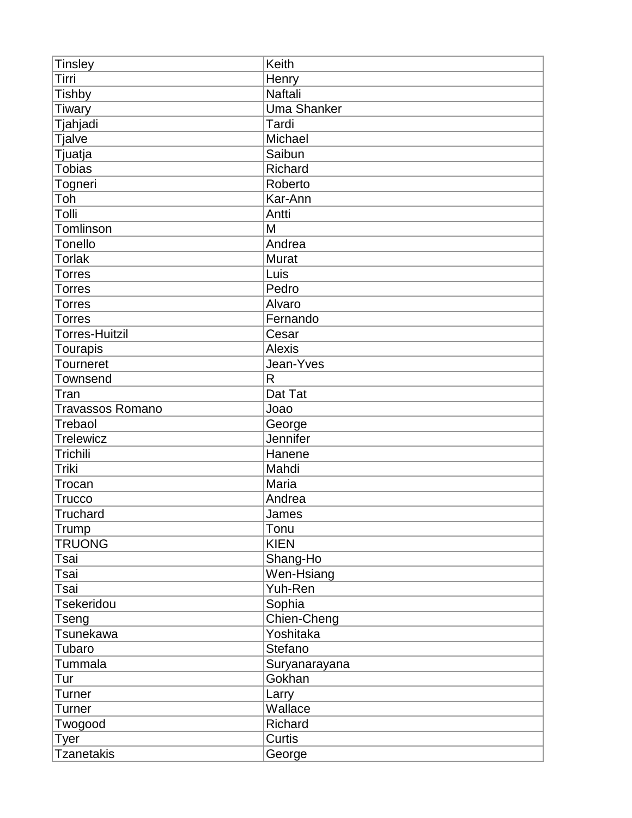| <b>Tinsley</b>        | Keith              |
|-----------------------|--------------------|
| Tirri                 | Henry              |
| <b>Tishby</b>         | <b>Naftali</b>     |
| <b>Tiwary</b>         | <b>Uma Shanker</b> |
| Tjahjadi              | Tardi              |
| <b>Tjalve</b>         | Michael            |
| Tjuatja               | Saibun             |
| <b>Tobias</b>         | Richard            |
| Togneri               | Roberto            |
| Toh                   | Kar-Ann            |
| Tolli                 | Antti              |
| Tomlinson             | M                  |
| <b>Tonello</b>        | Andrea             |
| Torlak                | <b>Murat</b>       |
| <b>Torres</b>         | Luis               |
| <b>Torres</b>         | Pedro              |
| <b>Torres</b>         | Alvaro             |
| <b>Torres</b>         | Fernando           |
| <b>Torres-Huitzil</b> | Cesar              |
| <b>Tourapis</b>       | <b>Alexis</b>      |
| <b>Tourneret</b>      | Jean-Yves          |
| Townsend              | R                  |
| Tran                  | Dat Tat            |
| Travassos Romano      | Joao               |
| Trebaol               | George             |
| <b>Trelewicz</b>      | Jennifer           |
| Trichili              | Hanene             |
| Triki                 | Mahdi              |
| Trocan                | Maria              |
| <b>Trucco</b>         | Andrea             |
| Truchard              | James              |
| Trump                 | Tonu               |
| <b>TRUONG</b>         | <b>KIEN</b>        |
| Tsai                  | Shang-Ho           |
| Tsai                  | Wen-Hsiang         |
| Tsai                  | Yuh-Ren            |
| <b>Tsekeridou</b>     | Sophia             |
| Tseng                 | Chien-Cheng        |
| Tsunekawa             | Yoshitaka          |
| Tubaro                | Stefano            |
| Tummala               | Suryanarayana      |
| Tur                   | Gokhan             |
| Turner                | Larry              |
| Turner                | Wallace            |
| Twogood               | Richard            |
| Tyer                  | Curtis             |
| <b>Tzanetakis</b>     | George             |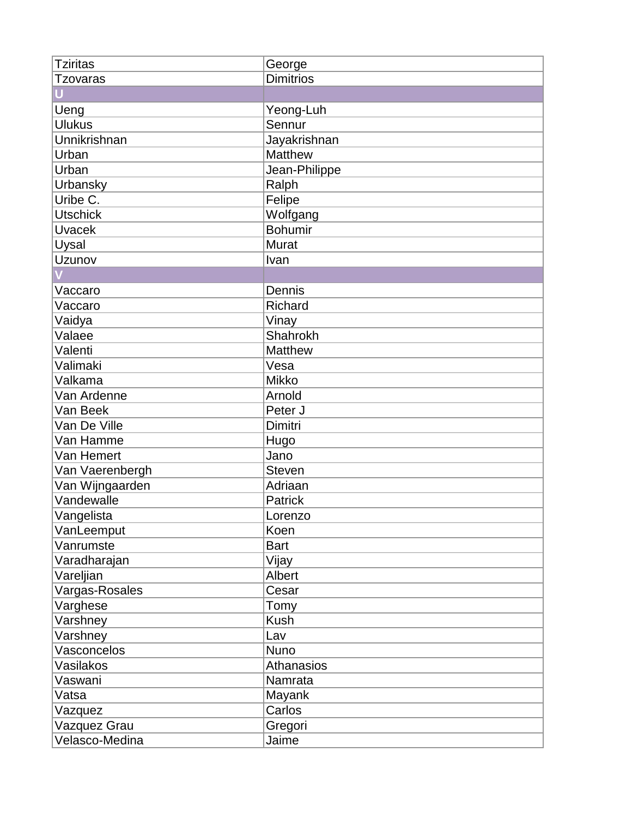| <b>Tziritas</b> | George            |
|-----------------|-------------------|
| Tzovaras        | <b>Dimitrios</b>  |
|                 |                   |
| Ueng            | Yeong-Luh         |
| <b>Ulukus</b>   | Sennur            |
| Unnikrishnan    | Jayakrishnan      |
| Urban           | Matthew           |
| Urban           | Jean-Philippe     |
| Urbansky        | Ralph             |
| Uribe C.        | Felipe            |
| <b>Utschick</b> | Wolfgang          |
| <b>Uvacek</b>   | <b>Bohumir</b>    |
| Uysal           | <b>Murat</b>      |
| Uzunov          | Ivan              |
|                 |                   |
| Vaccaro         | Dennis            |
| Vaccaro         | Richard           |
| Vaidya          | Vinay             |
| Valaee          | Shahrokh          |
| Valenti         | Matthew           |
| Valimaki        | Vesa              |
| Valkama         | <b>Mikko</b>      |
| Van Ardenne     | Arnold            |
| Van Beek        | Peter J           |
| Van De Ville    | Dimitri           |
| Van Hamme       | Hugo              |
| Van Hemert      | Jano              |
| Van Vaerenbergh | <b>Steven</b>     |
| Van Wijngaarden | Adriaan           |
| Vandewalle      | Patrick           |
| Vangelista      | Lorenzo           |
| VanLeemput      | Koen              |
| Vanrumste       | <b>Bart</b>       |
| Varadharajan    | Vijay             |
| Vareljian       | Albert            |
| Vargas-Rosales  | Cesar             |
| Varghese        | Tomy              |
| Varshney        | Kush              |
| Varshney        | Lav               |
| Vasconcelos     | Nuno              |
| Vasilakos       | <b>Athanasios</b> |
| Vaswani         | Namrata           |
| Vatsa           | Mayank            |
| Vazquez         | Carlos            |
| Vazquez Grau    | Gregori           |
| Velasco-Medina  | Jaime             |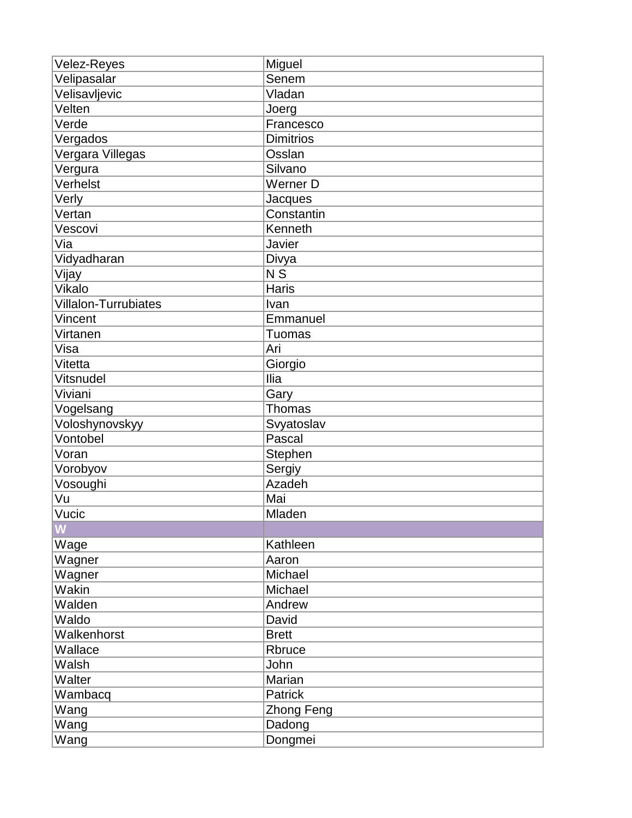| <b>Velez-Reyes</b>          | Miguel           |
|-----------------------------|------------------|
| Velipasalar                 | Senem            |
| Velisavljevic               | Vladan           |
| Velten                      | Joerg            |
| Verde                       | Francesco        |
| Vergados                    | <b>Dimitrios</b> |
| Vergara Villegas            | Osslan           |
| Vergura                     | Silvano          |
| Verhelst                    | Werner D         |
| Verly                       | Jacques          |
| Vertan                      | Constantin       |
| Vescovi                     | Kenneth          |
| Via                         | Javier           |
| Vidyadharan                 | Divya            |
| Vijay                       | $\overline{N}$   |
| Vikalo                      | <b>Haris</b>     |
| <b>Villalon-Turrubiates</b> | Ivan             |
| Vincent                     | Emmanuel         |
| Virtanen                    | Tuomas           |
| Visa                        | Ari              |
| Vitetta                     | Giorgio          |
| Vitsnudel                   | Ilia             |
| Viviani                     | Gary             |
| Vogelsang                   | Thomas           |
| Voloshynovskyy              | Svyatoslav       |
| Vontobel                    | Pascal           |
| Voran                       | Stephen          |
| Vorobyov                    | Sergiy           |
| Vosoughi                    | Azadeh           |
| Vu                          | Mai              |
| Vucic                       | Mladen           |
| $\overline{\mathsf{M}}$     |                  |
| Wage                        | Kathleen         |
| Wagner                      | Aaron            |
| Wagner                      | Michael          |
| Wakin                       | Michael          |
| Walden                      | Andrew           |
| Waldo                       | David            |
| Walkenhorst                 | <b>Brett</b>     |
| Wallace                     | Rbruce           |
| Walsh                       | John             |
| Walter                      | Marian           |
| Wambacq                     | Patrick          |
| Wang                        | Zhong Feng       |
| Wang                        | Dadong           |
| Wang                        | Dongmei          |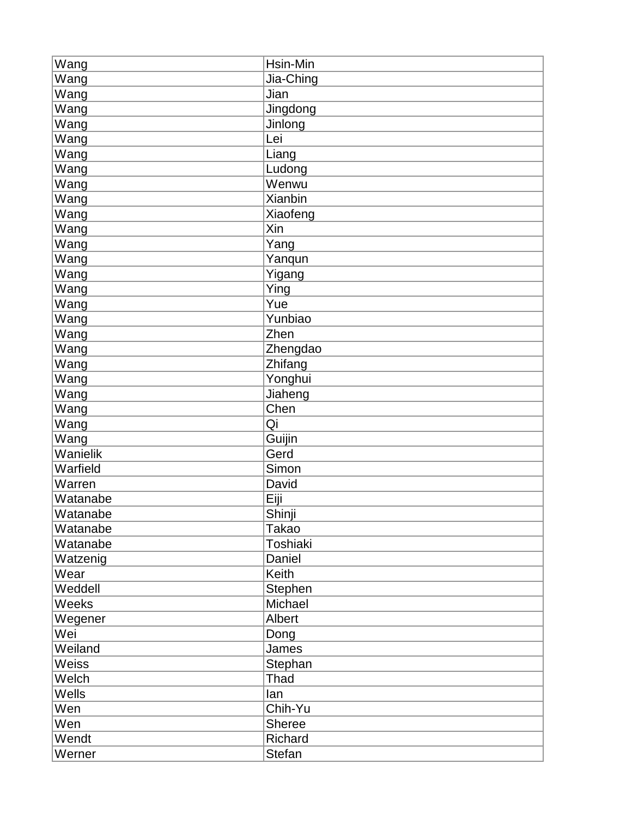| Wang     | Hsin-Min      |
|----------|---------------|
| Wang     | Jia-Ching     |
| Wang     | Jian          |
| Wang     | Jingdong      |
| Wang     | Jinlong       |
| Wang     | Lei           |
| Wang     | Liang         |
| Wang     | Ludong        |
| Wang     | Wenwu         |
| Wang     | Xianbin       |
| Wang     | Xiaofeng      |
| Wang     | Xin           |
| Wang     | Yang          |
| Wang     | Yanqun        |
| Wang     | Yigang        |
| Wang     | Ying          |
| Wang     | Yue           |
| Wang     | Yunbiao       |
| Wang     | Zhen          |
| Wang     | Zhengdao      |
| Wang     | Zhifang       |
| Wang     | Yonghui       |
| Wang     | Jiaheng       |
| Wang     | Chen          |
| Wang     | Qi            |
| Wang     | Guijin        |
| Wanielik | Gerd          |
| Warfield | Simon         |
| Warren   | David         |
| Watanabe | Eiji          |
| Watanabe | Shinji        |
| Watanabe | Takao         |
| Watanabe | Toshiaki      |
| Watzenig | Daniel        |
| Wear     | Keith         |
| Weddell  | Stephen       |
| Weeks    | Michael       |
| Wegener  | Albert        |
| Wei      | Dong          |
| Weiland  | James         |
| Weiss    | Stephan       |
| Welch    | Thad          |
| Wells    | lan           |
| Wen      | Chih-Yu       |
| Wen      | Sheree        |
| Wendt    | Richard       |
| Werner   | <b>Stefan</b> |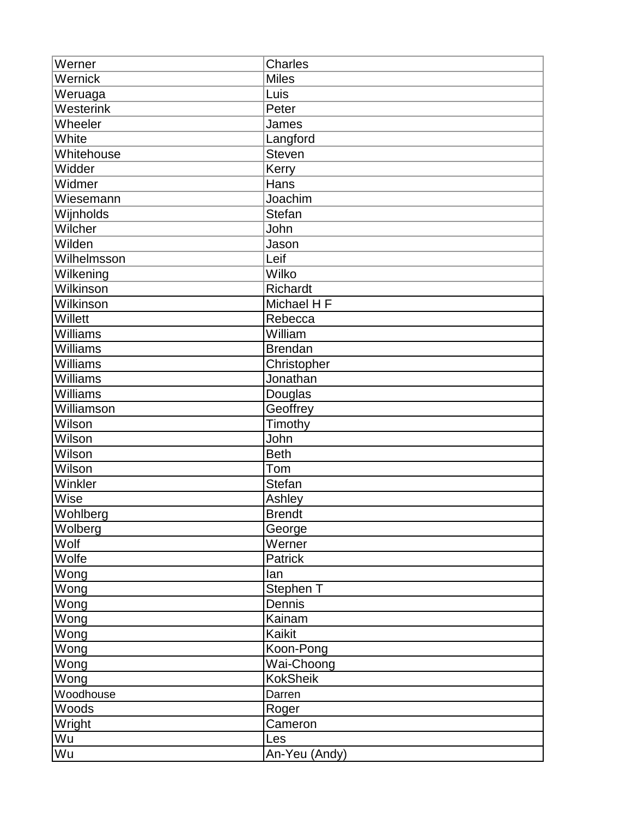| Werner          | <b>Charles</b>  |
|-----------------|-----------------|
| Wernick         | <b>Miles</b>    |
| Weruaga         | Luis            |
| Westerink       | Peter           |
| Wheeler         | James           |
| White           | Langford        |
| Whitehouse      | <b>Steven</b>   |
| Widder          | Kerry           |
| Widmer          | Hans            |
| Wiesemann       | Joachim         |
| Wijnholds       | <b>Stefan</b>   |
| Wilcher         | John            |
| Wilden          | Jason           |
| Wilhelmsson     | Leif            |
| Wilkening       | Wilko           |
| Wilkinson       | Richardt        |
| Wilkinson       | Michael H F     |
| Willett         | Rebecca         |
| <b>Williams</b> | William         |
| Williams        | <b>Brendan</b>  |
| Williams        | Christopher     |
| Williams        | Jonathan        |
| Williams        | Douglas         |
| Williamson      | Geoffrey        |
| Wilson          | Timothy         |
| Wilson          | John            |
| Wilson          | <b>Beth</b>     |
| Wilson          | Tom             |
| Winkler         | Stefan          |
| Wise            | Ashley          |
| Wohlberg        | <b>Brendt</b>   |
| Wolberg         | George          |
| Wolf            | Werner          |
| Wolfe           | <b>Patrick</b>  |
| Wong            | lan             |
| Wong            | Stephen T       |
| Wong            | Dennis          |
| Wong            | Kainam          |
| Wong            | Kaikit          |
| Wong            | Koon-Pong       |
| Wong            | Wai-Choong      |
| Wong            | <b>KokSheik</b> |
| Woodhouse       | Darren          |
| Woods           | Roger           |
| Wright          | Cameron         |
| Wu              | Les             |
| Wu              | An-Yeu (Andy)   |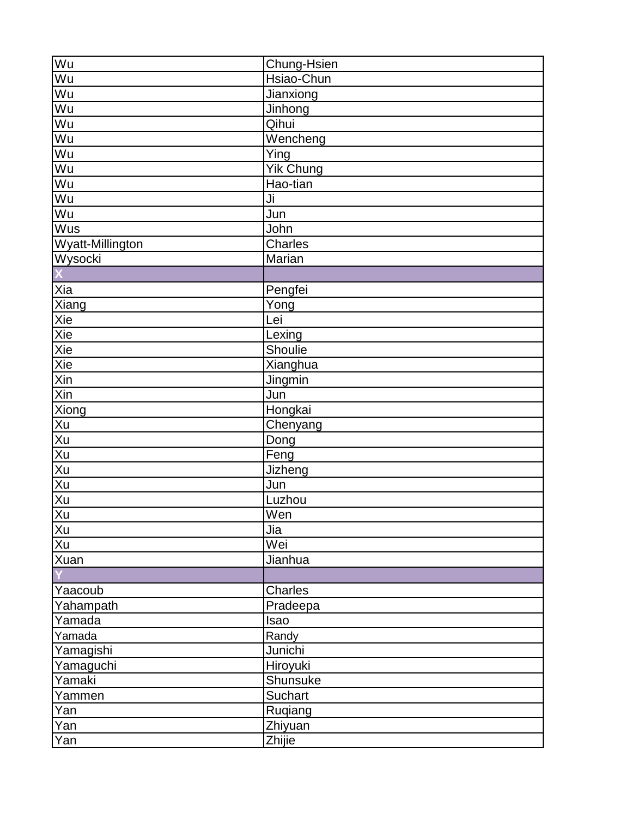| Wu                        | Chung-Hsien      |
|---------------------------|------------------|
| Wu                        | Hsiao-Chun       |
| Wu                        | Jianxiong        |
| Wu                        | Jinhong          |
| Wu                        | Qihui            |
| Wu                        | Wencheng         |
| Wu                        | Ying             |
| Wu                        | <b>Yik Chung</b> |
| Wu                        | Hao-tian         |
| Wu                        | Ji               |
| Wu                        | Jun              |
| Wus                       | John             |
| Wyatt-Millington          | Charles          |
| Wysocki                   | Marian           |
|                           |                  |
| Xia                       | Pengfei          |
| Xiang                     | Yong             |
| Xie                       | Lei              |
| Xie                       | Lexing           |
| Xie                       | Shoulie          |
| Xie                       | Xianghua         |
| Xin                       | Jingmin          |
| Xin                       | Jun              |
| Xiong                     | Hongkai          |
| Xu                        | Chenyang         |
|                           | Dong             |
| Xu<br>Xu                  | Feng             |
| Xu                        | <b>Jizheng</b>   |
| Xu                        | Jun              |
| Xu                        | Luzhou           |
| Xu                        | Wen              |
| Xu                        | Jia              |
| $\overline{\mathsf{X}}$ u | Wei              |
| Xuan                      | Jianhua          |
|                           |                  |
| Yaacoub                   | Charles          |
| Yahampath                 | Pradeepa         |
| Yamada                    | Isao             |
| Yamada                    | Randy            |
| Yamagishi                 | Junichi          |
| Yamaguchi                 | Hiroyuki         |
| Yamaki                    | Shunsuke         |
| Yammen                    | <b>Suchart</b>   |
| Yan                       | Ruqiang          |
| Yan                       | Zhiyuan          |
| Yan                       | Zhijie           |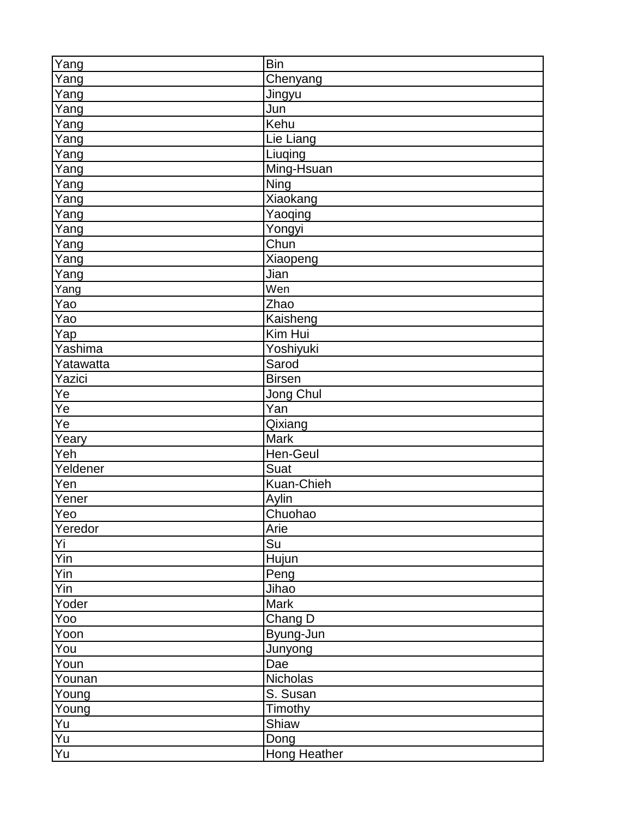| Yang            | <b>Bin</b>                  |
|-----------------|-----------------------------|
| Yang            | Chenyang                    |
| Yang            | Jingyu                      |
| Yang            | Jun                         |
| Yang            | Kehu                        |
| Yang            | Lie Liang                   |
| Yang            | Liuqing                     |
| Yang            | Ming-Hsuan                  |
| Yang            | $\overline{\mathrm{N}}$ ing |
| Yang            | Xiaokang                    |
| Yang            | Yaoqing                     |
| Yang            | Yongyi                      |
| Yang            | Chun                        |
| Yang            | Xiaopeng                    |
| Yang            | Jian                        |
| Yang            | Wen                         |
| Yao             | Zhao                        |
| Yao             | Kaisheng                    |
| <u>Yap</u>      | Kim Hui                     |
| Yashima         | Yoshiyuki                   |
| Yatawatta       | Sarod                       |
| Yazici          | <b>Birsen</b>               |
| Ye              | Jong Chul                   |
| Ye              | $\bar{Y}$ an                |
| Ye              | Qixiang                     |
| Yeary           | Mark                        |
| Yeh             | Hen-Geul                    |
| Yeldener        | Suat                        |
| Yen             | Kuan-Chieh                  |
| Yener           | Aylin                       |
| Yeo             | Chuohao                     |
| Yeredor         | Arie                        |
| Yi              | Su                          |
| Yin             | Hujun                       |
| Yin             | Peng                        |
| Yin             | Jihao                       |
| Yoder           | <b>Mark</b>                 |
| Yoo             | Chang D                     |
| Yoon            | Byung-Jun                   |
| You             | Junyong                     |
| Youn            | Dae                         |
| Younan          | Nicholas                    |
| Young           | S. Susan                    |
| Young           | Timothy                     |
| Yu              | Shiaw                       |
| $\overline{Yu}$ | Dong                        |
| Yu              | <b>Hong Heather</b>         |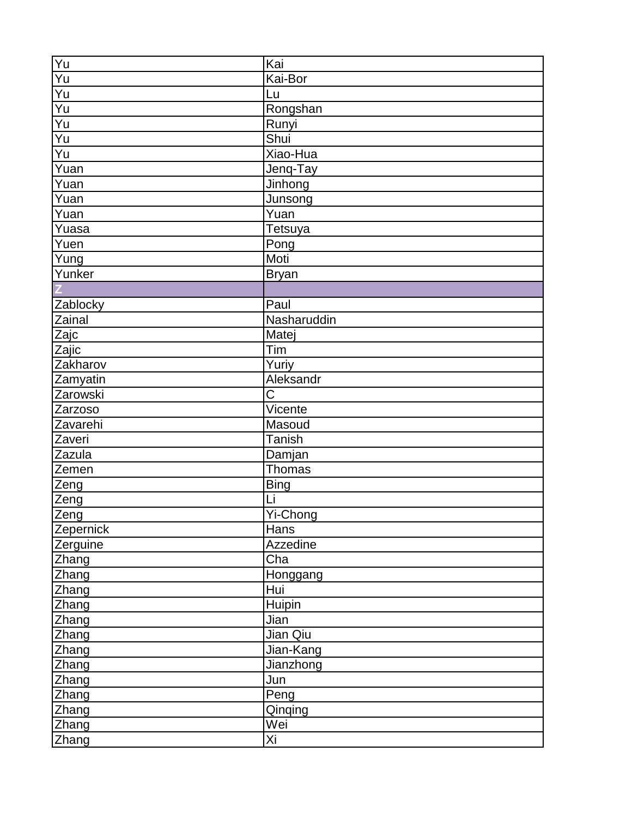| Yu              | Kai                    |
|-----------------|------------------------|
| Yu              | Kai-Bor                |
| $\overline{Yu}$ | Lu                     |
| Yu              | Rongshan               |
| Yu              | Runyi                  |
| Yu              | Shui                   |
| Yu              | Xiao-Hua               |
| Yuan            | Jenq-Tay               |
| Yuan            | Jinhong                |
| Yuan            | Junsong                |
| Yuan            | Yuan                   |
| Yuasa           | Tetsuya                |
| Yuen            | Pong                   |
| Yung            | Moti                   |
| Yunker          | <b>Bryan</b>           |
|                 |                        |
| Zablocky        | Paul                   |
| Zainal          | Nasharuddin            |
| Zajc            | Matej                  |
| Zajic           | Tim                    |
| Zakharov        | Yuriy                  |
| Zamyatin        | Aleksandr              |
| Zarowski        | $\overline{\text{C}}$  |
| Zarzoso         | Vicente                |
| Zavarehi        | Masoud                 |
| Zaveri          | Tanish                 |
| Zazula          | Damjan                 |
| Zemen           | Thomas                 |
| Zeng            | <b>Bing</b>            |
| Zeng            | Li                     |
| Zeng            | $\overline{Y}$ i-Chong |
| Zepernick       | Hans                   |
| Zerguine        | Azzedine               |
| Zhang           | $\overline{C}$ ha      |
| Zhang           | Honggang               |
| Zhang           | Hui                    |
| Zhang           | Huipin                 |
| Zhang           | Jian                   |
| Zhang           | Jian Qiu               |
| Zhang           | Jian-Kang              |
| Zhang           | Jianzhong              |
| Zhang           | Jun                    |
| Zhang           | Peng                   |
| Zhang           | Qinqing                |
| <b>Zhang</b>    | Wei                    |
| Zhang           | Xi                     |